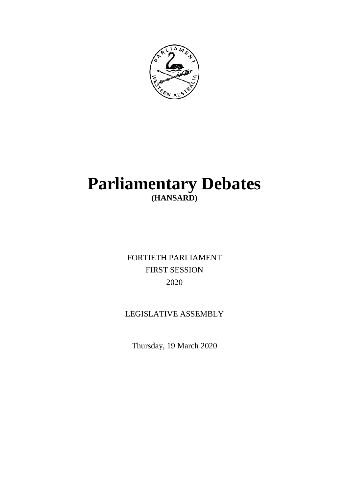

# **Parliamentary Debates (HANSARD)**

FORTIETH PARLIAMENT FIRST SESSION 2020

# LEGISLATIVE ASSEMBLY

Thursday, 19 March 2020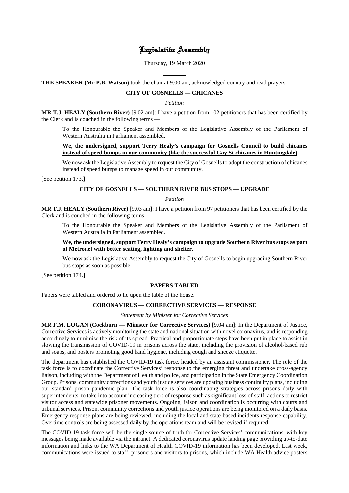# Legislative Assembly

Thursday, 19 March 2020

 $\overline{a}$ **THE SPEAKER (Mr P.B. Watson)** took the chair at 9.00 am, acknowledged country and read prayers.

# **CITY OF GOSNELLS — CHICANES**

*Petition*

**MR T.J. HEALY (Southern River)** [9.02 am]: I have a petition from 102 petitioners that has been certified by the Clerk and is couched in the following terms —

To the Honourable the Speaker and Members of the Legislative Assembly of the Parliament of Western Australia in Parliament assembled.

# **We, the undersigned, support Terry Healy's campaign for Gosnells Council to build chicanes instead of speed bumps in our community (like the successful Gay St chicanes in Huntingdale)**

We now ask the Legislative Assembly to request the City of Gosnells to adopt the construction of chicanes instead of speed bumps to manage speed in our community.

[See petition 173.]

# **CITY OF GOSNELLS — SOUTHERN RIVER BUS STOPS — UPGRADE**

#### *Petition*

**MR T.J. HEALY (Southern River)** [9.03 am]: I have a petition from 97 petitioners that has been certified by the Clerk and is couched in the following terms —

To the Honourable the Speaker and Members of the Legislative Assembly of the Parliament of Western Australia in Parliament assembled.

# **We, the undersigned, support Terry Healy's campaign to upgrade Southern River bus stops as part of Metronet with better seating, lighting and shelter.**

We now ask the Legislative Assembly to request the City of Gosnells to begin upgrading Southern River bus stops as soon as possible.

[See petition 174.]

#### **PAPERS TABLED**

Papers were tabled and ordered to lie upon the table of the house.

# **CORONAVIRUS — CORRECTIVE SERVICES — RESPONSE**

# *Statement by Minister for Corrective Services*

**MR F.M. LOGAN (Cockburn — Minister for Corrective Services)** [9.04 am]: In the Department of Justice, Corrective Services is actively monitoring the state and national situation with novel coronavirus, and is responding accordingly to minimise the risk of its spread. Practical and proportionate steps have been put in place to assist in slowing the transmission of COVID-19 in prisons across the state, including the provision of alcohol-based rub and soaps, and posters promoting good hand hygiene, including cough and sneeze etiquette.

The department has established the COVID-19 task force, headed by an assistant commissioner. The role of the task force is to coordinate the Corrective Services' response to the emerging threat and undertake cross-agency liaison, including with the Department of Health and police, and participation in the State Emergency Coordination Group. Prisons, community corrections and youth justice services are updating business continuity plans, including our standard prison pandemic plan. The task force is also coordinating strategies across prisons daily with superintendents, to take into account increasing tiers of response such as significant loss of staff, actions to restrict visitor access and statewide prisoner movements. Ongoing liaison and coordination is occurring with courts and tribunal services. Prison, community corrections and youth justice operations are being monitored on a daily basis. Emergency response plans are being reviewed, including the local and state-based incidents response capability. Overtime controls are being assessed daily by the operations team and will be revised if required.

The COVID-19 task force will be the single source of truth for Corrective Services' communications, with key messages being made available via the intranet. A dedicated coronavirus update landing page providing up-to-date information and links to the WA Department of Health COVID-19 information has been developed. Last week, communications were issued to staff, prisoners and visitors to prisons, which include WA Health advice posters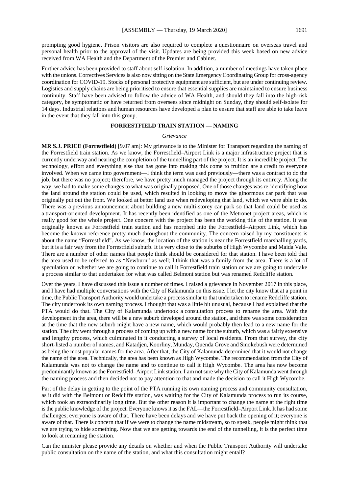prompting good hygiene. Prison visitors are also required to complete a questionnaire on overseas travel and personal health prior to the approval of the visit. Updates are being provided this week based on new advice received from WA Health and the Department of the Premier and Cabinet.

Further advice has been provided to staff about self-isolation. In addition, a number of meetings have taken place with the unions. Correctives Services is also now sitting on the State Emergency Coordinating Group for cross-agency coordination for COVID-19. Stocks of personal protective equipment are sufficient, but are under continuing review. Logistics and supply chains are being prioritised to ensure that essential supplies are maintained to ensure business continuity. Staff have been advised to follow the advice of WA Health, and should they fall into the high-risk category, be symptomatic or have returned from oversees since midnight on Sunday, they should self-isolate for 14 days. Industrial relations and human resources have developed a plan to ensure that staff are able to take leave in the event that they fall into this group.

# **FORRESTFIELD TRAIN STATION — NAMING**

#### *Grievance*

**MR S.J. PRICE (Forrestfield)** [9.07 am]: My grievance is to the Minister for Transport regarding the naming of the Forrestfield train station. As we know, the Forrestfield–Airport Link is a major infrastructure project that is currently underway and nearing the completion of the tunnelling part of the project. It is an incredible project. The technology, effort and everything else that has gone into making this come to fruition are a credit to everyone involved. When we came into government—I think the term was used previously—there was a contract to do the job, but there was no project; therefore, we have pretty much managed the project through its entirety. Along the way, we had to make some changes to what was originally proposed. One of those changes was re-identifying how the land around the station could be used, which resulted in looking to move the ginormous car park that was originally put out the front. We looked at better land use when redeveloping that land, which we were able to do. There was a previous announcement about building a new multi-storey car park so that land could be used as a transport-oriented development. It has recently been identified as one of the Metronet project areas, which is really good for the whole project. One concern with the project has been the working title of the station. It was originally known as Forrestfield train station and has morphed into the Forrestfield–Airport Link, which has become the known reference pretty much throughout the community. The concern raised by my constituents is about the name "Forrestfield". As we know, the location of the station is near the Forrestfield marshalling yards, but it is a fair way from the Forrestfield suburb. It is very close to the suburbs of High Wycombe and Maida Vale. There are a number of other names that people think should be considered for that station. I have been told that the area used to be referred to as "Newburn" as well; I think that was a family from the area. There is a lot of speculation on whether we are going to continue to call it Forrestfield train station or we are going to undertake a process similar to that undertaken for what was called Belmont station but was renamed Redcliffe station.

Over the years, I have discussed this issue a number of times. I raised a grievance in November 2017 in this place, and I have had multiple conversations with the City of Kalamunda on this issue. I let the city know that at a point in time, the Public Transport Authority would undertake a process similar to that undertaken to rename Redcliffe station. The city undertook its own naming process. I thought that was a little bit unusual, because I had explained that the PTA would do that. The City of Kalamunda undertook a consultation process to rename the area. With the development in the area, there will be a new suburb developed around the station, and there was some consideration at the time that the new suburb might have a new name, which would probably then lead to a new name for the station. The city went through a process of coming up with a new name for the suburb, which was a fairly extensive and lengthy process, which culminated in it conducting a survey of local residents. From that survey, the city short-listed a number of names, and Katadjen, Koorliny, Munday, Quenda Grove and Smokebush were determined as being the most popular names for the area. After that, the City of Kalamunda determined that it would not change the name of the area. Technically, the area has been known as High Wycombe. The recommendation from the City of Kalamunda was not to change the name and to continue to call it High Wycombe. The area has now become predominantly known as the Forrestfield–Airport Link station. I am not sure why the City of Kalamunda went through the naming process and then decided not to pay attention to that and made the decision to call it High Wycombe.

Part of the delay in getting to the point of the PTA running its own naming process and community consultation, as it did with the Belmont or Redcliffe station, was waiting for the City of Kalamunda process to run its course, which took an extraordinarily long time. But the other reason it is important to change the name at the right time is the public knowledge of the project. Everyone knows it as the FAL—the Forrestfield–Airport Link. It has had some challenges; everyone is aware of that. There have been delays and we have put back the opening of it; everyone is aware of that. There is concern that if we were to change the name midstream, so to speak, people might think that we are trying to hide something. Now that we are getting towards the end of the tunnelling, it is the perfect time to look at renaming the station.

Can the minister please provide any details on whether and when the Public Transport Authority will undertake public consultation on the name of the station, and what this consultation might entail?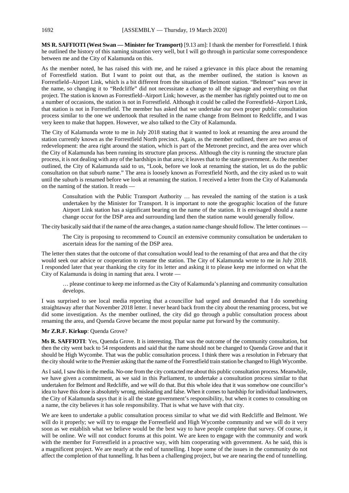**MS R. SAFFIOTI (West Swan — Minister for Transport)** [9.13 am]: I thank the member for Forrestfield. I think he outlined the history of this naming situation very well, but I will go through in particular some correspondence between me and the City of Kalamunda on this.

As the member noted, he has raised this with me, and he raised a grievance in this place about the renaming of Forrestfield station. But I want to point out that, as the member outlined, the station is known as Forrestfield–Airport Link, which is a bit different from the situation of Belmont station. "Belmont" was never in the name, so changing it to "Redcliffe" did not necessitate a change to all the signage and everything on that project. The station is known as Forrestfield–Airport Link; however, as the member has rightly pointed out to me on a number of occasions, the station is not in Forrestfield. Although it could be called the Forrestfield–Airport Link, that station is not in Forrestfield. The member has asked that we undertake our own proper public consultation process similar to the one we undertook that resulted in the name change from Belmont to Redcliffe, and I was very keen to make that happen. However, we also talked to the City of Kalamunda.

The City of Kalamunda wrote to me in July 2018 stating that it wanted to look at renaming the area around the station currently known as the Forrestfield North precinct. Again, as the member outlined, there are two areas of redevelopment: the area right around the station, which is part of the Metronet precinct, and the area over which the City of Kalamunda has been running its structure plan process. Although the city is running the structure plan process, it is not dealing with any of the hardships in that area; it leaves that to the state government. As the member outlined, the City of Kalamunda said to us, "Look, before we look at renaming the station, let us do the public consultation on that suburb name." The area is loosely known as Forrestfield North, and the city asked us to wait until the suburb is renamed before we look at renaming the station. I received a letter from the City of Kalamunda on the naming of the station. It reads —

Consultation with the Public Transport Authority … has revealed the naming of the station is a task undertaken by the Minister for Transport. It is important to note the geographic location of the future Airport Link station has a significant bearing on the name of the station. It is envisaged should a name change occur for the DSP area and surrounding land then the station name would generally follow.

The city basically said that if the name of the area changes, a station name change should follow. The letter continues —

The City is proposing to recommend to Council an extensive community consultation be undertaken to ascertain ideas for the naming of the DSP area.

The letter then states that the outcome of that consultation would lead to the renaming of that area and that the city would seek our advice or cooperation to rename the station. The City of Kalamunda wrote to me in July 2018. I responded later that year thanking the city for its letter and asking it to please keep me informed on what the City of Kalamunda is doing in naming that area. I wrote —

… please continue to keep me informed as the City of Kalamunda's planning and community consultation develops.

I was surprised to see local media reporting that a councillor had urged and demanded that I do something straightaway after that November 2018 letter. I never heard back from the city about the renaming process, but we did some investigation. As the member outlined, the city did go through a public consultation process about renaming the area, and Quenda Grove became the most popular name put forward by the community.

#### **Mr Z.R.F. Kirkup**: Quenda Grove?

**Ms R. SAFFIOTI**: Yes, Quenda Grove. It is interesting. That was the outcome of the community consultation, but then the city went back to 54 respondents and said that the name should not be changed to Quenda Grove and that it should be High Wycombe. That was the public consultation process. I think there was a resolution in February that the city should write to the Premier asking that the name of the Forrestfield train station be changed to High Wycombe.

AsI said, I saw this in the media. No-one from the city contacted me about this public consultation process. Meanwhile, we have given a commitment, as we said in this Parliament, to undertake a consultation process similar to that undertaken for Belmont and Redcliffe, and we will do that. But this whole idea that it was somehow one councillor's idea to have this done is absolutely wrong, misleading and false. When it comes to hardship for individual landowners, the City of Kalamunda says that it is all the state government's responsibility, but when it comes to consulting on a name, the city believes it has sole responsibility. That is what we have with that city.

We are keen to undertake a public consultation process similar to what we did with Redcliffe and Belmont. We will do it properly; we will try to engage the Forrestfield and High Wycombe community and we will do it very soon as we establish what we believe would be the best way to have people complete that survey. Of course, it will be online. We will not conduct forums at this point. We are keen to engage with the community and work with the member for Forrestfield in a proactive way, with him cooperating with government. As he said, this is a magnificent project. We are nearly at the end of tunnelling. I hope some of the issues in the community do not affect the completion of that tunnelling. It has been a challenging project, but we are nearing the end of tunnelling.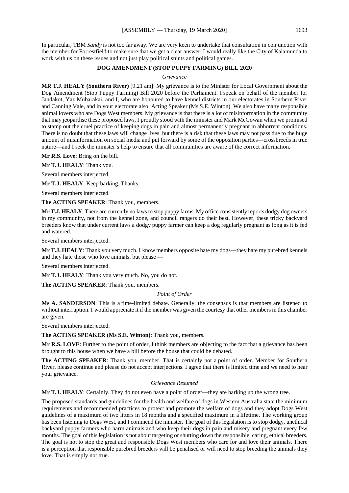In particular, TBM *Sandy* is not too far away. We are very keen to undertake that consultation in conjunction with the member for Forrestfield to make sure that we get a clear answer. I would really like the City of Kalamunda to work with us on these issues and not just play political stunts and political games.

#### **DOG AMENDMENT (STOP PUPPY FARMING) BILL 2020**

#### *Grievance*

**MR T.J. HEALY (Southern River)** [9.21 am]: My grievance is to the Minister for Local Government about the Dog Amendment (Stop Puppy Farming) Bill 2020 before the Parliament. I speak on behalf of the member for Jandakot, Yaz Mubarakai, and I, who are honoured to have kennel districts in our electorates in Southern River and Canning Vale, and in your electorate also, Acting Speaker (Ms S.E. Winton). We also have many responsible animal lovers who are Dogs West members. My grievance is that there is a lot of misinformation in the community that may jeopardise these proposed laws. I proudly stood with the minister and Mark McGowan when we promised to stamp out the cruel practice of keeping dogs in pain and almost permanently pregnant in abhorrent conditions. There is no doubt that these laws will change lives, but there is a risk that these laws may not pass due to the huge amount of misinformation on social media and put forward by some of the opposition parties—crossbreeds in true nature—and I seek the minister's help to ensure that all communities are aware of the correct information.

**Mr R.S. Love**: Bring on the bill.

**Mr T.J. HEALY**: Thank you.

Several members interjected.

**Mr T.J. HEALY**: Keep barking. Thanks.

Several members interjected.

**The ACTING SPEAKER**: Thank you, members.

**Mr T.J. HEALY**: There are currently no laws to stop puppy farms. My office consistently reports dodgy dog owners in my community, not from the kennel zone, and council rangers do their best. However, these tricky backyard breeders know that under current laws a dodgy puppy farmer can keep a dog regularly pregnant as long as it is fed and watered.

Several members interjected.

**Mr T.J. HEALY**: Thank you very much. I know members opposite hate my dogs—they hate my purebred kennels and they hate those who love animals, but please —

Several members interjected.

**Mr T.J. HEALY**: Thank you very much. No, you do not.

**The ACTING SPEAKER**: Thank you, members.

*Point of Order*

**Ms A. SANDERSON**: This is a time-limited debate. Generally, the consensus is that members are listened to without interruption. I would appreciate it if the member was given the courtesy that other members in this chamber are given.

Several members interjected.

**The ACTING SPEAKER (Ms S.E. Winton)**: Thank you, members.

**Mr R.S. LOVE**: Further to the point of order, I think members are objecting to the fact that a grievance has been brought to this house when we have a bill before the house that could be debated.

**The ACTING SPEAKER**: Thank you, member. That is certainly not a point of order. Member for Southern River, please continue and please do not accept interjections. I agree that there is limited time and we need to hear your grievance.

#### *Grievance Resumed*

**Mr T.J. HEALY**: Certainly. They do not even have a point of order—they are barking up the wrong tree.

The proposed standards and guidelines for the health and welfare of dogs in Western Australia state the minimum requirements and recommended practices to protect and promote the welfare of dogs and they adopt Dogs West guidelines of a maximum of two litters in 18 months and a specified maximum in a lifetime. The working group has been listening to Dogs West, and I commend the minister. The goal of this legislation is to stop dodgy, unethical backyard puppy farmers who harm animals and who keep their dogs in pain and misery and pregnant every few months. The goal of this legislation is not about targeting or shutting down the responsible, caring, ethical breeders. The goal is not to stop the great and responsible Dogs West members who care for and love their animals. There is a perception that responsible purebred breeders will be penalised or will need to stop breeding the animals they love. That is simply not true.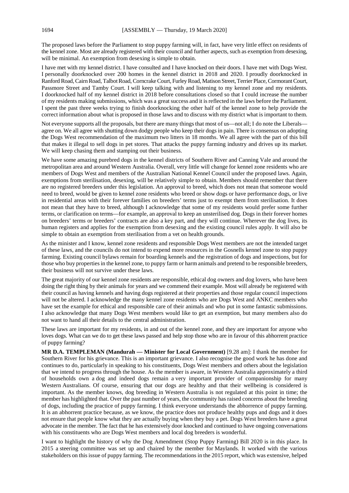The proposed laws before the Parliament to stop puppy farming will, in fact, have very little effect on residents of the kennel zone. Most are already registered with their council and further aspects, such as exemption from desexing, will be minimal. An exemption from desexing is simple to obtain.

I have met with my kennel district. I have consulted and I have knocked on their doors. I have met with Dogs West. I personally doorknocked over 200 homes in the kennel district in 2018 and 2020. I proudly doorknocked in Ranford Road, Cairn Road, Talbot Road, Corncrake Court, Furley Road, Matison Street, Terrier Place, Cormorant Court, Passmore Street and Tamby Court. I will keep talking with and listening to my kennel zone and my residents. I doorknocked half of my kennel district in 2018 before consultations closed so that I could increase the number of my residents making submissions, which was a great success and it is reflected in the laws before the Parliament. I spent the past three weeks trying to finish doorknocking the other half of the kennel zone to help provide the correct information about what is proposed in those laws and to discuss with my district what is important to them.

Not everyone supports all the proposals, but there are many things that most of us—not all; I do note the Liberals agree on. We all agree with shutting down dodgy people who keep their dogs in pain. There is consensus on adopting the Dogs West recommendation of the maximum two litters in 18 months. We all agree with the part of this bill that makes it illegal to sell dogs in pet stores. That attacks the puppy farming industry and drives up its market. We will keep chasing them and stamping out their business.

We have some amazing purebred dogs in the kennel districts of Southern River and Canning Vale and around the metropolitan area and around Western Australia. Overall, very little will change for kennel zone residents who are members of Dogs West and members of the Australian National Kennel Council under the proposed laws. Again, exemptions from sterilisation, desexing, will be relatively simple to obtain. Members should remember that there are no registered breeders under this legislation. An approval to breed, which does not mean that someone would need to breed, would be given to kennel zone residents who breed or show dogs or have performance dogs, or live in residential areas with their forever families on breeders' terms just to exempt them from sterilisation. It does not mean that they have to breed, although I acknowledge that some of my residents would prefer some further terms, or clarification on terms—for example, an approval to keep an unsterilised dog. Dogs in their forever homes on breeders' terms or breeders' contracts are also a key part, and they will continue. Wherever the dog lives, its human registers and applies for the exemption from desexing and the existing council rules apply. It will also be simple to obtain an exemption from sterilisation from a vet on health grounds.

As the minister and I know, kennel zone residents and responsible Dogs West members are not the intended target of these laws, and the councils do not intend to expend more resources in the Gosnells kennel zone to stop puppy farming. Existing council bylaws remain for boarding kennels and the registration of dogs and inspections, but for those who buy properties in the kennel zone, to puppy farm or harm animals and pretend to be responsible breeders, their business will not survive under these laws.

The great majority of our kennel zone residents are responsible, ethical dog owners and dog lovers, who have been doing the right thing by their animals for years and we commend their example. Most will already be registered with their council as having kennels and having dogs registered at their properties and those regular council inspections will not be altered. I acknowledge the many kennel zone residents who are Dogs West and ANKC members who have set the example for ethical and responsible care of their animals and who put in some fantastic submissions. I also acknowledge that many Dogs West members would like to get an exemption, but many members also do not want to hand all their details to the central administration.

These laws are important for my residents, in and out of the kennel zone, and they are important for anyone who loves dogs. What can we do to get these laws passed and help stop those who are in favour of this abhorrent practice of puppy farming?

**MR D.A. TEMPLEMAN (Mandurah — Minister for Local Government)** [9.28 am]: I thank the member for Southern River for his grievance. This is an important grievance. I also recognise the good work he has done and continues to do, particularly in speaking to his constituents, Dogs West members and others about the legislation that we intend to progress through the house. As the member is aware, in Western Australia approximately a third of households own a dog and indeed dogs remain a very important provider of companionship for many Western Australians. Of course, ensuring that our dogs are healthy and that their wellbeing is considered is important. As the member knows, dog breeding in Western Australia is not regulated at this point in time; the member has highlighted that. Over the past number of years, the community has raised concerns about the breeding of dogs, including the practice of puppy farming. I think everyone understands the abhorrence of puppy farming. It is an abhorrent practice because, as we know, the practice does not produce healthy pups and dogs and it does not ensure that people know what they are actually buying when they buy a pet. Dogs West breeders have a great advocate in the member. The fact that he has extensively door knocked and continued to have ongoing conversations with his constituents who are Dogs West members and local dog breeders is wonderful.

I want to highlight the history of why the Dog Amendment (Stop Puppy Farming) Bill 2020 is in this place. In 2015 a steering committee was set up and chaired by the member for Maylands. It worked with the various stakeholders on this issue of puppy farming. The recommendations in the 2015 report, which was extensive, helped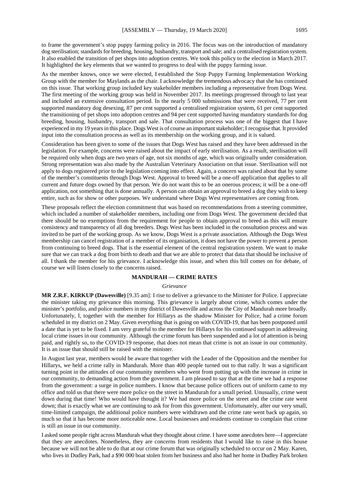to frame the government's stop puppy farming policy in 2016. The focus was on the introduction of mandatory dog sterilisation; standards for breeding, housing, husbandry, transport and sale; and a centralised registration system. It also enabled the transition of pet shops into adoption centres. We took this policy to the election in March 2017. It highlighted the key elements that we wanted to progress to deal with the puppy farming issue.

As the member knows, once we were elected, I established the Stop Puppy Farming Implementation Working Group with the member for Maylands as the chair. I acknowledge the tremendous advocacy that she has continued on this issue. That working group included key stakeholder members including a representative from Dogs West. The first meeting of the working group was held in November 2017. Its meetings progressed through to last year and included an extensive consultation period. In the nearly 5 000 submissions that were received, 77 per cent supported mandatory dog desexing, 87 per cent supported a centralised registration system, 61 per cent supported the transitioning of pet shops into adoption centres and 94 per cent supported having mandatory standards for dog breeding, housing, husbandry, transport and sale. That consultation process was one of the biggest that I have experienced in my 19 years in this place. Dogs West is of course an important stakeholder;I recognise that. It provided input into the consultation process as well as its membership on the working group, and it is valued.

Consideration has been given to some of the issues that Dogs West has raised and they have been addressed in the legislation. For example, concerns were raised about the impact of early sterilisation. As a result, sterilisation will be required only when dogs are two years of age, not six months of age, which was originally under consideration. Strong representation was also made by the Australian Veterinary Association on that issue. Sterilisation will not apply to dogs registered prior to the legislation coming into effect. Again, a concern was raised about that by some of the member's constituents through Dogs West. Approval to breed will be a one-off application that applies to all current and future dogs owned by that person. We do not want this to be an onerous process; it will be a one-off application, not something that is done annually. A person can obtain an approval to breed a dog they wish to keep entire, such as for show or other purposes. We understand where Dogs West representatives are coming from.

These proposals reflect the election commitment that was based on recommendations from a steering committee, which included a number of stakeholder members, including one from Dogs West. The government decided that there should be no exemptions from the requirement for people to obtain approval to breed as this will ensure consistency and transparency of all dog breeders. Dogs West has been included in the consultation process and was invited to be part of the working group. As we know, Dogs West is a private association. Although the Dogs West membership can cancel registration of a member of its organisation, it does not have the power to prevent a person from continuing to breed dogs. That is the essential element of the central registration system. We want to make sure that we can track a dog from birth to death and that we are able to protect that data that should be inclusive of all. I thank the member for his grievance. I acknowledge this issue, and when this bill comes on for debate, of course we will listen closely to the concerns raised.

#### **MANDURAH — CRIME RATES**

#### *Grievance*

**MR Z.R.F. KIRKUP (Dawesville)** [9.35 am]: I rise to deliver a grievance to the Minister for Police. I appreciate the minister taking my grievance this morning. This grievance is largely about crime, which comes under the minister's portfolio, and police numbers in my district of Dawesville and across the City of Mandurah more broadly. Unfortunately, I, together with the member for Hillarys as the shadow Minister for Police, had a crime forum scheduled in my district on 2 May. Given everything that is going on with COVID-19, that has been postponed until a date that is yet to be fixed. I am very grateful to the member for Hillarys for his continued support in addressing local crime issues in our community. Although the crime forum has been suspended and a lot of attention is being paid, and rightly so, to the COVID-19 response, that does not mean that crime is not an issue in our community. It is an issue that should still be raised with the minister.

In August last year, members would be aware that together with the Leader of the Opposition and the member for Hillarys, we held a crime rally in Mandurah. More than 400 people turned out to that rally. It was a significant turning point in the attitudes of our community members who went from putting up with the increase in crime in our community, to demanding action from the government. I am pleased to say that at the time we had a response from the government: a surge in police numbers. I know that because police officers out of uniform came to my office and told us that there were more police on the street in Mandurah for a small period. Unusually, crime went down during that time! Who would have thought it? We had more police on the street and the crime rate went down; that is exactly what we are continuing to ask for from this government. Unfortunately, after our very small, time-limited campaign, the additional police numbers were withdrawn and the crime rate went back up again, so much so that it has become more noticeable now. Local businesses and residents continue to complain that crime is still an issue in our community.

I asked some people right across Mandurah what they thought about crime. I have some anecdotes here—I appreciate that they are anecdotes. Nonetheless, they are concerns from residents that I would like to raise in this house because we will not be able to do that at our crime forum that was originally scheduled to occur on 2 May. Karen, who lives in Dudley Park, had a \$90 000 boat stolen from her business and also had her home in Dudley Park broken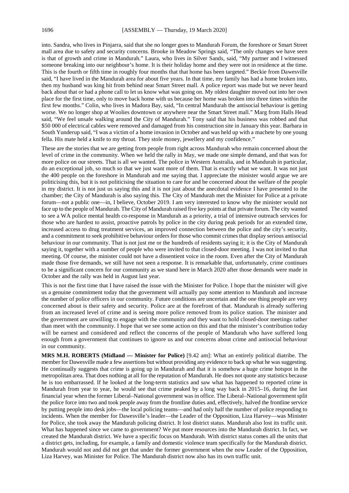into. Sandra, who lives in Pinjarra, said that she no longer goes to Mandurah Forum, the foreshore or Smart Street mall area due to safety and security concerns. Brooke in Meadow Springs said, "The only changes we have seen is that of growth and crime in Mandurah." Laura, who lives in Silver Sands, said, "My partner and I witnessed someone breaking into our neighbour's home. It is their holiday home and they were not in residence at the time. This is the fourth or fifth time in roughly four months that that home has been targeted." Beckie from Dawesville said, "I have lived in the Mandurah area for about five years. In that time, my family has had a home broken into, then my husband was king hit from behind near Smart Street mall. A police report was made but we never heard back about that or had a phone call to let us know what was going on. My oldest daughter moved out into her own place for the first time, only to move back home with us because her home was broken into three times within the first few months." Colin, who lives in Madora Bay, said, "In central Mandurah the antisocial behaviour is getting worse. We no longer shop at Woolies downtown or anywhere near the Smart Street mall." Marg from Halls Head said, "We feel unsafe walking around the City of Mandurah." Tony said that his business was robbed and that \$50 000 of electrical cables were removed and damaged from his construction site in January this year. Barbara in South Yunderup said, "I was a victim of a home invasion in October and was held up with a machete by one young fella. His mate held a knife to my throat. They stole money, jewellery and my confidence."

These are the stories that we are getting from people from right across Mandurah who remain concerned about the level of crime in the community. When we held the rally in May, we made one simple demand, and that was for more police on our streets. That is all we wanted. The police in Western Australia, and in Mandurah in particular, do an exceptional job, so much so that we just want more of them. That is exactly what we want. It was not just the 400 people on the foreshore in Mandurah and me saying that. I appreciate the minister would argue we are politicising this, but it is not politicising the situation to care for and be concerned about the welfare of the people in my district. It is not just us saying this and it is not just about the anecdotal evidence I have presented to the chamber; the City of Mandurah is also saying this. The City of Mandurah met the Minister for Police at a private forum—not a public one—in, I believe, October 2019. I am very interested to know why the minister would not face up to the people of Mandurah. The City of Mandurah raised five key points at that private forum. The city wanted to see a WA police mental health co-response in Mandurah as a priority, a trial of intensive outreach services for those who are hardest to assist, proactive patrols by police in the city during peak periods for an extended time, increased access to drug treatment services, an improved connection between the police and the city's security, and a commitment to seek prohibitive behaviour orders for those who commit crimes that display serious antisocial behaviour in our community. That is not just me or the hundreds of residents saying it; it is the City of Mandurah saying it, together with a number of people who were invited to that closed-door meeting. I was not invited to that meeting. Of course, the minister could not have a dissentient voice in the room. Even after the City of Mandurah made those five demands, we still have not seen a response. It is remarkable that, unfortunately, crime continues to be a significant concern for our community as we stand here in March 2020 after those demands were made in October and the rally was held in August last year.

This is not the first time that I have raised the issue with the Minister for Police. I hope that the minister will give us a genuine commitment today that the government will actually pay some attention to Mandurah and increase the number of police officers in our community. Future conditions are uncertain and the one thing people are very concerned about is their safety and security. Police are at the forefront of that. Mandurah is already suffering from an increased level of crime and is seeing more police removed from its police station. The minister and the government are unwilling to engage with the community and they want to hold closed-door meetings rather than meet with the community. I hope that we see some action on this and that the minister's contribution today will be earnest and considered and reflect the concerns of the people of Mandurah who have suffered long enough from a government that continues to ignore us and our concerns about crime and antisocial behaviour in our community.

**MRS M.H. ROBERTS (Midland — Minister for Police)** [9.42 am]: What an entirely political diatribe. The member for Dawesville made a few assertions but without providing any evidence to back up what he was suggesting. He continually suggests that crime is going up in Mandurah and that it is somehow a huge crime hotspot in the metropolitan area. That does nothing at all for the reputation of Mandurah. He does not quote any statistics because he is too embarrassed. If he looked at the long-term statistics and saw what has happened to reported crime in Mandurah from year to year, he would see that crime peaked by a long way back in 2015–16, during the last financial year when the former Liberal–National government was in office. The Liberal–National government split the police force into two and took people away from the frontline duties and, effectively, halved the frontline service by putting people into desk jobs—the local policing teams—and had only half the number of police responding to incidents. When the member for Dawesville's leader—the Leader of the Opposition, Liza Harvey—was Minister for Police, she took away the Mandurah policing district. It lost district status. Mandurah also lost its traffic unit. What has happened since we came to government? We put more resources into the Mandurah district. In fact, we created the Mandurah district. We have a specific focus on Mandurah. With district status comes all the units that a district gets, including, for example, a family and domestic violence team specifically for the Mandurah district. Mandurah would not and did not get that under the former government when the now Leader of the Opposition, Liza Harvey, was Minister for Police. The Mandurah district now also has its own traffic unit.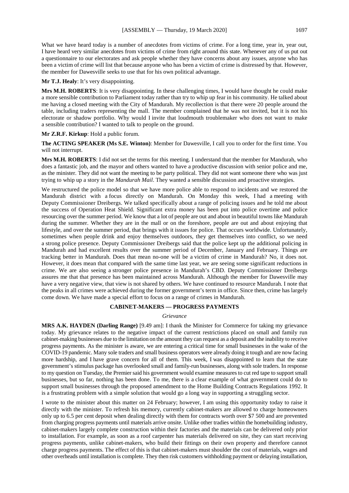What we have heard today is a number of anecdotes from victims of crime. For a long time, year in, year out, I have heard very similar anecdotes from victims of crime from right around this state. Whenever any of us put out a questionnaire to our electorates and ask people whether they have concerns about any issues, anyone who has been a victim of crime will list that because anyone who has been a victim of crime is distressed by that. However, the member for Dawesville seeks to use that for his own political advantage.

#### **Mr T.J. Healy**: It's very disappointing.

**Mrs M.H. ROBERTS**: It is very disappointing. In these challenging times, I would have thought he could make a more sensible contribution to Parliament today rather than try to whip up fear in his community. He talked about me having a closed meeting with the City of Mandurah. My recollection is that there were 20 people around the table, including traders representing the mall. The member complained that he was not invited, but it is not his electorate or shadow portfolio. Why would I invite that loudmouth troublemaker who does not want to make a sensible contribution? I wanted to talk to people on the ground.

#### **Mr Z.R.F. Kirkup**: Hold a public forum.

**The ACTING SPEAKER (Ms S.E. Winton)**: Member for Dawesville, I call you to order for the first time. You will not interrupt.

**Mrs M.H. ROBERTS**: I did not set the terms for this meeting. I understand that the member for Mandurah, who does a fantastic job, and the mayor and others wanted to have a productive discussion with senior police and me, as the minister. They did not want the meeting to be party political. They did not want someone there who was just trying to whip up a story in the *Mandurah Mail*. They wanted a sensible discussion and proactive strategies.

We restructured the police model so that we have more police able to respond to incidents and we restored the Mandurah district with a focus directly on Mandurah. On Monday this week, I had a meeting with Deputy Commissioner Dreibergs. We talked specifically about a range of policing issues and he told me about the success of Operation Heat Shield. Significant extra money has been put into police overtime and police resourcing over the summer period. We know that a lot of people are out and about in beautiful towns like Mandurah during the summer. Whether they are in the mall or on the foreshore, people are out and about enjoying that lifestyle, and over the summer period, that brings with it issues for police. That occurs worldwide. Unfortunately, sometimes when people drink and enjoy themselves outdoors, they get themselves into conflict, so we need a strong police presence. Deputy Commissioner Dreibergs said that the police kept up the additional policing in Mandurah and had excellent results over the summer period of December, January and February. Things are tracking better in Mandurah. Does that mean no-one will be a victim of crime in Mandurah? No, it does not. However, it does mean that compared with the same time last year, we are seeing some significant reductions in crime. We are also seeing a stronger police presence in Mandurah's CBD. Deputy Commissioner Dreibergs assures me that that presence has been maintained across Mandurah. Although the member for Dawesville may have a very negative view, that view is not shared by others. We have continued to resource Mandurah. I note that the peaks in all crimes were achieved during the former government's term in office. Since then, crime has largely come down. We have made a special effort to focus on a range of crimes in Mandurah.

#### **CABINET-MAKERS — PROGRESS PAYMENTS**

#### *Grievance*

**MRS A.K. HAYDEN (Darling Range)** [9.49 am]: I thank the Minister for Commerce for taking my grievance today. My grievance relates to the negative impact of the current restrictions placed on small and family run cabinet-making businesses due to the limitation on the amount they can request as a deposit and the inability to receive progress payments. As the minister is aware, we are entering a critical time for small businesses in the wake of the COVID-19 pandemic. Many sole traders and small business operators were already doing it tough and are now facing more hardship, and I have grave concern for all of them. This week, I was disappointed to learn that the state government's stimulus package has overlooked small and family-run businesses, along with sole traders. In response to my question on Tuesday, the Premier said his government would examine measures to cut red tape to support small businesses, but so far, nothing has been done. To me, there is a clear example of what government could do to support small businesses through the proposed amendment to the Home Building Contracts Regulations 1992. It is a frustrating problem with a simple solution that would go a long way in supporting a struggling sector.

I wrote to the minister about this matter on 24 February; however, I am using this opportunity today to raise it directly with the minister. To refresh his memory, currently cabinet-makers are allowed to charge homeowners only up to 6.5 per cent deposit when dealing directly with them for contracts worth over \$7 500 and are prevented from charging progress payments until materials arrive onsite. Unlike other tradies within the homebuilding industry, cabinet-makers largely complete construction within their factories and the materials can be delivered only prior to installation. For example, as soon as a roof carpenter has materials delivered on site, they can start receiving progress payments, unlike cabinet-makers, who build their fittings on their own property and therefore cannot charge progress payments. The effect of this is that cabinet-makers must shoulder the cost of materials, wages and other overheads until installation is complete. They then risk customers withholding payment or delaying installation,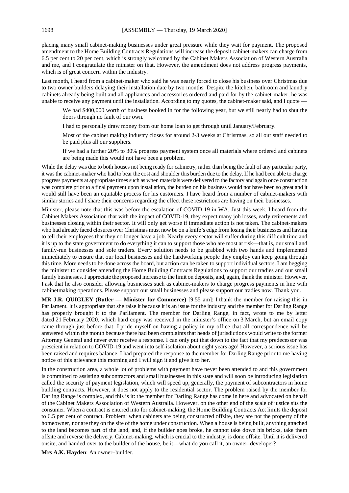placing many small cabinet-making businesses under great pressure while they wait for payment. The proposed amendment to the Home Building Contracts Regulations will increase the deposit cabinet-makers can charge from 6.5 per cent to 20 per cent, which is strongly welcomed by the Cabinet Makers Association of Western Australia and me, and I congratulate the minister on that. However, the amendment does not address progress payments, which is of great concern within the industry.

Last month, I heard from a cabinet-maker who said he was nearly forced to close his business over Christmas due to two owner builders delaying their installation date by two months. Despite the kitchen, bathroom and laundry cabinets already being built and all appliances and accessories ordered and paid for by the cabinet-maker, he was unable to receive any payment until the installation. According to my quotes, the cabinet-maker said, and I quote —

We had \$400,000 worth of business booked in for the following year, but we still nearly had to shut the doors through no fault of our own.

I had to personally draw money from our home loan to get through until January/February.

Most of the cabinet making industry closes for around 2-3 weeks at Christmas, so all our staff needed to be paid plus all our suppliers.

If we had a further 20% to 30% progress payment system once all materials where ordered and cabinets are being made this would not have been a problem.

While the delay was due to both houses not being ready for cabinetry, rather than being the fault of any particular party, it was the cabinet-maker who had to bear the cost and shoulder this burden due to the delay. If he had been able to charge progress payments at appropriate times such as when materials were delivered to the factory and again once construction was complete prior to a final payment upon installation, the burden on his business would not have been so great and it would still have been an equitable process for his customers. I have heard from a number of cabinet-makers with similar stories and I share their concerns regarding the effect these restrictions are having on their businesses.

Minister, please note that this was before the escalation of COVID-19 in WA. Just this week, I heard from the Cabinet Makers Association that with the impact of COVID-19, they expect many job losses, early retirements and businesses closing within their sector. It will only get worse if immediate action is not taken. The cabinet-makers who had already faced closures over Christmas must now be on a knife's edge from losing their businesses and having to tell their employees that they no longer have a job. Nearly every sector will suffer during this difficult time and it is up to the state government to do everything it can to support those who are most at risk—that is, our small and family-run businesses and sole traders. Every solution needs to be grabbed with two hands and implemented immediately to ensure that our local businesses and the hardworking people they employ can keep going through this time. More needs to be done across the board, but action can be taken to support individual sectors. I am begging the minister to consider amending the Home Building Contracts Regulations to support our tradies and our small family businesses. I appreciate the proposed increase to the limit on deposits, and, again, thank the minister. However, I ask that he also consider allowing businesses such as cabinet-makers to charge progress payments in line with cabinetmaking operations. Please support our small businesses and please support our tradies now. Thank you.

**MR J.R. QUIGLEY (Butler — Minister for Commerce)** [9.55 am]: I thank the member for raising this in Parliament. It is appropriate that she raise it because it is an issue for the industry and the member for Darling Range has properly brought it to the Parliament. The member for Darling Range, in fact, wrote to me by letter dated 21 February 2020, which hard copy was received in the minister's office on 3 March, but an email copy came through just before that. I pride myself on having a policy in my office that all correspondence will be answered within the month because there had been complaints that heads of jurisdictions would write to the former Attorney General and never ever receive a response. I can only put that down to the fact that my predecessor was prescient in relation to COVID-19 and went into self-isolation about eight years ago! However, a serious issue has been raised and requires balance. I had prepared the response to the member for Darling Range prior to me having notice of this grievance this morning and I will sign it and give it to her.

In the construction area, a whole lot of problems with payment have never been attended to and this government is committed to assisting subcontractors and small businesses in this state and will soon be introducing legislation called the security of payment legislation, which will speed up, generally, the payment of subcontractors in home building contracts. However, it does not apply to the residential sector. The problem raised by the member for Darling Range is complex, and this is it: the member for Darling Range has come in here and advocated on behalf of the Cabinet Makers Association of Western Australia. However, on the other end of the scale of justice sits the consumer. When a contract is entered into for cabinet-making, the Home Building Contracts Act limits the deposit to 6.5 per cent of contract. Problem: when cabinets are being constructed offsite, they are not the property of the homeowner, nor are they on the site of the home under construction. When a house is being built, anything attached to the land becomes part of the land, and, if the builder goes broke, he cannot take down his bricks, take them offsite and reverse the delivery. Cabinet-making, which is crucial to the industry, is done offsite. Until it is delivered onsite, and handed over to the builder of the house, be it—what do you call it, an owner–developer?

**Mrs A.K. Hayden**: An owner–builder.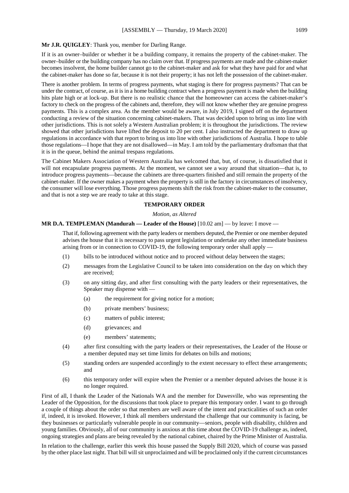#### **Mr J.R. QUIGLEY**: Thank you, member for Darling Range.

If it is an owner–builder or whether it be a building company, it remains the property of the cabinet-maker. The owner–builder or the building company has no claim over that. If progress payments are made and the cabinet-maker becomes insolvent, the home builder cannot go to the cabinet-maker and ask for what they have paid for and what the cabinet-maker has done so far, because it is not their property; it has not left the possession of the cabinet-maker.

There is another problem. In terms of progress payments, what staging is there for progress payments? That can be under the contract, of course, as it is in a home building contract when a progress payment is made when the building hits plate high or at lock-up. But there is no realistic chance that the homeowner can access the cabinet-maker's factory to check on the progress of the cabinets and, therefore, they will not know whether they are genuine progress payments. This is a complex area. As the member would be aware, in July 2019, I signed off on the department conducting a review of the situation concerning cabinet-makers. That was decided upon to bring us into line with other jurisdictions. This is not solely a Western Australian problem; it is throughout the jurisdictions. The review showed that other jurisdictions have lifted the deposit to 20 per cent. I also instructed the department to draw up regulations in accordance with that report to bring us into line with other jurisdictions of Australia. I hope to table those regulations—I hope that they are not disallowed—in May. I am told by the parliamentary draftsman that that it is in the queue, behind the animal trespass regulations.

The Cabinet Makers Association of Western Australia has welcomed that, but, of course, is dissatisfied that it will not encapsulate progress payments. At the moment, we cannot see a way around that situation—that is, to introduce progress payments—because the cabinets are three-quarters finished and still remain the property of the cabinet-maker. If the owner makes a payment when the property is still in the factory in circumstances of insolvency, the consumer will lose everything. Those progress payments shift the risk from the cabinet-maker to the consumer, and that is not a step we are ready to take at this stage.

# **TEMPORARY ORDER**

*Motion, as Altered*

#### **MR D.A. TEMPLEMAN (Mandurah — Leader of the House)** [10.02 am] — by leave: I move —

That if, following agreement with the party leaders or members deputed, the Premier or one member deputed advises the house that it is necessary to pass urgent legislation or undertake any other immediate business arising from or in connection to COVID-19, the following temporary order shall apply —

- (1) bills to be introduced without notice and to proceed without delay between the stages;
- (2) messages from the Legislative Council to be taken into consideration on the day on which they are received;
- (3) on any sitting day, and after first consulting with the party leaders or their representatives, the Speaker may dispense with —
	- (a) the requirement for giving notice for a motion;
	- (b) private members' business;
	- (c) matters of public interest;
	- (d) grievances; and
	- (e) members' statements;
- (4) after first consulting with the party leaders or their representatives, the Leader of the House or a member deputed may set time limits for debates on bills and motions;
- (5) standing orders are suspended accordingly to the extent necessary to effect these arrangements; and
- (6) this temporary order will expire when the Premier or a member deputed advises the house it is no longer required.

First of all, I thank the Leader of the Nationals WA and the member for Dawesville, who was representing the Leader of the Opposition, for the discussions that took place to prepare this temporary order. I want to go through a couple of things about the order so that members are well aware of the intent and practicalities of such an order if, indeed, it is invoked. However, I think all members understand the challenge that our community is facing, be they businesses or particularly vulnerable people in our community—seniors, people with disability, children and young families. Obviously, all of our community is anxious at this time about the COVID-19 challenge as, indeed, ongoing strategies and plans are being revealed by the national cabinet, chaired by the Prime Minister of Australia.

In relation to the challenge, earlier this week this house passed the Supply Bill 2020, which of course was passed by the other place last night. That bill will sit unproclaimed and will be proclaimed only if the current circumstances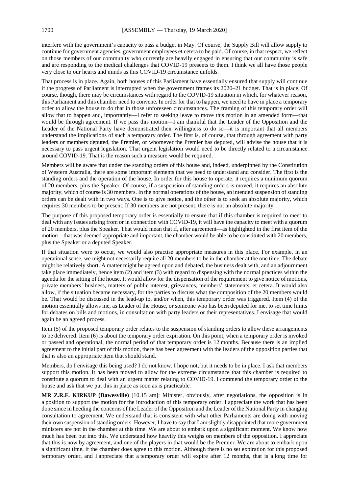interfere with the government's capacity to pass a budget in May. Of course, the Supply Bill will allow supply to continue for government agencies, government employees et cetera to be paid. Of course, in that respect, we reflect on those members of our community who currently are heavily engaged in ensuring that our community is safe and are responding to the medical challenges that COVID-19 presents to them. I think we all have those people very close to our hearts and minds as this COVID-19 circumstance unfolds.

That process is in place. Again, both houses of this Parliament have essentially ensured that supply will continue if the progress of Parliament is interrupted when the government frames its 2020–21 budget. That is in place. Of course, though, there may be circumstances with regard to the COVID-19 situation in which, for whatever reason, this Parliament and this chamber need to convene. In order for that to happen, we need to have in place a temporary order to allow the house to do that in those unforeseen circumstances. The framing of this temporary order will allow that to happen and, importantly—I refer to seeking leave to move this motion in an amended form—that would be through agreement. If we pass this motion—I am thankful that the Leader of the Opposition and the Leader of the National Party have demonstrated their willingness to do so—it is important that all members understand the implications of such a temporary order. The first is, of course, that through agreement with party leaders or members deputed, the Premier, or whomever the Premier has deputed, will advise the house that it is necessary to pass urgent legislation. That urgent legislation would need to be directly related to a circumstance around COVID-19. That is the reason such a measure would be required.

Members will be aware that under the standing orders of this house and, indeed, underpinned by the Constitution of Western Australia, there are some important elements that we need to understand and consider. The first is the standing orders and the operation of the house. In order for this house to operate, it requires a minimum quorum of 20 members, plus the Speaker. Of course, if a suspension of standing orders is moved, it requires an absolute majority, which of course is 30 members. In the normal operations of the house, an intended suspension of standing orders can be dealt with in two ways. One is to give notice, and the other is to seek an absolute majority, which requires 30 members to be present. If 30 members are not present, there is not an absolute majority.

The purpose of this proposed temporary order is essentially to ensure that if this chamber is required to meet to deal with any issues arising from or in connection with COVID-19, it will have the capacity to meet with a quorum of 20 members, plus the Speaker. That would mean that if, after agreement—as highlighted in the first item of the motion—that was deemed appropriate and important, the chamber would be able to be constituted with 20 members, plus the Speaker or a deputed Speaker.

If that situation were to occur, we would also practise appropriate measures in this place. For example, in an operational sense, we might not necessarily require all 20 members to be in the chamber at the one time. The debate might be relatively short. A matter might be agreed upon and debated, the business dealt with, and an adjournment take place immediately, hence item (2) and item (3) with regard to dispensing with the normal practices within the agenda for the sitting of the house. It would allow for the dispensation of the requirement to give notice of motions, private members' business, matters of public interest, grievances, members' statements, et cetera. It would also allow, if the situation became necessary, for the parties to discuss what the composition of the 20 members would be. That would be discussed in the lead-up to, and/or when, this temporary order was triggered. Item (4) of the motion essentially allows me, as Leader of the House, or someone who has been deputed for me, to set time limits for debates on bills and motions, in consultation with party leaders or their representatives. I envisage that would again be an agreed process.

Item (5) of the proposed temporary order relates to the suspension of standing orders to allow these arrangements to be delivered. Item (6) is about the temporary order expiration. On this point, when a temporary order is invoked or passed and operational, the normal period of that temporary order is 12 months. Because there is an implied agreement to the initial part of this motion, there has been agreement with the leaders of the opposition parties that that is also an appropriate item that should stand.

Members, do I envisage this being used? I do not know. I hope not, but it needs to be in place. I ask that members support this motion. It has been moved to allow for the extreme circumstance that this chamber is required to constitute a quorum to deal with an urgent matter relating to COVID-19. I commend the temporary order to the house and ask that we put this in place as soon as is practicable.

**MR Z.R.F. KIRKUP (Dawesville)** [10.15 am]: Minister, obviously, after negotiations, the opposition is in a position to support the motion for the introduction of this temporary order. I appreciate the work that has been done since in heeding the concerns of the Leader of the Opposition and the Leader of the National Party in changing consultation to agreement. We understand that is consistent with what other Parliaments are doing with moving their own suspension of standing orders. However, I have to say that I am slightly disappointed that more government ministers are not in the chamber at this time. We are about to embark upon a significant moment. We know how much has been put into this. We understand how heavily this weighs on members of the opposition. I appreciate that this is now by agreement, and one of the players in that would be the Premier. We are about to embark upon a significant time, if the chamber does agree to this motion. Although there is no set expiration for this proposed temporary order, and I appreciate that a temporary order will expire after 12 months, that is a long time for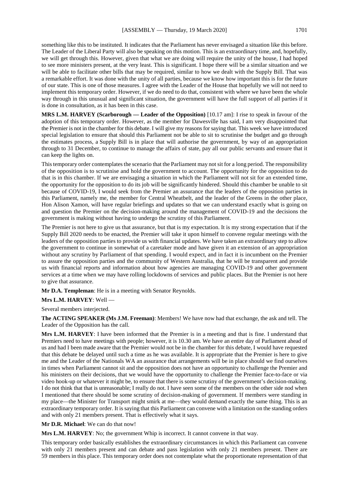something like this to be instituted. It indicates that the Parliament has never envisaged a situation like this before. The Leader of the Liberal Party will also be speaking on this motion. This is an extraordinary time, and, hopefully, we will get through this. However, given that what we are doing will require the unity of the house, I had hoped to see more ministers present, at the very least. This is significant. I hope there will be a similar situation and we will be able to facilitate other bills that may be required, similar to how we dealt with the Supply Bill. That was a remarkable effort. It was done with the unity of all parties, because we know how important this is for the future of our state. This is one of those measures. I agree with the Leader of the House that hopefully we will not need to implement this temporary order. However, if we do need to do that, consistent with where we have been the whole way through in this unusual and significant situation, the government will have the full support of all parties if it is done in consultation, as it has been in this case.

**MRS L.M. HARVEY (Scarborough — Leader of the Opposition)** [10.17 am]: I rise to speak in favour of the adoption of this temporary order. However, as the member for Dawesville has said, I am very disappointed that the Premier is not in the chamber for this debate. I will give my reasons for saying that. This week we have introduced special legislation to ensure that should this Parliament not be able to sit to scrutinise the budget and go through the estimates process, a Supply Bill is in place that will authorise the government, by way of an appropriation through to 31 December, to continue to manage the affairs of state, pay all our public servants and ensure that it can keep the lights on.

This temporary order contemplates the scenario that the Parliament may not sit for a long period. The responsibility of the opposition is to scrutinise and hold the government to account. The opportunity for the opposition to do that is in this chamber. If we are envisaging a situation in which the Parliament will not sit for an extended time, the opportunity for the opposition to do its job will be significantly hindered. Should this chamber be unable to sit because of COVID-19, I would seek from the Premier an assurance that the leaders of the opposition parties in this Parliament, namely me, the member for Central Wheatbelt, and the leader of the Greens in the other place, Hon Alison Xamon, will have regular briefings and updates so that we can understand exactly what is going on and question the Premier on the decision-making around the management of COVID-19 and the decisions the government is making without having to undergo the scrutiny of this Parliament.

The Premier is not here to give us that assurance, but that is my expectation. It is my strong expectation that if the Supply Bill 2020 needs to be enacted, the Premier will take it upon himself to convene regular meetings with the leaders of the opposition parties to provide us with financial updates. We have taken an extraordinary step to allow the government to continue in somewhat of a caretaker mode and have given it an extension of an appropriation without any scrutiny by Parliament of that spending. I would expect, and in fact it is incumbent on the Premier to assure the opposition parties and the community of Western Australia, that he will be transparent and provide us with financial reports and information about how agencies are managing COVID-19 and other government services at a time when we may have rolling lockdowns of services and public places. But the Premier is not here to give that assurance.

**Mr D.A. Templeman**: He is in a meeting with Senator Reynolds.

**Mrs L.M. HARVEY**: Well —

Several members interjected.

**The ACTING SPEAKER (Ms J.M. Freeman)**: Members! We have now had that exchange, the ask and tell. The Leader of the Opposition has the call.

**Mrs L.M. HARVEY**: I have been informed that the Premier is in a meeting and that is fine. I understand that Premiers need to have meetings with people; however, it is 10.30 am. We have an entire day of Parliament ahead of us and had I been made aware that the Premier would not be in the chamber for this debate, I would have requested that this debate be delayed until such a time as he was available. It is appropriate that the Premier is here to give me and the Leader of the Nationals WA an assurance that arrangements will be in place should we find ourselves in times when Parliament cannot sit and the opposition does not have an opportunity to challenge the Premier and his ministers on their decisions, that we would have the opportunity to challenge the Premier face-to-face or via video hook-up or whatever it might be, to ensure that there is some scrutiny of the government's decision-making. I do not think that that is unreasonable; I really do not. I have seen some of the members on the other side nod when I mentioned that there should be some scrutiny of decision-making of government. If members were standing in my place—the Minister for Transport might smirk at me—they would demand exactly the same thing. This is an extraordinary temporary order. It is saying that this Parliament can convene with a limitation on the standing orders and with only 21 members present. That is effectively what it says.

**Mr D.R. Michael**: We can do that now!

**Mrs L.M. HARVEY**: No; the government Whip is incorrect. It cannot convene in that way.

This temporary order basically establishes the extraordinary circumstances in which this Parliament can convene with only 21 members present and can debate and pass legislation with only 21 members present. There are 59 members in this place. This temporary order does not contemplate what the proportionate representation of that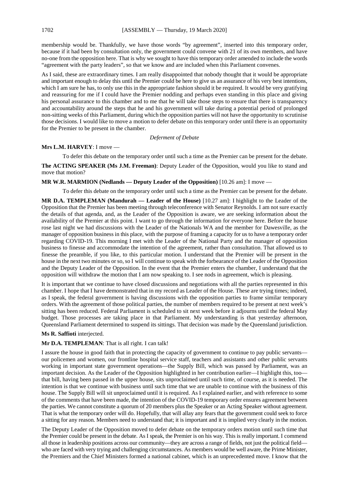membership would be. Thankfully, we have those words "by agreement", inserted into this temporary order, because if it had been by consultation only, the government could convene with 21 of its own members, and have no-one from the opposition here. That is why we sought to have this temporary order amended to include the words "agreement with the party leaders", so that we know and are included when this Parliament convenes.

As I said, these are extraordinary times. I am really disappointed that nobody thought that it would be appropriate and important enough to delay this until the Premier could be here to give us an assurance of his very best intentions, which I am sure he has, to only use this in the appropriate fashion should it be required. It would be very gratifying and reassuring for me if I could have the Premier nodding and perhaps even standing in this place and giving his personal assurance to this chamber and to me that he will take those steps to ensure that there is transparency and accountability around the steps that he and his government will take during a potential period of prolonged non-sitting weeks of this Parliament, during which the opposition parties will not have the opportunity to scrutinise those decisions. I would like to move a motion to defer debate on this temporary order until there is an opportunity for the Premier to be present in the chamber.

*Deferment of Debate*

# **Mrs L.M. HARVEY**: I move —

To defer this debate on the temporary order until such a time as the Premier can be present for the debate. **The ACTING SPEAKER (Ms J.M. Freeman)**: Deputy Leader of the Opposition, would you like to stand and move that motion?

# **MR W.R. MARMION (Nedlands — Deputy Leader of the Opposition)** [10.26 am]: I move —

To defer this debate on the temporary order until such a time as the Premier can be present for the debate.

**MR D.A. TEMPLEMAN (Mandurah — Leader of the House)** [10.27 am]: I highlight to the Leader of the Opposition that the Premier has been meeting through teleconference with Senator Reynolds. I am not sure exactly the details of that agenda, and, as the Leader of the Opposition is aware, we are seeking information about the availability of the Premier at this point. I want to go through the information for everyone here. Before the house rose last night we had discussions with the Leader of the Nationals WA and the member for Dawesville, as the manager of opposition business in this place, with the purpose of framing a capacity for us to have a temporary order regarding COVID-19. This morning I met with the Leader of the National Party and the manager of opposition business to finesse and accommodate the intention of the agreement, rather than consultation. That allowed us to finesse the preamble, if you like, to this particular motion. I understand that the Premier will be present in the house in the next two minutes or so, so I will continue to speak with the forbearance of the Leader of the Opposition and the Deputy Leader of the Opposition. In the event that the Premier enters the chamber, I understand that the opposition will withdraw the motion that I am now speaking to. I see nods in agreement, which is pleasing.

It is important that we continue to have closed discussions and negotiations with all the parties represented in this chamber. I hope that I have demonstrated that in my record as Leader of the House. These are trying times; indeed, as I speak, the federal government is having discussions with the opposition parties to frame similar temporary orders. With the agreement of those political parties, the number of members required to be present at next week's sitting has been reduced. Federal Parliament is scheduled to sit next week before it adjourns until the federal May budget. Those processes are taking place in that Parliament. My understanding is that yesterday afternoon, Queensland Parliament determined to suspend its sittings. That decision was made by the Queensland jurisdiction.

#### **Ms R. Saffioti** interjected.

#### **Mr D.A. TEMPLEMAN**: That is all right. I can talk!

I assure the house in good faith that in protecting the capacity of government to continue to pay public servants our policemen and women, our frontline hospital service staff, teachers and assistants and other public servants working in important state government operations—the Supply Bill, which was passed by Parliament, was an important decision. As the Leader of the Opposition highlighted in her contribution earlier—I highlight this, too that bill, having been passed in the upper house, sits unproclaimed until such time, of course, as it is needed. The intention is that we continue with business until such time that we are unable to continue with the business of this house. The Supply Bill will sit unproclaimed until it is required. As I explained earlier, and with reference to some of the comments that have been made, the intention of the COVID-19 temporary order ensures agreement between the parties. We cannot constitute a quorum of 20 members plus the Speaker or an Acting Speaker without agreement. That is what the temporary order will do. Hopefully, that will allay any fears that the government could seek to force a sitting for any reason. Members need to understand that; it is important and it is implied very clearly in the motion.

The Deputy Leader of the Opposition moved to defer debate on the temporary orders motion until such time that the Premier could be present in the debate. As I speak, the Premier is on his way. This is really important. I commend all those in leadership positions across our community—they are across a range of fields, not just the political field who are faced with very trying and challenging circumstances. As members would be well aware, the Prime Minister, the Premiers and the Chief Ministers formed a national cabinet, which is an unprecedented move. I know that the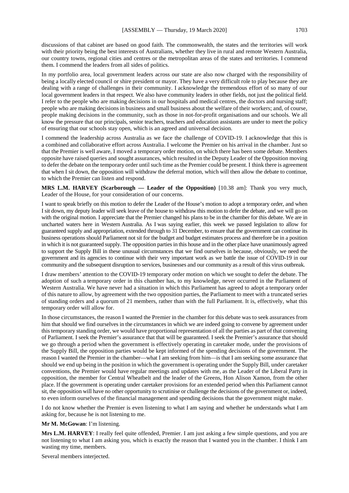discussions of that cabinet are based on good faith. The commonwealth, the states and the territories will work with their priority being the best interests of Australians, whether they live in rural and remote Western Australia, our country towns, regional cities and centres or the metropolitan areas of the states and territories. I commend them. I commend the leaders from all sides of politics.

In my portfolio area, local government leaders across our state are also now charged with the responsibility of being a locally elected council or shire president or mayor. They have a very difficult role to play because they are dealing with a range of challenges in their community. I acknowledge the tremendous effort of so many of our local government leaders in that respect. We also have community leaders in other fields, not just the political field. I refer to the people who are making decisions in our hospitals and medical centres, the doctors and nursing staff; people who are making decisions in business and small business about the welfare of their workers; and, of course, people making decisions in the community, such as those in not-for-profit organisations and our schools. We all know the pressure that our principals, senior teachers, teachers and education assistants are under to meet the policy of ensuring that our schools stay open, which is an agreed and universal decision.

I commend the leadership across Australia as we face the challenge of COVID-19. I acknowledge that this is a combined and collaborative effort across Australia. I welcome the Premier on his arrival in the chamber. Just so that the Premier is well aware, I moved a temporary order motion, on which there has been some debate. Members opposite have raised queries and sought assurances, which resulted in the Deputy Leader of the Opposition moving to defer the debate on the temporary order until such time as the Premier could be present. I think there is agreement that when I sit down, the opposition will withdraw the deferral motion, which will then allow the debate to continue, to which the Premier can listen and respond.

**MRS L.M. HARVEY (Scarborough — Leader of the Opposition)** [10.38 am]: Thank you very much, Leader of the House, for your consideration of our concerns.

I want to speak briefly on this motion to defer the Leader of the House's motion to adopt a temporary order, and when I sit down, my deputy leader will seek leave of the house to withdraw this motion to defer the debate, and we will go on with the original motion. I appreciate that the Premier changed his plans to be in the chamber for this debate. We are in uncharted waters here in Western Australia. As I was saying earlier, this week we passed legislation to allow for guaranteed supply and appropriation, extended through to 31 December, to ensure that the government can continue its business operations should Parliament not sit for the budget and budget estimates process and therefore be in a position in which it is not guaranteed supply. The opposition parties in this house and in the other place have unanimously agreed to support the Supply Bill in these unusual circumstances that we find ourselves in because, obviously, we need the government and its agencies to continue with their very important work as we battle the issue of COVID-19 in our community and the subsequent disruption to services, businesses and our community as a result of this virus outbreak.

I draw members' attention to the COVID-19 temporary order motion on which we sought to defer the debate. The adoption of such a temporary order in this chamber has, to my knowledge, never occurred in the Parliament of Western Australia. We have never had a situation in which this Parliament has agreed to adopt a temporary order of this nature to allow, by agreement with the two opposition parties, the Parliament to meet with a truncated series of standing orders and a quorum of 21 members, rather than with the full Parliament. It is, effectively, what this temporary order will allow for.

In those circumstances, the reason I wanted the Premier in the chamber for this debate was to seek assurances from him that should we find ourselves in the circumstances in which we are indeed going to convene by agreement under this temporary standing order, we would have proportional representation of all the parties as part of that convening of Parliament. I seek the Premier's assurance that that will be guaranteed. I seek the Premier's assurance that should we go through a period when the government is effectively operating in caretaker mode, under the provisions of the Supply Bill, the opposition parties would be kept informed of the spending decisions of the government. The reason I wanted the Premier in the chamber—what I am seeking from him—is that I am seeking some assurance that should we end up being in the position in which the government is operating under the Supply Bill, under caretaker conventions, the Premier would have regular meetings and updates with me, as the Leader of the Liberal Party in opposition, the member for Central Wheatbelt and the leader of the Greens, Hon Alison Xamon, from the other place. If the government is operating under caretaker provisions for an extended period when this Parliament cannot sit, the opposition will have no other opportunity to scrutinise or challenge the decisions of the government or, indeed, to even inform ourselves of the financial management and spending decisions that the government might make.

I do not know whether the Premier is even listening to what I am saying and whether he understands what I am asking for, because he is not listening to me.

#### **Mr M. McGowan**: I'm listening.

**Mrs L.M. HARVEY**: I really feel quite offended, Premier. I am just asking a few simple questions, and you are not listening to what I am asking you, which is exactly the reason that I wanted you in the chamber. I think I am wasting my time, members.

Several members interjected.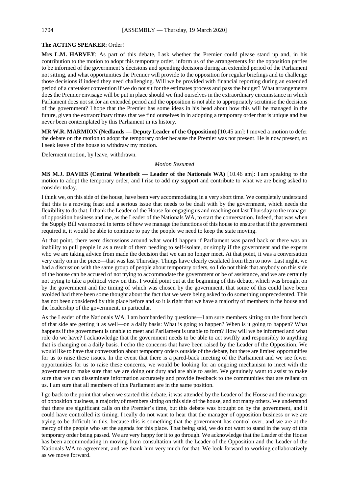# **The ACTING SPEAKER**: Order!

**Mrs L.M. HARVEY**: As part of this debate, I ask whether the Premier could please stand up and, in his contribution to the motion to adopt this temporary order, inform us of the arrangements for the opposition parties to be informed of the government's decisions and spending decisions during an extended period of the Parliament not sitting, and what opportunities the Premier will provide to the opposition for regular briefings and to challenge those decisions if indeed they need challenging. Will we be provided with financial reporting during an extended period of a caretaker convention if we do not sit for the estimates process and pass the budget? What arrangements does the Premier envisage will be put in place should we find ourselves in the extraordinary circumstance in which Parliament does not sit for an extended period and the opposition is not able to appropriately scrutinise the decisions of the government? I hope that the Premier has some ideas in his head about how this will be managed in the future, given the extraordinary times that we find ourselves in in adopting a temporary order that is unique and has never been contemplated by this Parliament in its history.

**MR W.R. MARMION (Nedlands — Deputy Leader of the Opposition)** [10.45 am]: I moved a motion to defer the debate on the motion to adopt the temporary order because the Premier was not present. He is now present, so I seek leave of the house to withdraw my motion.

Deferment motion, by leave, withdrawn.

#### *Motion Resumed*

**MS M.J. DAVIES (Central Wheatbelt — Leader of the Nationals WA)** [10.46 am]: I am speaking to the motion to adopt the temporary order, and I rise to add my support and contribute to what we are being asked to consider today.

I think we, on this side of the house, have been very accommodating in a very short time. We completely understand that this is a moving feast and a serious issue that needs to be dealt with by the government, which needs the flexibility to do that. I thank the Leader of the House for engaging us and reaching out last Thursday to the manager of opposition business and me, as the Leader of the Nationals WA, to start the conversation. Indeed, that was when the Supply Bill was mooted in terms of how we manage the functions of this house to ensure that if the government required it, it would be able to continue to pay the people we need to keep the state moving.

At that point, there were discussions around what would happen if Parliament was pared back or there was an inability to pull people in as a result of them needing to self-isolate, or simply if the government and the experts who we are taking advice from made the decision that we can no longer meet. At that point, it was a conversation very early on in the piece—that was last Thursday. Things have clearly escalated from then to now. Last night, we had a discussion with the same group of people about temporary orders, so I do not think that anybody on this side of the house can be accused of not trying to accommodate the government or be of assistance, and we are certainly not trying to take a political view on this. I would point out at the beginning of this debate, which was brought on by the government and the timing of which was chosen by the government, that some of this could have been avoided had there been some thought about the fact that we were being asked to do something unprecedented. This has not been considered by this place before and so it is right that we have a majority of members in the house and the leadership of the government, in particular.

As the Leader of the Nationals WA, I am bombarded by questions—I am sure members sitting on the front bench of that side are getting it as well—on a daily basis: What is going to happen? When is it going to happen? What happens if the government is unable to meet and Parliament is unable to form? How will we be informed and what role do we have? I acknowledge that the government needs to be able to act swiftly and responsibly to anything that is changing on a daily basis. I echo the concerns that have been raised by the Leader of the Opposition. We would like to have that conversation about temporary orders outside of the debate, but there are limited opportunities for us to raise these issues. In the event that there is a pared-back meeting of the Parliament and we see fewer opportunities for us to raise these concerns, we would be looking for an ongoing mechanism to meet with the government to make sure that we are doing our duty and are able to assist. We genuinely want to assist to make sure that we can disseminate information accurately and provide feedback to the communities that are reliant on us. I am sure that all members of this Parliament are in the same position.

I go back to the point that when we started this debate, it was attended by the Leader of the House and the manager of opposition business, a majority of members sitting on this side of the house, and not many others. We understand that there are significant calls on the Premier's time, but this debate was brought on by the government, and it could have controlled its timing. I really do not want to hear that the manager of opposition business or we are trying to be difficult in this, because this is something that the government has control over, and we are at the mercy of the people who set the agenda for this place. That being said, we do not want to stand in the way of this temporary order being passed. We are very happy for it to go through. We acknowledge that the Leader of the House has been accommodating in moving from consultation with the Leader of the Opposition and the Leader of the Nationals WA to agreement, and we thank him very much for that. We look forward to working collaboratively as we move forward.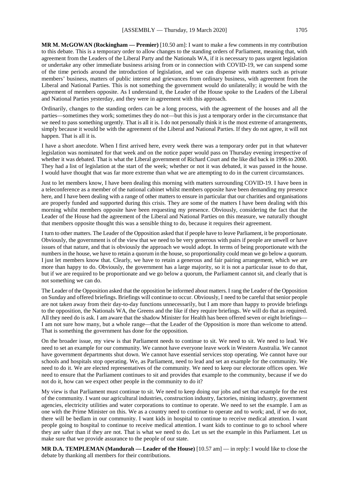**MR M. McGOWAN (Rockingham — Premier)** [10.50 am]: I want to make a few comments in my contribution to this debate. This is a temporary order to allow changes to the standing orders of Parliament, meaning that, with agreement from the Leaders of the Liberal Party and the Nationals WA, if it is necessary to pass urgent legislation or undertake any other immediate business arising from or in connection with COVID-19, we can suspend some of the time periods around the introduction of legislation, and we can dispense with matters such as private members' business, matters of public interest and grievances from ordinary business, with agreement from the Liberal and National Parties. This is not something the government would do unilaterally; it would be with the agreement of members opposite. As I understand it, the Leader of the House spoke to the Leaders of the Liberal and National Parties yesterday, and they were in agreement with this approach.

Ordinarily, changes to the standing orders can be a long process, with the agreement of the houses and all the parties—sometimes they work; sometimes they do not—but this is just a temporary order in the circumstance that we need to pass something urgently. That is all it is. I do not personally think it is the most extreme of arrangements, simply because it would be with the agreement of the Liberal and National Parties. If they do not agree, it will not happen. That is all it is.

I have a short anecdote. When I first arrived here, every week there was a temporary order put in that whatever legislation was nominated for that week and on the notice paper would pass on Thursday evening irrespective of whether it was debated. That is what the Liberal government of Richard Court and the like did back in 1996 to 2000. They had a list of legislation at the start of the week; whether or not it was debated, it was passed in the house. I would have thought that was far more extreme than what we are attempting to do in the current circumstances.

Just to let members know, I have been dealing this morning with matters surrounding COVID-19. I have been in a teleconference as a member of the national cabinet whilst members opposite have been demanding my presence here, and I have been dealing with a range of other matters to ensure in particular that our charities and organisations are properly funded and supported during this crisis. They are some of the matters I have been dealing with this morning whilst members opposite have been requesting my presence. Obviously, considering the fact that the Leader of the House had the agreement of the Liberal and National Parties on this measure, we naturally thought that members opposite thought this was a sensible thing to do, because it requires their agreement.

I turn to other matters. The Leader of the Opposition asked that if people have to leave Parliament, it be proportionate. Obviously, the government is of the view that we need to be very generous with pairs if people are unwell or have issues of that nature, and that is obviously the approach we would adopt. In terms of being proportionate with the numbers in the house, we have to retain a quorum in the house, so proportionality could mean we go below a quorum. I just let members know that. Clearly, we have to retain a generous and fair pairing arrangement, which we are more than happy to do. Obviously, the government has a large majority, so it is not a particular issue to do that, but if we are required to be proportionate and we go below a quorum, the Parliament cannot sit, and clearly that is not something we can do.

The Leader of the Opposition asked that the opposition be informed about matters. I rang the Leader of the Opposition on Sunday and offered briefings. Briefings will continue to occur. Obviously, I need to be careful that senior people are not taken away from their day-to-day functions unnecessarily, but I am more than happy to provide briefings to the opposition, the Nationals WA, the Greens and the like if they require briefings. We will do that as required. All they need do is ask. I am aware that the shadow Minister for Health has been offered seven or eight briefings— I am not sure how many, but a whole range—that the Leader of the Opposition is more than welcome to attend. That is something the government has done for the opposition.

On the broader issue, my view is that Parliament needs to continue to sit. We need to sit. We need to lead. We need to set an example for our community. We cannot have everyone leave work in Western Australia. We cannot have government departments shut down. We cannot have essential services stop operating. We cannot have our schools and hospitals stop operating. We, as Parliament, need to lead and set an example for the community. We need to do it. We are elected representatives of the community. We need to keep our electorate offices open. We need to ensure that the Parliament continues to sit and provides that example to the community, because if we do not do it, how can we expect other people in the community to do it?

My view is that Parliament must continue to sit. We need to keep doing our jobs and set that example for the rest of the community. I want our agricultural industries, construction industry, factories, mining industry, government agencies, electricity utilities and water corporations to continue to operate. We need to set the example. I am as one with the Prime Minister on this. We as a country need to continue to operate and to work; and, if we do not, there will be bedlam in our community. I want kids in hospital to continue to receive medical attention. I want people going to hospital to continue to receive medical attention. I want kids to continue to go to school where they are safer than if they are not. That is what we need to do. Let us set the example in this Parliament. Let us make sure that we provide assurance to the people of our state.

**MR D.A. TEMPLEMAN (Mandurah — Leader of the House)** [10.57 am] — in reply: I would like to close the debate by thanking all members for their contributions.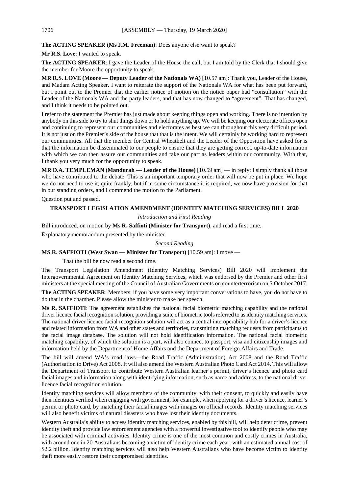# **The ACTING SPEAKER (Ms J.M. Freeman)**: Does anyone else want to speak?

#### **Mr R.S. Love**: I wanted to speak.

**The ACTING SPEAKER**: I gave the Leader of the House the call, but I am told by the Clerk that I should give the member for Moore the opportunity to speak.

**MR R.S. LOVE (Moore — Deputy Leader of the Nationals WA)** [10.57 am]: Thank you, Leader of the House, and Madam Acting Speaker. I want to reiterate the support of the Nationals WA for what has been put forward, but I point out to the Premier that the earlier notice of motion on the notice paper had "consultation" with the Leader of the Nationals WA and the party leaders, and that has now changed to "agreement". That has changed, and I think it needs to be pointed out.

I refer to the statement the Premier has just made about keeping things open and working. There is no intention by anybody on this side to try to shut things down or to hold anything up. We will be keeping our electorate offices open and continuing to represent our communities and electorates as best we can throughout this very difficult period. It is not just on the Premier's side of the house that that is the intent. We will certainly be working hard to represent our communities. All that the member for Central Wheatbelt and the Leader of the Opposition have asked for is that the information be disseminated to our people to ensure that they are getting correct, up-to-date information with which we can then assure our communities and take our part as leaders within our community. With that, I thank you very much for the opportunity to speak.

**MR D.A. TEMPLEMAN (Mandurah — Leader of the House)** [10.59 am] — in reply: I simply thank all those who have contributed to the debate. This is an important temporary order that will now be put in place. We hope we do not need to use it, quite frankly, but if in some circumstance it is required, we now have provision for that in our standing orders, and I commend the motion to the Parliament.

Question put and passed.

# **TRANSPORT LEGISLATION AMENDMENT (IDENTITY MATCHING SERVICES) BILL 2020**

#### *Introduction and First Reading*

Bill introduced, on motion by **Ms R. Saffioti (Minister for Transport)**, and read a first time.

Explanatory memorandum presented by the minister.

# *Second Reading*

# **MS R. SAFFIOTI (West Swan — Minister for Transport)** [10.59 am]: I move —

That the bill be now read a second time.

The Transport Legislation Amendment (Identity Matching Services) Bill 2020 will implement the Intergovernmental Agreement on Identity Matching Services, which was endorsed by the Premier and other first ministers at the special meeting of the Council of Australian Governments on counterterrorism on 5 October 2017.

**The ACTING SPEAKER**: Members, if you have some very important conversations to have, you do not have to do that in the chamber. Please allow the minister to make her speech.

**Ms R. SAFFIOTI**: The agreement establishes the national facial biometric matching capability and the national driver licence facial recognition solution, providing a suite of biometric tools referred to as identity matching services. The national driver licence facial recognition solution will act as a central interoperability hub for a driver's licence and related information from WA and other states and territories, transmitting matching requests from participants to the facial image database. The solution will not hold identification information. The national facial biometric matching capability, of which the solution is a part, will also connect to passport, visa and citizenship images and information held by the Department of Home Affairs and the Department of Foreign Affairs and Trade.

The bill will amend WA's road laws—the Road Traffic (Administration) Act 2008 and the Road Traffic (Authorisation to Drive) Act 2008. It will also amend the Western Australian Photo Card Act 2014. This will allow the Department of Transport to contribute Western Australian learner's permit, driver's licence and photo card facial images and information along with identifying information, such as name and address, to the national driver licence facial recognition solution.

Identity matching services will allow members of the community, with their consent, to quickly and easily have their identities verified when engaging with government, for example, when applying for a driver's licence, learner's permit or photo card, by matching their facial images with images on official records. Identity matching services will also benefit victims of natural disasters who have lost their identity documents.

Western Australia's ability to access identity matching services, enabled by this bill, will help deter crime, prevent identity theft and provide law enforcement agencies with a powerful investigative tool to identify people who may be associated with criminal activities. Identity crime is one of the most common and costly crimes in Australia, with around one in 20 Australians becoming a victim of identity crime each year, with an estimated annual cost of \$2.2 billion. Identity matching services will also help Western Australians who have become victim to identity theft more easily restore their compromised identities.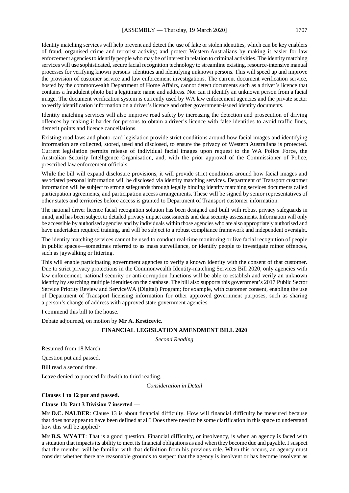Identity matching services will help prevent and detect the use of fake or stolen identities, which can be key enablers of fraud, organised crime and terrorist activity; and protect Western Australians by making it easier for law enforcement agencies to identify people who may be of interest in relation to criminal activities. The identity matching services will use sophisticated, secure facial recognition technology to streamline existing, resource-intensive manual processes for verifying known persons' identities and identifying unknown persons. This will speed up and improve the provision of customer service and law enforcement investigations. The current document verification service, hosted by the commonwealth Department of Home Affairs, cannot detect documents such as a driver's licence that contains a fraudulent photo but a legitimate name and address. Nor can it identify an unknown person from a facial image. The document verification system is currently used by WA law enforcement agencies and the private sector to verify identification information on a driver's licence and other government-issued identity documents.

Identity matching services will also improve road safety by increasing the detection and prosecution of driving offences by making it harder for persons to obtain a driver's licence with false identities to avoid traffic fines, demerit points and licence cancellations.

Existing road laws and photo-card legislation provide strict conditions around how facial images and identifying information are collected, stored, used and disclosed, to ensure the privacy of Western Australians is protected. Current legislation permits release of individual facial images upon request to the WA Police Force, the Australian Security Intelligence Organisation, and, with the prior approval of the Commissioner of Police, prescribed law enforcement officials.

While the bill will expand disclosure provisions, it will provide strict conditions around how facial images and associated personal information will be disclosed via identity matching services. Department of Transport customer information will be subject to strong safeguards through legally binding identity matching services documents called participation agreements, and participation access arrangements. These will be signed by senior representatives of other states and territories before access is granted to Department of Transport customer information.

The national driver licence facial recognition solution has been designed and built with robust privacy safeguards in mind, and has been subject to detailed privacy impact assessments and data security assessments. Information will only be accessible by authorised agencies and by individuals within those agencies who are also appropriately authorised and have undertaken required training, and will be subject to a robust compliance framework and independent oversight.

The identity matching services cannot be used to conduct real-time monitoring or live facial recognition of people in public spaces—sometimes referred to as mass surveillance, or identify people to investigate minor offences, such as jaywalking or littering.

This will enable participating government agencies to verify a known identity with the consent of that customer. Due to strict privacy protections in the Commonwealth Identity-matching Services Bill 2020, only agencies with law enforcement, national security or anti-corruption functions will be able to establish and verify an unknown identity by searching multiple identities on the database. The bill also supports this government's 2017 Public Sector Service Priority Review and ServiceWA (Digital) Program; for example, with customer consent, enabling the use of Department of Transport licensing information for other approved government purposes, such as sharing a person's change of address with approved state government agencies.

I commend this bill to the house.

Debate adjourned, on motion by **Mr A. Krsticevic**.

# **FINANCIAL LEGISLATION AMENDMENT BILL 2020**

*Second Reading*

Resumed from 18 March.

Question put and passed.

Bill read a second time.

Leave denied to proceed forthwith to third reading.

*Consideration in Detail*

# **Clauses 1 to 12 put and passed.**

#### **Clause 13: Part 3 Division 7 inserted —**

**Mr D.C. NALDER**: Clause 13 is about financial difficulty. How will financial difficulty be measured because that does not appear to have been defined at all? Does there need to be some clarification in this space to understand how this will be applied?

**Mr B.S. WYATT**: That is a good question. Financial difficulty, or insolvency, is when an agency is faced with a situation that impacts its ability to meet its financial obligations as and when they become due and payable. I suspect that the member will be familiar with that definition from his previous role. When this occurs, an agency must consider whether there are reasonable grounds to suspect that the agency is insolvent or has become insolvent as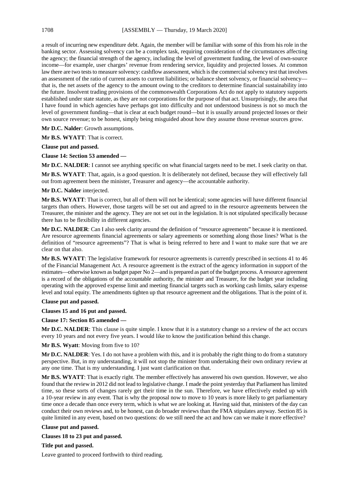a result of incurring new expenditure debt. Again, the member will be familiar with some of this from his role in the banking sector. Assessing solvency can be a complex task, requiring consideration of the circumstances affecting the agency; the financial strength of the agency, including the level of government funding, the level of own-source income—for example, user charges' revenue from rendering service, liquidity and projected losses. At common law there are two tests to measure solvency: cashflow assessment, which is the commercial solvency test that involves an assessment of the ratio of current assets to current liabilities; or balance sheet solvency, or financial solvency that is, the net assets of the agency to the amount owing to the creditors to determine financial sustainability into the future. Insolvent trading provisions of the commonwealth Corporations Act do not apply to statutory supports established under state statute, as they are not corporations for the purpose of that act. Unsurprisingly, the area that I have found in which agencies have perhaps got into difficulty and not understood business is not so much the level of government funding—that is clear at each budget round—but it is usually around projected losses or their own source revenue; to be honest, simply being misguided about how they assume those revenue sources grow.

**Mr D.C. Nalder**: Growth assumptions.

**Mr B.S. WYATT**: That is correct.

**Clause put and passed.**

**Clause 14: Section 53 amended —**

**Mr D.C. NALDER**: I cannot see anything specific on what financial targets need to be met. I seek clarity on that.

**Mr B.S. WYATT**: That, again, is a good question. It is deliberately not defined, because they will effectively fall out from agreement been the minister, Treasurer and agency—the accountable authority.

# **Mr D.C. Nalder** interjected.

**Mr B.S. WYATT**: That is correct, but all of them will not be identical; some agencies will have different financial targets than others. However, those targets will be set out and agreed to in the resource agreements between the Treasurer, the minister and the agency. They are not set out in the legislation. It is not stipulated specifically because there has to be flexibility in different agencies.

**Mr D.C. NALDER**: Can I also seek clarity around the definition of "resource agreements" because it is mentioned. Are resource agreements financial agreements or salary agreements or something along those lines? What is the definition of "resource agreements"? That is what is being referred to here and I want to make sure that we are clear on that also.

**Mr B.S. WYATT**: The legislative framework for resource agreements is currently prescribed in sections 41 to 46 of the Financial Management Act. A resource agreement is the extract of the agency information in support of the estimates—otherwise known as budget paper No 2—and is prepared as part of the budget process. A resource agreement is a record of the obligations of the accountable authority, the minister and Treasurer, for the budget year including operating with the approved expense limit and meeting financial targets such as working cash limits, salary expense level and total equity. The amendments tighten up that resource agreement and the obligations. That is the point of it.

# **Clause put and passed.**

**Clauses 15 and 16 put and passed.**

#### **Clause 17: Section 85 amended —**

**Mr D.C. NALDER**: This clause is quite simple. I know that it is a statutory change so a review of the act occurs every 10 years and not every five years. I would like to know the justification behind this change.

**Mr B.S. Wyatt**: Moving from five to 10?

**Mr D.C. NALDER**: Yes. I do not have a problem with this, and it is probably the right thing to do from a statutory perspective. But, in my understanding, it will not stop the minister from undertaking their own ordinary review at any one time. That is my understanding. I just want clarification on that.

**Mr B.S. WYATT**: That is exactly right. The member effectively has answered his own question. However, we also found that the review in 2012 did not lead to legislative change. I made the point yesterday that Parliament has limited time, so these sorts of changes rarely get their time in the sun. Therefore, we have effectively ended up with a 10-year review in any event. That is why the proposal now to move to 10 years is more likely to get parliamentary time once a decade than once every term, which is what we are looking at. Having said that, ministers of the day can conduct their own reviews and, to be honest, can do broader reviews than the FMA stipulates anyway. Section 85 is quite limited in any event, based on two questions: do we still need the act and how can we make it more effective?

#### **Clause put and passed.**

**Clauses 18 to 23 put and passed.**

**Title put and passed.**

Leave granted to proceed forthwith to third reading.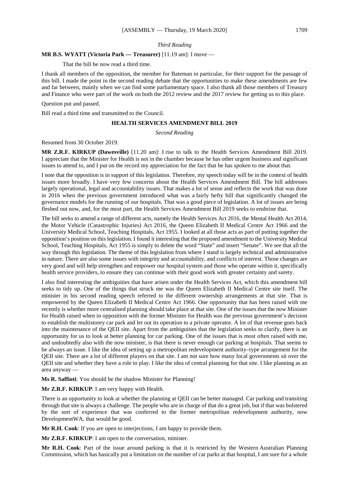#### *Third Reading*

# **MR B.S. WYATT (Victoria Park — Treasurer)** [11.19 am]: I move —

That the bill be now read a third time.

I thank all members of the opposition, the member for Bateman in particular, for their support for the passage of this bill. I made the point in the second reading debate that the opportunities to make these amendments are few and far between, mainly when we can find some parliamentary space. I also thank all those members of Treasury and Finance who were part of the work on both the 2012 review and the 2017 review for getting us to this place.

Question put and passed.

Bill read a third time and transmitted to the Council.

#### **HEALTH SERVICES AMENDMENT BILL 2019**

*Second Reading*

Resumed from 30 October 2019.

**MR Z.R.F. KIRKUP (Dawesville)** [11.20 am]: I rise to talk to the Health Services Amendment Bill 2019. I appreciate that the Minister for Health is not in the chamber because he has other urgent business and significant issues to attend to, and I put on the record my appreciation for the fact that he has spoken to me about that.

I note that the opposition is in support of this legislation. Therefore, my speech today will be in the context of health issues more broadly. I have very few concerns about the Health Services Amendment Bill. The bill addresses largely operational, legal and accountability issues. That makes a lot of sense and reflects the work that was done in 2016 when the previous government introduced what was a fairly hefty bill that significantly changed the governance models for the running of our hospitals. That was a good piece of legislation. A lot of issues are being fleshed out now, and, for the most part, the Health Services Amendment Bill 2019 seeks to enshrine that.

The bill seeks to amend a range of different acts, namely the Health Services Act 2016, the Mental Health Act 2014, the Motor Vehicle (Catastrophic Injuries) Act 2016, the Queen Elizabeth II Medical Centre Act 1966 and the University Medical School, Teaching Hospitals, Act 1955. I looked at all those acts as part of putting together the opposition's position on this legislation. I found it interesting that the proposed amendment to the University Medical School, Teaching Hospitals, Act 1955 is simply to delete the word "State" and insert "Senate". We see that all the way through this legislation. The theme of this legislation from where I stand is largely technical and administrative in nature. There are also some issues with integrity and accountability, and conflicts of interest. Those changes are very good and will help strengthen and empower our hospital system and those who operate within it, specifically health service providers, to ensure they can continue with their good work with greater certainty and surety.

I also find interesting the ambiguities that have arisen under the Health Services Act, which this amendment bill seeks to tidy up. One of the things that struck me was the Queen Elizabeth II Medical Centre site itself. The minister in his second reading speech referred to the different ownership arrangements at that site. That is empowered by the Queen Elizabeth II Medical Centre Act 1966. One opportunity that has been raised with me recently is whether more centralised planning should take place at that site. One of the issues that the now Minister for Health raised when in opposition with the former Minister for Health was the previous government's decision to establish the multistorey car park and let out its operation to a private operator. A lot of that revenue goes back into the maintenance of the QEII site. Apart from the ambiguities that the legislation seeks to clarify, there is an opportunity for us to look at better planning for car parking. One of the issues that is most often raised with me, and undoubtedly also with the now minister, is that there is never enough car parking at hospitals. That seems to be always an issue. I like the idea of setting up a metropolitan redevelopment authority–type arrangement for the QEII site. There are a lot of different players on that site. I am not sure how many local governments sit over the QEII site and whether they have a role to play. I like the idea of central planning for that site. I like planning as an area anyway —

**Ms R. Saffioti**: You should be the shadow Minister for Planning!

**Mr Z.R.F. KIRKUP**: I am very happy with Health.

There is an opportunity to look at whether the planning at QEII can be better managed. Car parking and transiting through that site is always a challenge. The people who are in charge of that do a great job, but if that was bolstered by the sort of experience that was conferred to the former metropolitan redevelopment authority, now DevelopmentWA, that would be good.

**Mr R.H. Cook**: If you are open to interjections, I am happy to provide them.

**Mr Z.R.F. KIRKUP**: I am open to the conversation, minister.

**Mr R.H. Cook**: Part of the issue around parking is that it is restricted by the Western Australian Planning Commission, which has basically put a limitation on the number of car parks at that hospital, I am sure for a whole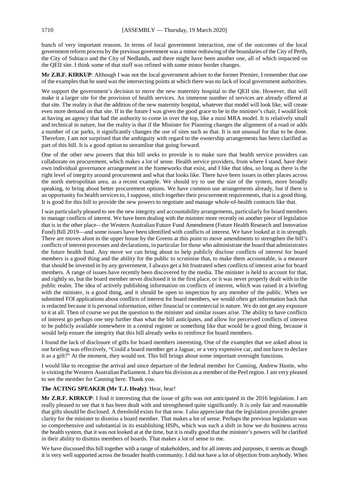bunch of very important reasons. In terms of local government interaction, one of the outcomes of the local government reform process by the previous government was a minor redrawing of the boundaries of the City of Perth, the City of Subiaco and the City of Nedlands, and there might have been another one, all of which impacted on the QEII site. I think some of that stuff was refined with some minor border changes.

**Mr Z.R.F. KIRKUP**: Although I was not the local government adviser to the former Premier, I remember that one of the examples that he used was the intersecting points at which there was no lack of local government authorities.

We support the government's decision to move the new maternity hospital to the QEII site. However, that will make it a larger site for the provision of health services. An immense number of services are already offered at that site. The reality is that the addition of the new maternity hospital, whatever that model will look like, will create even more demand on that site. If in the future I was given the good grace to be in the minister's chair, I would look at having an agency that had the authority to come in over the top, like a mini MRA model. It is relatively small and technical in nature, but the reality is that if the Minister for Planning changes the alignment of a road or adds a number of car parks, it significantly changes the use of sites such as that. It is not unusual for that to be done. Therefore, I am not surprised that the ambiguity with regard to the ownership arrangements has been clarified as part of this bill. It is a good option to streamline that going forward.

One of the other new powers that this bill seeks to provide is to make sure that health service providers can collaborate on procurement, which makes a lot of sense. Health service providers, from where I stand, have their own individual governance arrangement in the frameworks that exist, and I like that idea, so long as there is the right level of integrity around procurement and what that looks like. There have been issues in other places across the north metropolitan area, as a recent example. We should try to use the size of the system, more broadly speaking, to bring about better procurement options. We have common use arrangements already, but if there is an opportunity for health services to, I suppose, stitch together their procurement requirements, that is a good thing. It is good for this bill to provide the new powers to negotiate and manage whole-of-health contracts like that.

I was particularly pleased to see the new integrity and accountability arrangements, particularly for board members to manage conflicts of interest. We have been dealing with the minister more recently on another piece of legislation that is in the other place—the Western Australian Future Fund Amendment (Future Health Research and Innovation Fund) Bill 2019—and some issues have been identified with conflicts of interest. We have looked at it in strength. There are moves afoot in the upper house by the Greens at this point to move amendments to strengthen the bill's conflicts of interest processes and declarations, in particular for those who administrate the board that administrates the future health fund. Any move we can bring about to help publicly disclose conflicts of interest for board members is a good thing and the ability for the public to scrutinise that, to make them accountable, is a measure that should be invested in by any government. I always get a bit frustrated when conflicts of interest arise for board members. A range of issues have recently been discovered by the media. The minister is held to account for that, and rightly so, but the board member never disclosed it in the first place, or it was never properly dealt with in the public realm. The idea of actively publishing information on conflicts of interest, which was raised in a briefing with the minister, is a good thing, and it should be open to inspection by any member of the public. When we submitted FOI applications about conflicts of interest for board members, we would often get information back that is redacted because it is personal information, either financial or commercial in nature. We do not get any exposure to it at all. Then of course we put the question to the minister and similar issues arise. The ability to have conflicts of interest go perhaps one step further than what the bill anticipates, and allow for perceived conflicts of interest to be publicly available somewhere in a central register or something like that would be a good thing, because it would help ensure the integrity that this bill already seeks to reinforce for board members.

I found the lack of disclosure of gifts for board members interesting. One of the examples that we asked about in our briefing was effectively, "Could a board member get a Jaguar, or a very expensive car, and not have to declare it as a gift?" At the moment, they would not. This bill brings about some important oversight functions.

I would like to recognise the arrival and since departure of the federal member for Canning, Andrew Hastie, who is visiting the Western Australian Parliament. I share his division as a member of the Peel region. I am very pleased to see the member for Canning here. Thank you.

# **The ACTING SPEAKER (Mr T.J. Healy)**: Hear, hear!

**Mr Z.R.F. KIRKUP**: I find it interesting that the issue of gifts was not anticipated in the 2016 legislation. I am really pleased to see that it has been dealt with and strengthened quite significantly. It is only fair and reasonable that gifts should be disclosed. A threshold exists for that now. I also appreciate that the legislation provides greater clarity for the minister to dismiss a board member. That makes a lot of sense. Perhaps the previous legislation was so comprehensive and substantial in its establishing HSPs, which was such a shift in how we do business across the health system, that it was not looked at at the time, but it is really good that the minister's powers will be clarified in their ability to dismiss members of boards. That makes a lot of sense to me.

We have discussed this bill together with a range of stakeholders, and for all intents and purposes, it seems as though it is very well supported across the broader health community. I did not have a lot of objection from anybody. When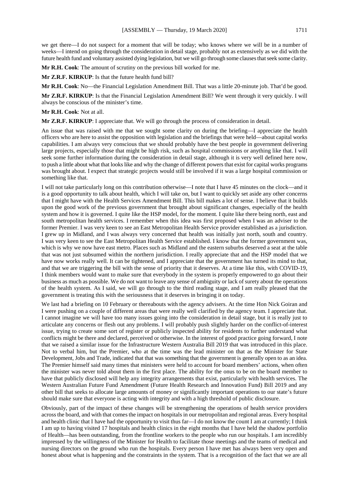we get there—I do not suspect for a moment that will be today; who knows where we will be in a number of weeks—I intend on going through the consideration in detail stage, probably not as extensively as we did with the future health fund and voluntary assisted dying legislation, but we will go through some clauses that seek some clarity.

**Mr R.H. Cook**: The amount of scrutiny on the previous bill worked for me.

**Mr Z.R.F. KIRKUP**: Is that the future health fund bill?

**Mr R.H. Cook**: No—the Financial Legislation Amendment Bill. That was a little 20-minute job. That'd be good.

**Mr Z.R.F. KIRKUP**: Is that the Financial Legislation Amendment Bill? We went through it very quickly. I will always be conscious of the minister's time.

# **Mr R.H. Cook**: Not at all.

**Mr Z.R.F. KIRKUP**: I appreciate that. We will go through the process of consideration in detail.

An issue that was raised with me that we sought some clarity on during the briefing—I appreciate the health officers who are here to assist the opposition with legislation and the briefings that were held—about capital works capabilities. I am always very conscious that we should probably have the best people in government delivering large projects, especially those that might be high risk, such as hospital commissions or anything like that. I will seek some further information during the consideration in detail stage, although it is very well defined here now, to push a little about what that looks like and why the change of different powers that exist for capital works programs was brought about. I expect that strategic projects would still be involved if it was a large hospital commission or something like that.

I will not take particularly long on this contribution otherwise—I note that I have 45 minutes on the clock—and it is a good opportunity to talk about health, which I will take on, but I want to quickly set aside any other concerns that I might have with the Health Services Amendment Bill. This bill makes a lot of sense. I believe that it builds upon the good work of the previous government that brought about significant changes, especially of the health system and how it is governed. I quite like the HSP model, for the moment. I quite like there being north, east and south metropolitan health services. I remember when this idea was first proposed when I was an adviser to the former Premier. I was very keen to see an East Metropolitan Health Service provider established as a jurisdiction. I grew up in Midland, and I was always very concerned that health was initially just north, south and country. I was very keen to see the East Metropolitan Health Service established. I know that the former government was, which is why we now have east metro. Places such as Midland and the eastern suburbs deserved a seat at the table that was not just subsumed within the northern jurisdiction. I really appreciate that and the HSP model that we have now works really well. It can be tightened, and I appreciate that the government has turned its mind to that, and that we are triggering the bill with the sense of priority that it deserves. At a time like this, with COVID-19, I think members would want to make sure that everybody in the system is properly empowered to go about their business as much as possible. We do not want to leave any sense of ambiguity or lack of surety about the operations of the health system. As I said, we will go through to the third reading stage, and I am really pleased that the government is treating this with the seriousness that it deserves in bringing it on today.

We last had a briefing on 10 February or thereabouts with the agency advisers. At the time Hon Nick Goiran and I were pushing on a couple of different areas that were really well clarified by the agency team. I appreciate that. I cannot imagine we will have too many issues going into the consideration in detail stage, but it is really just to articulate any concerns or flesh out any problems. I will probably push slightly harder on the conflict-of-interest issue, trying to create some sort of register or publicly inspected ability for residents to further understand what conflicts might be there and declared, perceived or otherwise. In the interest of good practice going forward, I note that we raised a similar issue for the Infrastructure Western Australia Bill 2019 that was introduced in this place. Not to verbal him, but the Premier, who at the time was the lead minister on that as the Minister for State Development, Jobs and Trade, indicated that that was something that the government is generally open to as an idea. The Premier himself said many times that ministers were held to account for board members' actions, when often the minister was never told about them in the first place. The ability for the onus to be on the board member to have that publicly disclosed will help any integrity arrangements that exist, particularly with health services. The Western Australian Future Fund Amendment (Future Health Research and Innovation Fund) Bill 2019 and any other bill that seeks to allocate large amounts of money or significantly important operations to our state's future should make sure that everyone is acting with integrity and with a high threshold of public disclosure.

Obviously, part of the impact of these changes will be strengthening the operations of health service providers across the board, and with that comes the impact on hospitals in our metropolitan and regional areas. Every hospital and health clinic that I have had the opportunity to visit thus far—I do not know the count I am at currently; I think I am up to having visited 17 hospitals and health clinics in the eight months that I have held the shadow portfolio of Health—has been outstanding, from the frontline workers to the people who run our hospitals. I am incredibly impressed by the willingness of the Minister for Health to facilitate those meetings and the teams of medical and nursing directors on the ground who run the hospitals. Every person I have met has always been very open and honest about what is happening and the constraints in the system. That is a recognition of the fact that we are all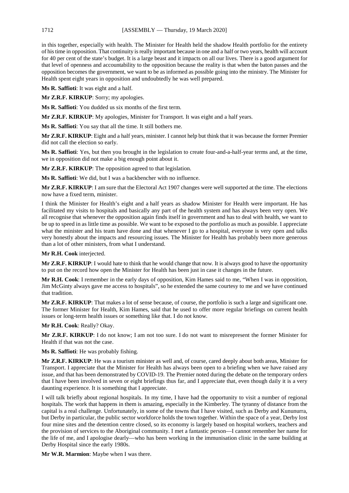in this together, especially with health. The Minister for Health held the shadow Health portfolio for the entirety of his time in opposition. That continuity is really important because in one and a half or two years, health will account for 40 per cent of the state's budget. It is a large beast and it impacts on all our lives. There is a good argument for that level of openness and accountability to the opposition because the reality is that when the baton passes and the opposition becomes the government, we want to be as informed as possible going into the ministry. The Minister for Health spent eight years in opposition and undoubtedly he was well prepared.

**Ms R. Saffioti**: It was eight and a half.

**Mr Z.R.F. KIRKUP**: Sorry; my apologies.

**Ms R. Saffioti**: You dudded us six months of the first term.

**Mr Z.R.F. KIRKUP**: My apologies, Minister for Transport. It was eight and a half years.

**Ms R. Saffioti**: You say that all the time. It still bothers me.

**Mr Z.R.F. KIRKUP**: Eight and a half years, minister. I cannot help but think that it was because the former Premier did not call the election so early.

**Ms R. Saffioti**: Yes, but then you brought in the legislation to create four-and-a-half-year terms and, at the time, we in opposition did not make a big enough point about it.

**Mr Z.R.F. KIRKUP**: The opposition agreed to that legislation.

**Ms R. Saffioti**: We did, but I was a backbencher with no influence.

**Mr Z.R.F. KIRKUP**: I am sure that the Electoral Act 1907 changes were well supported at the time. The elections now have a fixed term, minister.

I think the Minister for Health's eight and a half years as shadow Minister for Health were important. He has facilitated my visits to hospitals and basically any part of the health system and has always been very open. We all recognise that whenever the opposition again finds itself in government and has to deal with health, we want to be up to speed in as little time as possible. We want to be exposed to the portfolio as much as possible. I appreciate what the minister and his team have done and that whenever I go to a hospital, everyone is very open and talks very honestly about the impacts and resourcing issues. The Minister for Health has probably been more generous than a lot of other ministers, from what I understand.

**Mr R.H. Cook** interjected.

**Mr Z.R.F. KIRKUP**: I would hate to think that he would change that now. It is always good to have the opportunity to put on the record how open the Minister for Health has been just in case it changes in the future.

**Mr R.H. Cook**: I remember in the early days of opposition, Kim Hames said to me, "When I was in opposition, Jim McGinty always gave me access to hospitals", so he extended the same courtesy to me and we have continued that tradition.

**Mr Z.R.F. KIRKUP**: That makes a lot of sense because, of course, the portfolio is such a large and significant one. The former Minister for Health, Kim Hames, said that he used to offer more regular briefings on current health issues or long-term health issues or something like that. I do not know.

**Mr R.H. Cook**: Really? Okay.

**Mr Z.R.F. KIRKUP**: I do not know; I am not too sure. I do not want to misrepresent the former Minister for Health if that was not the case.

**Ms R. Saffioti**: He was probably fishing.

**Mr Z.R.F. KIRKUP**: He was a tourism minister as well and, of course, cared deeply about both areas, Minister for Transport. I appreciate that the Minister for Health has always been open to a briefing when we have raised any issue, and that has been demonstrated by COVID-19. The Premier noted during the debate on the temporary orders that I have been involved in seven or eight briefings thus far, and I appreciate that, even though daily it is a very daunting experience. It is something that I appreciate.

I will talk briefly about regional hospitals. In my time, I have had the opportunity to visit a number of regional hospitals. The work that happens in them is amazing, especially in the Kimberley. The tyranny of distance from the capital is a real challenge. Unfortunately, in some of the towns that I have visited, such as Derby and Kununurra, but Derby in particular, the public sector workforce holds the town together. Within the space of a year, Derby lost four mine sites and the detention centre closed, so its economy is largely based on hospital workers, teachers and the provision of services to the Aboriginal community. I met a fantastic person—I cannot remember her name for the life of me, and I apologise dearly—who has been working in the immunisation clinic in the same building at Derby Hospital since the early 1980s.

**Mr W.R. Marmion**: Maybe when I was there.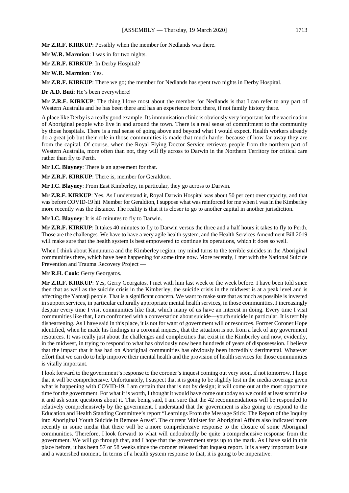**Mr Z.R.F. KIRKUP**: Possibly when the member for Nedlands was there.

**Mr W.R. Marmion**: I was in for two nights.

**Mr Z.R.F. KIRKUP**: In Derby Hospital?

**Mr W.R. Marmion**: Yes.

**Mr Z.R.F. KIRKUP**: There we go; the member for Nedlands has spent two nights in Derby Hospital.

**Dr A.D. Buti**: He's been everywhere!

**Mr Z.R.F. KIRKUP**: The thing I love most about the member for Nedlands is that I can refer to any part of Western Australia and he has been there and has an experience from there, if not family history there.

A place like Derby is a really good example. Its immunisation clinic is obviously very important for the vaccination of Aboriginal people who live in and around the town. There is a real sense of commitment to the community by those hospitals. There is a real sense of going above and beyond what I would expect. Health workers already do a great job but their role in those communities is made that much harder because of how far away they are from the capital. Of course, when the Royal Flying Doctor Service retrieves people from the northern part of Western Australia, more often than not, they will fly across to Darwin in the Northern Territory for critical care rather than fly to Perth.

**Mr I.C. Blayney**: There is an agreement for that.

**Mr Z.R.F. KIRKUP**: There is, member for Geraldton.

**Mr I.C. Blayney**: From East Kimberley, in particular, they go across to Darwin.

**Mr Z.R.F. KIRKUP**: Yes. As I understand it, Royal Darwin Hospital was about 50 per cent over capacity, and that was before COVID-19 hit. Member for Geraldton, I suppose what was reinforced for me when I was in the Kimberley more recently was the distance. The reality is that it is closer to go to another capital in another jurisdiction.

**Mr I.C. Blayney**: It is 40 minutes to fly to Darwin.

**Mr Z.R.F. KIRKUP**: It takes 40 minutes to fly to Darwin versus the three and a half hours it takes to fly to Perth. Those are the challenges. We have to have a very agile health system, and the Health Services Amendment Bill 2019 will make sure that the health system is best empowered to continue its operations, which it does so well.

When I think about Kununurra and the Kimberley region, my mind turns to the terrible suicides in the Aboriginal communities there, which have been happening for some time now. More recently, I met with the National Suicide Prevention and Trauma Recovery Project —

# **Mr R.H. Cook**: Gerry Georgatos.

**Mr Z.R.F. KIRKUP**: Yes, Gerry Georgatos. I met with him last week or the week before. I have been told since then that as well as the suicide crisis in the Kimberley, the suicide crisis in the midwest is at a peak level and is affecting the Yamatji people. That is a significant concern. We want to make sure that as much as possible is invested in support services, in particular culturally appropriate mental health services, in those communities. I increasingly despair every time I visit communities like that, which many of us have an interest in doing. Every time I visit communities like that, I am confronted with a conversation about suicide—youth suicide in particular. It is terribly disheartening. As I have said in this place, it is not for want of government will or resources. Former Coroner Hope identified, when he made his findings in a coronial inquest, that the situation is not from a lack of any government resources. It was really just about the challenges and complexities that exist in the Kimberley and now, evidently, in the midwest, in trying to respond to what has obviously now been hundreds of years of dispossession. I believe that the impact that it has had on Aboriginal communities has obviously been incredibly detrimental. Whatever effort that we can do to help improve their mental health and the provision of health services for those communities is vitally important.

I look forward to the government's response to the coroner's inquest coming out very soon, if not tomorrow. I hope that it will be comprehensive. Unfortunately, I suspect that it is going to be slightly lost in the media coverage given what is happening with COVID-19. I am certain that that is not by design; it will come out at the most opportune time for the government. For what it is worth, I thought it would have come out today so we could at least scrutinise it and ask some questions about it. That being said, I am sure that the 42 recommendations will be responded to relatively comprehensively by the government. I understand that the government is also going to respond to the Education and Health Standing Committee's report "Learnings From the Message Stick: The Report of the Inquiry into Aboriginal Youth Suicide in Remote Areas". The current Minister for Aboriginal Affairs also indicated more recently in some media that there will be a more comprehensive response to the closure of some Aboriginal communities. Therefore, I look forward to what will undoubtedly be quite a comprehensive response from the government. We will go through that, and I hope that the government steps up to the mark. As I have said in this place before, it has been 57 or 58 weeks since the coroner released that inquest report. It is a very important issue and a watershed moment. In terms of a health system response to that, it is going to be imperative.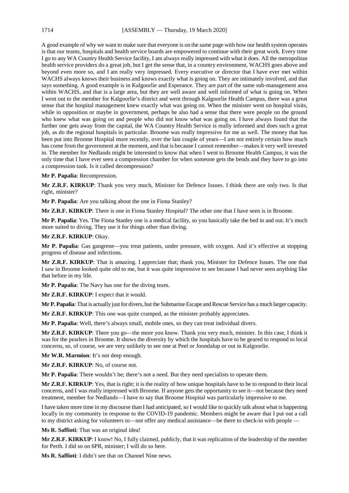A good example of why we want to make sure that everyone is on the same page with how our health system operates is that our teams, hospitals and health service boards are empowered to continue with their great work. Every time I go to any WA Country Health Service facility, I am always really impressed with what it does. All the metropolitan health service providers do a great job, but I get the sense that, in a country environment, WACHS goes above and beyond even more so, and I am really very impressed. Every executive or director that I have ever met within WACHS always knows their business and knows exactly what is going on. They are intimately involved, and that says something. A good example is in Kalgoorlie and Esperance. They are part of the same sub-management area within WACHS, and that is a large area, but they are well aware and well informed of what is going on. When I went out to the member for Kalgoorlie's district and went through Kalgoorlie Health Campus, there was a great sense that the hospital management knew exactly what was going on. When the minister went on hospital visits, while in opposition or maybe in government, perhaps he also had a sense that there were people on the ground who knew what was going on and people who did not know what was going on. I have always found that the further one gets away from the capital, the WA Country Health Service is really informed and does such a great job, as do the regional hospitals in particular. Broome was really impressive for me as well. The money that has been put into Broome Hospital more recently, over the last couple of years—I am not entirely certain how much has come from the government at the moment, and that is because I cannot remember—makes it very well invested in. The member for Nedlands might be interested to know that when I went to Broome Health Campus, it was the only time that I have ever seen a compression chamber for when someone gets the bends and they have to go into a compression tank. Is it called decompression?

# **Mr P. Papalia**: Recompression.

**Mr Z.R.F. KIRKUP**: Thank you very much, Minister for Defence Issues. I think there are only two. Is that right, minister?

**Mr P. Papalia**: Are you talking about the one in Fiona Stanley?

**Mr Z.R.F. KIRKUP**: There is one in Fiona Stanley Hospital? The other one that I have seen is in Broome.

**Mr P. Papalia**: Yes. The Fiona Stanley one is a medical facility, so you basically take the bed in and out. It's much more suited to diving. They use it for things other than diving.

# **Mr Z.R.F. KIRKUP**: Okay.

**Mr P. Papalia**: Gas gangrene—you treat patients, under pressure, with oxygen. And it's effective at stopping progress of disease and infections.

**Mr Z.R.F. KIRKUP**: That is amazing. I appreciate that; thank you, Minister for Defence Issues. The one that I saw in Broome looked quite old to me, but it was quite impressive to see because I had never seen anything like that before in my life.

**Mr P. Papalia**: The Navy has one for the diving team.

**Mr Z.R.F. KIRKUP**: I expect that it would.

**Mr P. Papalia**: That is actually just for divers, but the Submarine Escape and Rescue Service has a much larger capacity.

**Mr Z.R.F. KIRKUP**: This one was quite cramped, as the minister probably appreciates.

**Mr P. Papalia**: Well, there's always small, mobile ones, so they can treat individual divers.

**Mr Z.R.F. KIRKUP**: There you go—the more you know. Thank you very much, minister. In this case, I think it was for the pearlers in Broome. It shows the diversity by which the hospitals have to be geared to respond to local concerns, so, of course, we are very unlikely to see one at Peel or Joondalup or out in Kalgoorlie.

**Mr W.R. Marmion**: It's not deep enough.

**Mr Z.R.F. KIRKUP**: No, of course not.

**Mr P. Papalia**: There wouldn't be; there's not a need. But they need specialists to operate them.

**Mr Z.R.F. KIRKUP**: Yes, that is right; it is the reality of how unique hospitals have to be to respond to their local concerns, and I was really impressed with Broome. If anyone gets the opportunity to see it—not because they need treatment, member for Nedlands—I have to say that Broome Hospital was particularly impressive to me.

I have taken more time in my discourse than I had anticipated, so I would like to quickly talk about what is happening locally in my community in response to the COVID-19 pandemic. Members might be aware that I put out a call to my district asking for volunteers to—not offer any medical assistance—be there to check-in with people —

**Ms R. Saffioti**: That was an original idea!

**Mr Z.R.F. KIRKUP**: I know! No, I fully claimed, publicly, that it was replication of the leadership of the member for Perth. I did so on 6PR, minister; I will do so here.

**Ms R. Saffioti**: I didn't see that on Channel Nine news.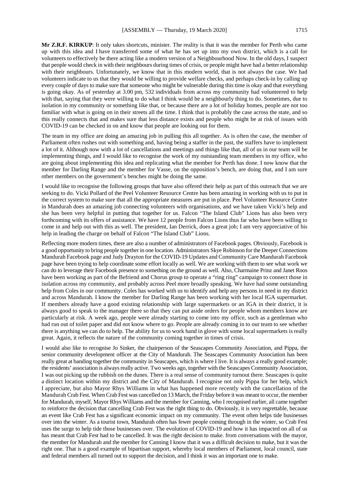**Mr Z.R.F. KIRKUP**: It only takes shortcuts, minister. The reality is that it was the member for Perth who came up with this idea and I have transferred some of what he has set up into my own district, which is a call for volunteers to effectively be there acting like a modern version of a Neighbourhood Now. In the old days, I suspect that people would check in with their neighbours during times of crisis, or people might have had a better relationship with their neighbours. Unfortunately, we know that in this modern world, that is not always the case. We had volunteers indicate to us that they would be willing to provide welfare checks, and perhaps check-in by calling up every couple of days to make sure that someone who might be vulnerable during this time is okay and that everything is going okay. As of yesterday at 3.00 pm, 532 individuals from across my community had volunteered to help with that, saying that they were willing to do what I think would be a neighbourly thing to do. Sometimes, due to isolation in my community or something like that, or because there are a lot of holiday homes, people are not too familiar with what is going on in their streets all the time. I think that is probably the case across the state, and so this really connects that and makes sure that less distance exists and people who might be at risk of issues with COVID-19 can be checked in on and know that people are looking out for them.

The team in my office are doing an amazing job in pulling this all together. As is often the case, the member of Parliament often rushes out with something and, having being a staffer in the past, the staffers have to implement a lot of it. Although now with a lot of cancellations and meetings and things like that, all of us in our team will be implementing things, and I would like to recognise the work of my outstanding team members in my office, who are going about implementing this idea and replicating what the member for Perth has done. I now know that the member for Darling Range and the member for Vasse, on the opposition's bench, are doing that, and I am sure other members on the government's benches might be doing the same.

I would like to recognise the following groups that have also offered their help as part of this outreach that we are seeking to do. Vicki Pollard of the Peel Volunteer Resource Centre has been amazing in working with us to put in the correct system to make sure that all the appropriate measures are put in place. Peel Volunteer Resource Centre in Mandurah does an amazing job connecting volunteers with organisations, and we have taken Vicki's help and she has been very helpful in putting that together for us. Falcon "The Island Club" Lions has also been very forthcoming with its offers of assistance. We have 12 people from Falcon Lions thus far who have been willing to come in and help out with this as well. The president, Ian Derrick, does a great job; I am very appreciative of his help in leading the charge on behalf of Falcon "The Island Club" Lions.

Reflecting more modern times, there are also a number of administrators of Facebook pages. Obviously, Facebook is a good opportunity to bring people together in one location. Administrators Skye Robinson for the Deeper Connections Mandurah Facebook page and Judy Drayton for the COVID-19 Updates and Community Care Mandurah Facebook page have been trying to help coordinate some effort locally as well. We are working with them to see what work we can do to leverage their Facebook presence to something on the ground as well. Also, Charmaine Prinz and Janet Roos have been working as part of the Befriend and Chorus group to operate a "ring ring" campaign to connect those in isolation across my community, and probably across Peel more broadly speaking. We have had some outstanding help from Coles in our community. Coles has worked with us to identify and help any persons in need in my district and across Mandurah. I know the member for Darling Range has been working with her local IGA supermarket. If members already have a good existing relationship with large supermarkets or an IGA in their district, it is always good to speak to the manager there so that they can put aside orders for people whom members know are particularly at risk. A week ago, people were already starting to come into my office, such as a gentleman who had run out of toilet paper and did not know where to go. People are already coming in to our team to see whether there is anything we can do to help. The ability for us to work hand in glove with some local supermarkets is really great. Again, it reflects the nature of the community coming together in times of crisis.

I would also like to recognise Jo Sinker, the chairperson of the Seascapes Community Association, and Pippa, the senior community development officer at the City of Mandurah. The Seascapes Community Association has been really great at banding together the community in Seascapes, which is where I live. It is always a really good example; the residents' association is always really active. Two weeks ago, together with the Seascapes Community Association, I was out picking up the rubbish on the dunes. There is a real sense of community turnout there. Seascapes is quite a distinct location within my district and the City of Mandurah. I recognise not only Pippa for her help, which I appreciate, but also Mayor Rhys Williams in what has happened more recently with the cancellation of the Mandurah Crab Fest. When Crab Fest was cancelled on 13 March, the Friday before it was meant to occur, the member for Mandurah, myself, Mayor Rhys Williams and the member for Canning, who I recognised earlier, all came together to reinforce the decision that cancelling Crab Fest was the right thing to do. Obviously, it is very regrettable, because an event like Crab Fest has a significant economic impact on my community. The event often helps tide businesses over into the winter. As a tourist town, Mandurah often has fewer people coming through in the winter, so Crab Fest uses the surge to help tide those businesses over. The evolution of COVID-19 and how it has impacted on all of us has meant that Crab Fest had to be cancelled. It was the right decision to make. from conversations with the mayor, the member for Mandurah and the member for Canning I know that it was a difficult decision to make, but it was the right one. That is a good example of bipartisan support, whereby local members of Parliament, local council, state and federal members all turned out to support the decision, and I think it was an important one to make.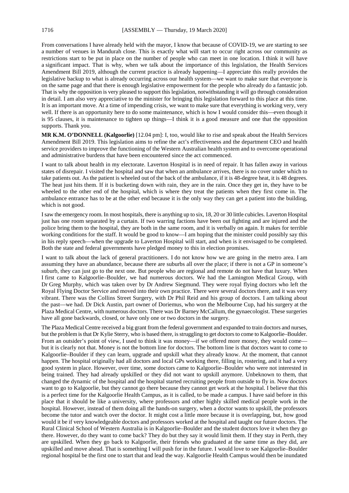From conversations I have already held with the mayor, I know that because of COVID-19, we are starting to see a number of venues in Mandurah close. This is exactly what will start to occur right across our community as restrictions start to be put in place on the number of people who can meet in one location. I think it will have a significant impact. That is why, when we talk about the importance of this legislation, the Health Services Amendment Bill 2019, although the current practice is already happening—I appreciate this really provides the legislative backup to what is already occurring across our health system—we want to make sure that everyone is on the same page and that there is enough legislative empowerment for the people who already do a fantastic job. That is why the opposition is very pleased to support this legislation, notwithstanding it will go through consideration in detail. I am also very appreciative to the minister for bringing this legislation forward to this place at this time. It is an important move. At a time of impending crisis, we want to make sure that everything is working very, very well. If there is an opportunity here to do some maintenance, which is how I would consider this—even though it is 95 clauses, it is maintenance to tighten up things—I think it is a good measure and one that the opposition supports. Thank you.

**MR K.M. O'DONNELL (Kalgoorlie)** [12.04 pm]: I, too, would like to rise and speak about the Health Services Amendment Bill 2019. This legislation aims to refine the act's effectiveness and the department CEO and health service providers to improve the functioning of the Western Australian health system and to overcome operational and administrative burdens that have been encountered since the act commenced.

I want to talk about health in my electorate. Laverton Hospital is in need of repair. It has fallen away in various states of disrepair. I visited the hospital and saw that when an ambulance arrives, there is no cover under which to take patients out. As the patient is wheeled out of the back of the ambulance, if it is 48-degree heat, it is 48 degrees. The heat just hits them. If it is bucketing down with rain, they are in the rain. Once they get in, they have to be wheeled to the other end of the hospital, which is where they treat the patients when they first come in. The ambulance entrance has to be at the other end because it is the only way they can get a patient into the building, which is not good.

I saw the emergency room. In most hospitals, there is anything up to six, 18, 20 or 30 little cubicles. Laverton Hospital just has one room separated by a curtain. If two warring factions have been out fighting and are injured and the police bring them to the hospital, they are both in the same room, and it is verbally on again. It makes for terrible working conditions for the staff. It would be good to know—I am hoping that the minister could possibly say this in his reply speech—when the upgrade to Laverton Hospital will start, and when is it envisaged to be completed. Both the state and federal governments have pledged money to this in election promises.

I want to talk about the lack of general practitioners. I do not know how we are going in the metro area. I am assuming they have an abundance, because there are suburbs all over the place; if there is not a GP in someone's suburb, they can just go to the next one. But people who are regional and remote do not have that luxury. When I first came to Kalgoorlie–Boulder, we had numerous doctors. We had the Lamington Medical Group, with Dr Greg Murphy, which was taken over by Dr Andrew Siegmund. They were royal flying doctors who left the Royal Flying Doctor Service and moved into their own practice. There were several doctors there, and it was very vibrant. There was the Collins Street Surgery, with Dr Phil Reid and his group of doctors. I am talking about the past—we had. Dr Dick Austin, part owner of Doriemus, who won the Melbourne Cup, had his surgery at the Plaza Medical Centre, with numerous doctors. There was Dr Barney McCallum, the gynaecologist. These surgeries have all gone backwards, closed, or have only one or two doctors in the surgery.

The Plaza Medical Centre received a big grant from the federal government and expanded to train doctors and nurses, but the problem is that Dr Kylie Sterry, who is based there, is struggling to get doctors to come to Kalgoorlie–Boulder. From an outsider's point of view, I used to think it was money—if we offered more money, they would come but it is clearly not that. Money is not the bottom line for doctors. The bottom line is that doctors want to come to Kalgoorlie–Boulder if they can learn, upgrade and upskill what they already know. At the moment, that cannot happen. The hospital originally had all doctors and local GPs working there, filling in, rostering, and it had a very good system in place. However, over time, some doctors came to Kalgoorlie–Boulder who were not interested in being trained. They had already upskilled or they did not want to upskill anymore. Unbeknown to them, that changed the dynamic of the hospital and the hospital started recruiting people from outside to fly in. Now doctors want to go to Kalgoorlie, but they cannot go there because they cannot get work at the hospital. I believe that this is a perfect time for the Kalgoorlie Health Campus, as it is called, to be made a campus. I have said before in this place that it should be like a university, where professors and other highly skilled medical people work in the hospital. However, instead of them doing all the hands-on surgery, when a doctor wants to upskill, the professors become the tutor and watch over the doctor. It might cost a little more because it is overlapping, but, how good would it be if very knowledgeable doctors and professors worked at the hospital and taught our future doctors. The Rural Clinical School of Western Australia is in Kalgoorlie–Boulder and the student doctors love it when they go there. However, do they want to come back? They do but they say it would limit them. If they stay in Perth, they are upskilled. When they go back to Kalgoorlie, their friends who graduated at the same time as they did, are upskilled and move ahead. That is something I will push for in the future. I would love to see Kalgoorlie–Boulder regional hospital be the first one to start that and lead the way. Kalgoorlie Health Campus would then be inundated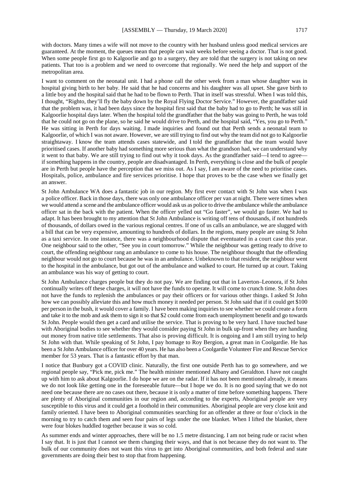with doctors. Many times a wife will not move to the country with her husband unless good medical services are guaranteed. At the moment, the queues mean that people can wait weeks before seeing a doctor. That is not good. When some people first go to Kalgoorlie and go to a surgery, they are told that the surgery is not taking on new patients. That too is a problem and we need to overcome that regionally. We need the help and support of the metropolitan area.

I want to comment on the neonatal unit. I had a phone call the other week from a man whose daughter was in hospital giving birth to her baby. He said that he had concerns and his daughter was all upset. She gave birth to a little boy and the hospital said that he had to be flown to Perth. That in itself was stressful. When I was told this, I thought, "Righto, they'll fly the baby down by the Royal Flying Doctor Service." However, the grandfather said that the problem was, it had been days since the hospital first said that the baby had to go to Perth; he was still in Kalgoorlie hospital days later. When the hospital told the grandfather that the baby was going to Perth, he was told that he could not go on the plane, so he said he would drive to Perth, and the hospital said, "Yes, you go to Perth." He was sitting in Perth for days waiting. I made inquiries and found out that Perth sends a neonatal team to Kalgoorlie, of which I was not aware. However, we are still trying to find out why the team did not go to Kalgoorlie straightaway. I know the team attends cases statewide, and I told the grandfather that the team would have prioritised cases. If another baby had something more serious than what the grandson had, we can understand why it went to that baby. We are still trying to find out why it took days. As the grandfather said—I tend to agree if something happens in the country, people are disadvantaged. In Perth, everything is close and the bulk of people are in Perth but people have the perception that we miss out. As I say, I am aware of the need to prioritise cases. Hospitals, police, ambulance and fire services prioritise. I hope that proves to be the case when we finally get an answer.

St John Ambulance WA does a fantastic job in our region. My first ever contact with St John was when I was a police officer. Back in those days, there was only one ambulance officer per van at night. There were times when we would attend a scene and the ambulance officer would ask us as police to drive the ambulance while the ambulance officer sat in the back with the patient. When the officer yelled out "Go faster", we would go faster. We had to adapt. It has been brought to my attention that St John Ambulance is writing off tens of thousands, if not hundreds of thousands, of dollars owed in the various regional centres. If one of us calls an ambulance, we are slugged with a bill that can be very expensive, amounting to hundreds of dollars. In the regions, many people are using St John as a taxi service. In one instance, there was a neighbourhood dispute that eventuated in a court case this year. One neighbour said to the other, "See you in court tomorrow." While the neighbour was getting ready to drive to court, the offending neighbour rang an ambulance to come to his house. The neighbour thought that the offending neighbour would not go to court because he was in an ambulance. Unbeknown to that resident, the neighbour went to the hospital in the ambulance, but got out of the ambulance and walked to court. He turned up at court. Taking an ambulance was his way of getting to court.

St John Ambulance charges people but they do not pay. We are finding out that in Laverton–Leonora, if St John continually writes off these charges, it will not have the funds to operate. It will come to crunch time. St John does not have the funds to replenish the ambulances or pay their officers or for various other things. I asked St John how we can possibly alleviate this and how much money it needed per person. St John said that if it could get \$100 per person in the bush, it would cover a family. I have been making inquiries to see whether we could create a form and take it to the mob and ask them to sign it so that \$2 could come from each unemployment benefit and go towards St John. People would then get a card and utilise the service. That is proving to be very hard. I have touched base with Aboriginal bodies to see whether they would consider paying St John in bulk up-front when they are handing out money from native title settlements. That also is proving difficult. It is ongoing and I am still trying to help St John with that. While speaking of St John, I pay homage to Roy Bergion, a great man in Coolgardie. He has been a St John Ambulance officer for over 40 years. He has also been a Coolgardie Volunteer Fire and Rescue Service member for 53 years. That is a fantastic effort by that man.

I notice that Bunbury got a COVID clinic. Naturally, the first one outside Perth has to go somewhere, and we regional people say, "Pick me, pick me." The health minister mentioned Albany and Geraldton. I have not caught up with him to ask about Kalgoorlie. I do hope we are on the radar. If it has not been mentioned already, it means we do not look like getting one in the foreseeable future—but I hope we do. It is no good saying that we do not need one because there are no cases out there, because it is only a matter of time before something happens. There are plenty of Aboriginal communities in our region and, according to the experts, Aboriginal people are very susceptible to this virus and it could get a foothold in their communities. Aboriginal people are very close knit and family oriented. I have been to Aboriginal communities searching for an offender at three or four o'clock in the morning to try to catch them and seen four pairs of legs under the one blanket. When I lifted the blanket, there were four blokes huddled together because it was so cold.

As summer ends and winter approaches, there will be no 1.5 metre distancing. I am not being rude or racist when I say that. It is just that I cannot see them changing their ways, and that is not because they do not want to. The bulk of our community does not want this virus to get into Aboriginal communities, and both federal and state governments are doing their best to stop that from happening.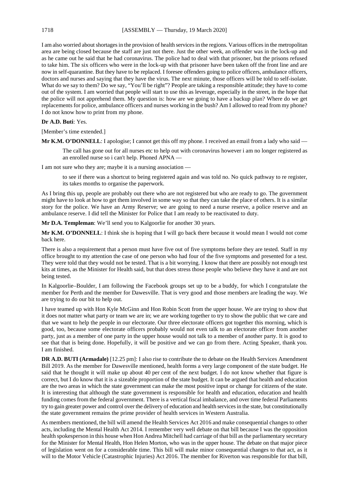I am also worried about shortages in the provision of health services in the regions. Various offices in the metropolitan area are being closed because the staff are just not there. Just the other week, an offender was in the lock-up and as he came out he said that he had coronavirus. The police had to deal with that prisoner, but the prisons refused to take him. The six officers who were in the lock-up with that prisoner have been taken off the front line and are now in self-quarantine. But they have to be replaced. I foresee offenders going to police officers, ambulance officers, doctors and nurses and saying that they have the virus. The next minute, those officers will be told to self-isolate. What do we say to them? Do we say, "You'll be right"? People are taking a responsible attitude; they have to come out of the system. I am worried that people will start to use this as leverage, especially in the street, in the hope that the police will not apprehend them. My question is: how are we going to have a backup plan? Where do we get replacements for police, ambulance officers and nurses working in the bush? Am I allowed to read from my phone? I do not know how to print from my phone.

# **Dr A.D. Buti**: Yes.

[Member's time extended.]

**Mr K.M. O'DONNELL**: I apologise; I cannot get this off my phone. I received an email from a lady who said —

The call has gone out for all nurses etc to help out with coronavirus however i am no longer registered as an enrolled nurse so i can't help. Phoned APNA —

I am not sure who they are; maybe it is a nursing association —

to see if there was a shortcut to being registered again and was told no. No quick pathway to re register, its takes months to organise the paperwork.

As I bring this up, people are probably out there who are not registered but who are ready to go. The government might have to look at how to get them involved in some way so that they can take the place of others. It is a similar story for the police. We have an Army Reserve; we are going to need a nurse reserve, a police reserve and an ambulance reserve. I did tell the Minister for Police that I am ready to be reactivated to duty.

**Mr D.A. Templeman**: We'll send you to Kalgoorlie for another 30 years.

**Mr K.M. O'DONNELL**: I think she is hoping that I will go back there because it would mean I would not come back here.

There is also a requirement that a person must have five out of five symptoms before they are tested. Staff in my office brought to my attention the case of one person who had four of the five symptoms and presented for a test. They were told that they would not be tested. That is a bit worrying. I know that there are possibly not enough test kits at times, as the Minister for Health said, but that does stress those people who believe they have it and are not being tested.

In Kalgoorlie–Boulder, I am following the Facebook groups set up to be a buddy, for which I congratulate the member for Perth and the member for Dawesville. That is very good and those members are leading the way. We are trying to do our bit to help out.

I have teamed up with Hon Kyle McGinn and Hon Robin Scott from the upper house. We are trying to show that it does not matter what party or team we are in; we are working together to try to show the public that we care and that we want to help the people in our electorate. Our three electorate officers got together this morning, which is good, too, because some electorate officers probably would not even talk to an electorate officer from another party, just as a member of one party in the upper house would not talk to a member of another party. It is good to see that that is being done. Hopefully, it will be positive and we can go from there. Acting Speaker, thank you. I am finished.

**DR A.D. BUTI (Armadale)** [12.25 pm]: I also rise to contribute the to debate on the Health Services Amendment Bill 2019. As the member for Dawesville mentioned, health forms a very large component of the state budget. He said that he thought it will make up about 40 per cent of the next budget. I do not know whether that figure is correct, but I do know that it is a sizeable proportion of the state budget. It can be argued that health and education are the two areas in which the state government can make the most positive input or change for citizens of the state. It is interesting that although the state government is responsible for health and education, education and health funding comes from the federal government. There is a vertical fiscal imbalance, and over time federal Parliaments try to gain greater power and control over the delivery of education and health services in the state, but constitutionally the state government remains the prime provider of health services in Western Australia.

As members mentioned, the bill will amend the Health Services Act 2016 and make consequential changes to other acts, including the Mental Health Act 2014. I remember very well debate on that bill because I was the opposition health spokesperson in this house when Hon Andrea Mitchell had carriage of that bill as the parliamentary secretary for the Minister for Mental Health, Hon Helen Morton, who was in the upper house. The debate on that major piece of legislation went on for a considerable time. This bill will make minor consequential changes to that act, as it will to the Motor Vehicle (Catastrophic Injuries) Act 2016. The member for Riverton was responsible for that bill,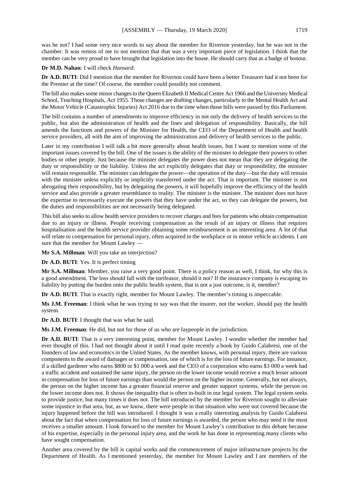was he not? I had some very nice words to say about the member for Riverton yesterday, but he was not in the chamber. It was remiss of me to not mention that that was a very important piece of legislation. I think that the member can be very proud to have brought that legislation into the house. He should carry that as a badge of honour.

#### **Dr M.D. Nahan**: I will check *Hansard*.

**Dr A.D. BUTI**: Did I mention that the member for Riverton could have been a better Treasurer had it not been for the Premier at the time? Of course, the member could possibly not comment.

The bill also makes some minor changes to the Queen Elizabeth II Medical Centre Act 1966 and the University Medical School, Teaching Hospitals, Act 1955. Those changes are drafting changes, particularly to the Mental Health Act and the Motor Vehicle (Catastrophic Injuries) Act 2016 due to the time when those bills were passed by this Parliament.

The bill contains a number of amendments to improve efficiency in not only the delivery of health services to the public, but also the administration of health and the lines and delegation of responsibility. Basically, the bill amends the functions and powers of the Minister for Health, the CEO of the Department of Health and health service providers, all with the aim of improving the administration and delivery of health services to the public.

Later in my contribution I will talk a bit more generally about health issues, but I want to mention some of the important issues covered by the bill. One of the issues is the ability of the minister to delegate their powers to other bodies or other people. Just because the minister delegates the power does not mean that they are delegating the duty or responsibility or the liability. Unless the act explicitly delegates that duty or responsibility, the minister will remain responsible. The minister can delegate the power—the operation of the duty—but the duty will remain with the minister unless explicitly or implicitly transferred under the act. That is important. The minister is not abrogating their responsibility, but by delegating the powers, it will hopefully improve the efficiency of the health service and also provide a greater resemblance to reality. The minister is the minister. The minister does not have the expertise to necessarily execute the powers that they have under the act, so they can delegate the powers, but the duties and responsibilities are not necessarily being delegated.

This bill also seeks to allow health service providers to recover charges and fees for patients who obtain compensation due to an injury or illness. People receiving compensation as the result of an injury or illness that requires hospitalisation and the health service provider obtaining some reimbursement is an interesting area. A lot of that will relate to compensation for personal injury, often acquired in the workplace or in motor vehicle accidents. I am sure that the member for Mount Lawley —

**Mr S.A. Millman**: Will you take an interjection?

**Dr A.D. BUTI**: Yes. It is perfect timing

**Mr S.A. Millman**: Member, you raise a very good point. There is a policy reason as well, I think, for why this is a good amendment. The loss should fall with the tortfeasor, should it not? If the insurance company is escaping its liability by putting the burden onto the public health system, that is not a just outcome, is it, member?

**Dr A.D. BUTI**: That is exactly right, member for Mount Lawley. The member's timing is impeccable.

**Ms J.M. Freeman**: I think what he was trying to say was that the insurer, not the worker, should pay the health system.

**Dr A.D. BUTI**: I thought that was what he said.

**Ms J.M. Freeman**: He did, but not for those of us who are laypeople in the jurisdiction.

**Dr A.D. BUTI**: That is a very interesting point, member for Mount Lawley. I wonder whether the member had ever thought of this. I had not thought about it until I read quite recently a book by Guido Calabresi, one of the founders of law and economics in the United States. As the member knows, with personal injury, there are various components to the award of damages or compensation, one of which is for the loss of future earnings. For instance, if a skilled gardener who earns \$800 or \$1 000 a week and the CEO of a corporation who earns \$3 000 a week had a traffic accident and sustained the same injury, the person on the lower income would receive a much lesser amount in compensation for loss of future earnings than would the person on the higher income. Generally, but not always, the person on the higher income has a greater financial reserve and greater support systems, while the person on the lower income does not. It shows the inequality that is often in-built in our legal system. The legal system seeks to provide justice, but many times it does not. The bill introduced by the member for Riverton sought to alleviate some injustice in that area, but, as we know, there were people in that situation who were not covered because the injury happened before the bill was introduced. I thought it was a really interesting analysis by Guido Calabresi about the fact that when compensation for loss of future earnings is awarded, the person who may need it the most receives a smaller amount. I look forward to the member for Mount Lawley's contribution to this debate because of his expertise, especially in the personal injury area, and the work he has done in representing many clients who have sought compensation.

Another area covered by the bill is capital works and the commencement of major infrastructure projects by the Department of Health. As I mentioned yesterday, the member for Mount Lawley and I are members of the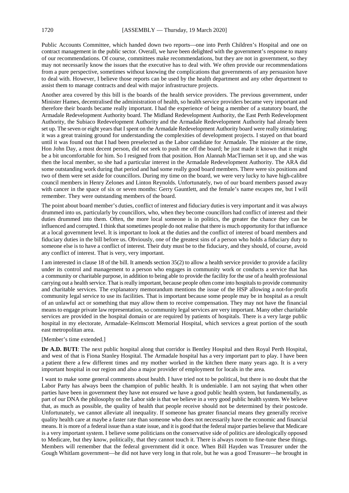Public Accounts Committee, which handed down two reports—one into Perth Children's Hospital and one on contract management in the public sector. Overall, we have been delighted with the government's response to many of our recommendations. Of course, committees make recommendations, but they are not in government, so they may not necessarily know the issues that the executive has to deal with. We often provide our recommendations from a pure perspective, sometimes without knowing the complications that governments of any persuasion have to deal with. However, I believe those reports can be used by the health department and any other department to assist them to manage contracts and deal with major infrastructure projects.

Another area covered by this bill is the boards of the health service providers. The previous government, under Minister Hames, decentralised the administration of health, so health service providers became very important and therefore their boards became really important. I had the experience of being a member of a statutory board, the Armadale Redevelopment Authority board. The Midland Redevelopment Authority, the East Perth Redevelopment Authority, the Subiaco Redevelopment Authority and the Armadale Redevelopment Authority had already been set up. The seven or eight years that I spent on the Armadale Redevelopment Authority board were really stimulating; it was a great training ground for understanding the complexities of development projects. I stayed on that board until it was found out that I had been preselected as the Labor candidate for Armadale. The minister at the time, Hon John Day, a most decent person, did not seek to push me off the board; he just made it known that it might be a bit uncomfortable for him. So I resigned from that position. Hon Alannah MacTiernan set it up, and she was then the local member, so she had a particular interest in the Armadale Redevelopment Authority. The ARA did some outstanding work during that period and had some really good board members. There were six positions and two of them were set aside for councillors. During my time on the board, we were very lucky to have high-calibre council members in Henry Zelones and Linton Reynolds. Unfortunately, two of our board members passed away with cancer in the space of six or seven months: Gerry Gauntlett, and the female's name escapes me, but I will remember. They were outstanding members of the board.

The point about board member's duties, conflict of interest and fiduciary duties is very important and it was always drummed into us, particularly by councillors, who, when they become councillors had conflict of interest and their duties drummed into them. Often, the more local someone is in politics, the greater the chance they can be influenced and corrupted. I think that sometimes people do not realise that there is much opportunity for that influence at a local government level. It is important to look at the duties and the conflict of interest of board members and fiduciary duties in the bill before us. Obviously, one of the greatest sins of a person who holds a fiduciary duty to someone else is to have a conflict of interest. Their duty must be to the fiduciary, and they should, of course, avoid any conflict of interest. That is very, very important.

I am interested in clause 18 of the bill. It amends section 35(2) to allow a health service provider to provide a facility under its control and management to a person who engages in community work or conducts a service that has a community or charitable purpose, in addition to being able to provide the facility for the use of a health professional carrying out a health service. That is really important, because people often come into hospitals to provide community and charitable services. The explanatory memorandum mentions the issue of the HSP allowing a not-for-profit community legal service to use its facilities. That is important because some people may be in hospital as a result of an unlawful act or something that may allow them to receive compensation. They may not have the financial means to engage private law representation, so community legal services are very important. Many other charitable services are provided in the hospital domain or are required by patients of hospitals. There is a very large public hospital in my electorate, Armadale–Kelmscott Memorial Hospital, which services a great portion of the south east metropolitan area.

#### [Member's time extended.]

**Dr A.D. BUTI**: The next public hospital along that corridor is Bentley Hospital and then Royal Perth Hospital, and west of that is Fiona Stanley Hospital. The Armadale hospital has a very important part to play. I have been a patient there a few different times and my mother worked in the kitchen there many years ago. It is a very important hospital in our region and also a major provider of employment for locals in the area.

I want to make some general comments about health. I have tried not to be political, but there is no doubt that the Labor Party has always been the champion of public health. It is undeniable. I am not saying that when other parties have been in government they have not ensured we have a good public health system, but fundamentally, as part of our DNA the philosophy on the Labor side is that we believe in a very good public health system. We believe that, as much as possible, the quality of health that people receive should not be determined by their postcode. Unfortunately, we cannot alleviate all inequality. If someone has greater financial means they generally receive quality health care at maybe a faster rate than someone who does not necessarily have the economic and financial means. It is more of a federal issue than a state issue, and it is good that the federal major parties believe that Medicare is a very important system. I believe some politicians on the conservative side of politics are ideologically opposed to Medicare, but they know, politically, that they cannot touch it. There is always room to fine-tune these things. Members will remember that the federal government did it once. When Bill Hayden was Treasurer under the Gough Whitlam government—he did not have very long in that role, but he was a good Treasurer—he brought in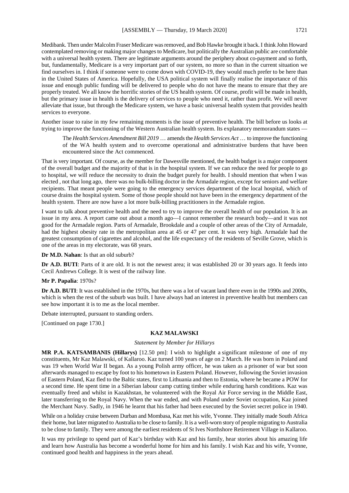Medibank. Then under Malcolm Fraser Medicare was removed, and Bob Hawke brought it back. I think John Howard contemplated removing or making major changes to Medicare, but politically the Australian public are comfortable with a universal health system. There are legitimate arguments around the periphery about co-payment and so forth, but, fundamentally, Medicare is a very important part of our system, no more so than in the current situation we find ourselves in. I think if someone were to come down with COVID-19, they would much prefer to be here than in the United States of America. Hopefully, the USA political system will finally realise the importance of this issue and enough public funding will be delivered to people who do not have the means to ensure that they are properly treated. We all know the horrific stories of the US health system. Of course, profit will be made in health, but the primary issue in health is the delivery of services to people who need it, rather than profit. We will never alleviate that issue, but through the Medicare system, we have a basic universal health system that provides health services to everyone.

Another issue to raise in my few remaining moments is the issue of preventive health. The bill before us looks at trying to improve the functioning of the Western Australian health system. Its explanatory memorandum states —

The *Health Services Amendment Bill 2019* … amends the *Health Services Act* … to improve the functioning of the WA health system and to overcome operational and administrative burdens that have been encountered since the Act commenced.

That is very important. Of course, as the member for Dawesville mentioned, the health budget is a major component of the overall budget and the majority of that is in the hospital system. If we can reduce the need for people to go to hospital, we will reduce the necessity to drain the budget purely for health. I should mention that when I was elected , not that long ago, there was no bulk-billing doctor in the Armadale region, except for seniors and welfare recipients. That meant people were going to the emergency services department of the local hospital, which of course drains the hospital system. Some of those people should not have been in the emergency department of the health system. There are now have a lot more bulk-billing practitioners in the Armadale region.

I want to talk about preventive health and the need to try to improve the overall health of our population. It is an issue in my area. A report came out about a month ago—I cannot remember the research body—and it was not good for the Armadale region. Parts of Armadale, Brookdale and a couple of other areas of the City of Armadale, had the highest obesity rate in the metropolitan area at 45 or 47 per cent. It was very high. Armadale had the greatest consumption of cigarettes and alcohol, and the life expectancy of the residents of Seville Grove, which is one of the areas in my electorate, was 68 years.

**Dr M.D. Nahan**: Is that an old suburb?

**Dr A.D. BUTI**: Parts of it are old. It is not the newest area; it was established 20 or 30 years ago. It feeds into Cecil Andrews College. It is west of the railway line.

# **Mr P. Papalia**: 1970s?

**Dr A.D. BUTI**: It was established in the 1970s, but there was a lot of vacant land there even in the 1990s and 2000s, which is when the rest of the suburb was built. I have always had an interest in preventive health but members can see how important it is to me as the local member.

Debate interrupted, pursuant to standing orders.

[Continued on page 1730.]

# **KAZ MALAWSKI**

#### *Statement by Member for Hillarys*

**MR P.A. KATSAMBANIS (Hillarys)** [12.50 pm]: I wish to highlight a significant milestone of one of my constituents, Mr Kaz Malawski, of Kallaroo. Kaz turned 100 years of age on 2 March. He was born in Poland and was 19 when World War II began. As a young Polish army officer, he was taken as a prisoner of war but soon afterwards managed to escape by foot to his hometown in Eastern Poland. However, following the Soviet invasion of Eastern Poland, Kaz fled to the Baltic states, first to Lithuania and then to Estonia, where he became a POW for a second time. He spent time in a Siberian labour camp cutting timber while enduring harsh conditions. Kaz was eventually freed and whilst in Kazakhstan, he volunteered with the Royal Air Force serving in the Middle East, later transferring to the Royal Navy. When the war ended, and with Poland under Soviet occupation, Kaz joined the Merchant Navy. Sadly, in 1946 he learnt that his father had been executed by the Soviet secret police in 1940.

While on a holiday cruise between Durban and Mombasa, Kaz met his wife, Yvonne. They initially made South Africa their home, but later migrated to Australia to be close to family. It is a well-worn story of people migrating to Australia to be close to family. They were among the earliest residents of St Ives Northshore Retirement Village in Kallaroo.

It was my privilege to spend part of Kaz's birthday with Kaz and his family, hear stories about his amazing life and learn how Australia has become a wonderful home for him and his family. I wish Kaz and his wife, Yvonne, continued good health and happiness in the years ahead.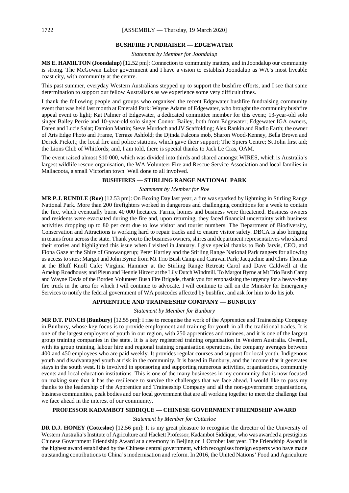# **BUSHFIRE FUNDRAISER — EDGEWATER**

*Statement by Member for Joondalup*

**MS E. HAMILTON (Joondalup)** [12.52 pm]: Connection to community matters, and in Joondalup our community is strong. The McGowan Labor government and I have a vision to establish Joondalup as WA's most liveable coast city, with community at the centre.

This past summer, everyday Western Australians stepped up to support the bushfire efforts, and I see that same determination to support our fellow Australians as we experience some very difficult times.

I thank the following people and groups who organised the recent Edgewater bushfire fundraising community event that was held last month at Emerald Park: Wayne Adams of Edgewater, who brought the community bushfire appeal event to light; Kat Palmer of Edgewater, a dedicated committee member for this event; 13-year-old solo singer Bailey Perrie and 10-year-old solo singer Connor Bailey, both from Edgewater; Edgewater IGA owners, Daren and Lucie Salat; Damion Martin; Steve Murdoch and JV Scaffolding; Alex Rankin and Radio Earth; the owner of Arts Edge Photo and Frame, Terraze Ashfold; the Djinda Falcons mob, Sharon Wood-Kenney, Bella Brown and Derick Pickett; the local fire and police stations, which gave their support; The Spiers Centre; St John first aid; the Lions Club of Whitfords; and, I am told, there is special thanks to Jack Le Cras, OAM.

The event raised almost \$10 000, which was divided into thirds and shared amongst WIRES, which is Australia's largest wildlife rescue organisation, the WA Volunteer Fire and Rescue Service Association and local families in Mallacoota, a small Victorian town. Well done to all involved.

# **BUSHFIRES — STIRLING RANGE NATIONAL PARK**

# *Statement by Member for Roe*

**MR P.J. RUNDLE (Roe)** [12.53 pm]: On Boxing Day last year, a fire was sparked by lightning in Stirling Range National Park. More than 200 firefighters worked in dangerous and challenging conditions for a week to contain the fire, which eventually burnt 40 000 hectares. Farms, homes and business were threatened. Business owners and residents were evacuated during the fire and, upon returning, they faced financial uncertainty with business activities dropping up to 80 per cent due to low visitor and tourist numbers. The Department of Biodiversity, Conservation and Attractions is working hard to repair tracks and to ensure visitor safety. DBCA is also bringing in teams from across the state. Thank you to the business owners, shires and department representatives who shared their stories and highlighted this issue when I visited in January. I give special thanks to Bob Jarvis, CEO, and Fiona Gaze at the Shire of Gnowangerup; Peter Hartley and the Stirling Range National Park rangers for allowing us access to sites; Margot and John Byrne from Mt Trio Bush Camp and Caravan Park; Jacqueline and Chris Thomas at the Bluff Knoll Cafe; Virginia Hammer at the Stirling Range Retreat; Carol and Dave Caldwell at the Amelup Roadhouse; and Pleun and Hennie Hitzert at the Lily Dutch Windmill. To Margot Byrne at Mt Trio Bush Camp and Wayne Davis of the Borden Volunteer Bush Fire Brigade, thank you for emphasising the urgency for a heavy-duty fire truck in the area for which I will continue to advocate. I will continue to call on the Minister for Emergency Services to notify the federal government of WA postcodes affected by bushfire, and ask for him to do his job.

# **APPRENTICE AND TRAINEESHIP COMPANY — BUNBURY**

*Statement by Member for Bunbury*

**MR D.T. PUNCH (Bunbury)** [12.55 pm]: I rise to recognise the work of the Apprentice and Traineeship Company in Bunbury, whose key focus is to provide employment and training for youth in all the traditional trades. It is one of the largest employers of youth in our region, with 250 apprentices and trainees, and it is one of the largest group training companies in the state. It is a key registered training organisation in Western Australia. Overall, with its group training, labour hire and regional training organisation operations, the company averages between 400 and 450 employees who are paid weekly. It provides regular courses and support for local youth, Indigenous youth and disadvantaged youth at risk in the community. It is based in Bunbury, and the income that it generates stays in the south west. It is involved in sponsoring and supporting numerous activities, organisations, community events and local education institutions. This is one of the many businesses in my community that is now focused on making sure that it has the resilience to survive the challenges that we face ahead. I would like to pass my thanks to the leadership of the Apprentice and Traineeship Company and all the non-government organisations, business communities, peak bodies and our local government that are all working together to meet the challenge that we face ahead in the interest of our community.

#### **PROFESSOR KADAMBOT SIDDIQUE — CHINESE GOVERNMENT FRIENDSHIP AWARD**

*Statement by Member for Cottesloe*

**DR D.J. HONEY (Cottesloe)** [12.56 pm]: It is my great pleasure to recognise the director of the University of Western Australia's Institute of Agriculture and Hackett Professor, Kadambot Siddique, who was awarded a prestigious Chinese Government Friendship Award at a ceremony in Beijing on 1 October last year. The Friendship Award is the highest award established by the Chinese central government, which recognises foreign experts who have made outstanding contributions to China's modernisation and reform. In 2016, the United Nations' Food and Agriculture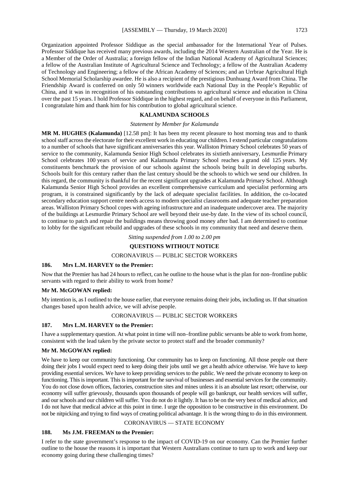Organization appointed Professor Siddique as the special ambassador for the International Year of Pulses. Professor Siddique has received many previous awards, including the 2014 Western Australian of the Year. He is a Member of the Order of Australia; a foreign fellow of the Indian National Academy of Agricultural Sciences; a fellow of the Australian Institute of Agricultural Science and Technology; a fellow of the Australian Academy of Technology and Engineering; a fellow of the African Academy of Sciences; and an Urrbrae Agricultural High School Memorial Scholarship awardee. He is also a recipient of the prestigious Dunhuang Award from China. The Friendship Award is conferred on only 50 winners worldwide each National Day in the People's Republic of China, and it was in recognition of his outstanding contributions to agricultural science and education in China over the past 15 years. I hold Professor Siddique in the highest regard, and on behalf of everyone in this Parliament, I congratulate him and thank him for his contribution to global agricultural science.

# **KALAMUNDA SCHOOLS**

#### *Statement by Member for Kalamunda*

**MR M. HUGHES (Kalamunda)** [12.58 pm]: It has been my recent pleasure to host morning teas and to thank school staff across the electorate for their excellent work in educating our children. I extend particular congratulations to a number of schools that have significant anniversaries this year. Walliston Primary School celebrates 50 years of service to the community, Kalamunda Senior High School celebrates its sixtieth anniversary, Lesmurdie Primary School celebrates 100 years of service and Kalamunda Primary School reaches a grand old 125 years. My constituents benchmark the provision of our schools against the schools being built in developing suburbs. Schools built for this century rather than the last century should be the schools to which we send our children. In this regard, the community is thankful for the recent significant upgrades at Kalamunda Primary School. Although Kalamunda Senior High School provides an excellent comprehensive curriculum and specialist performing arts program, it is constrained significantly by the lack of adequate specialist facilities. In addition, the co-located secondary education support centre needs access to modern specialist classrooms and adequate teacher preparation areas. Walliston Primary School copes with ageing infrastructure and an inadequate undercover area. The majority of the buildings at Lesmurdie Primary School are well beyond their use-by date. In the view of its school council, to continue to patch and repair the buildings means throwing good money after bad. I am determined to continue to lobby for the significant rebuild and upgrades of these schools in my community that need and deserve them.

*Sitting suspended from 1.00 to 2.00 pm* 

# **QUESTIONS WITHOUT NOTICE**

# CORONAVIRUS — PUBLIC SECTOR WORKERS

# **186. Mrs L.M. HARVEY to the Premier:**

Now that the Premier has had 24 hours to reflect, can he outline to the house what is the plan for non–frontline public servants with regard to their ability to work from home?

#### **Mr M. McGOWAN replied:**

My intention is, as I outlined to the house earlier, that everyone remains doing their jobs, including us. If that situation changes based upon health advice, we will advise people.

#### CORONAVIRUS — PUBLIC SECTOR WORKERS

#### **187. Mrs L.M. HARVEY to the Premier:**

I have a supplementary question. At what point in time will non–frontline public servants be able to work from home, consistent with the lead taken by the private sector to protect staff and the broader community?

#### **Mr M. McGOWAN replied:**

We have to keep our community functioning. Our community has to keep on functioning. All those people out there doing their jobs I would expect need to keep doing their jobs until we get a health advice otherwise. We have to keep providing essential services. We have to keep providing services to the public. We need the private economy to keep on functioning. This is important. This is important for the survival of businesses and essential services for the community. You do not close down offices, factories, construction sites and mines unless it is an absolute last resort; otherwise, our economy will suffer grievously, thousands upon thousands of people will go bankrupt, our health services will suffer, and our schools and our children will suffer. You do not do it lightly. It has to be on the very best of medical advice, and I do not have that medical advice at this point in time. I urge the opposition to be constructive in this environment. Do not be nitpicking and trying to find ways of creating political advantage. It is the wrong thing to do in this environment.

# CORONAVIRUS — STATE ECONOMY

#### **188. Ms J.M. FREEMAN to the Premier:**

I refer to the state government's response to the impact of COVID-19 on our economy. Can the Premier further outline to the house the reasons it is important that Western Australians continue to turn up to work and keep our economy going during these challenging times?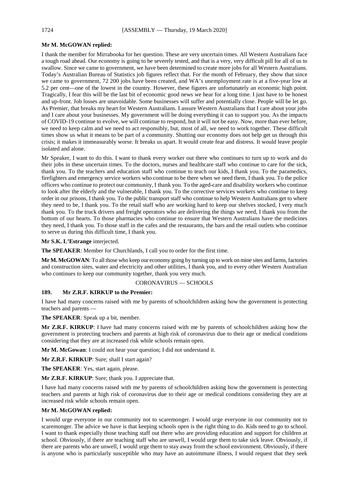#### **Mr M. McGOWAN replied:**

I thank the member for Mirrabooka for her question. These are very uncertain times. All Western Australians face a tough road ahead. Our economy is going to be severely tested, and that is a very, very difficult pill for all of us to swallow. Since we came to government, we have been determined to create more jobs for all Western Australians. Today's Australian Bureau of Statistics job figures reflect that. For the month of February, they show that since we came to government, 72 200 jobs have been created, and WA's unemployment rate is at a five-year low at 5.2 per cent—one of the lowest in the country. However, these figures are unfortunately an economic high point. Tragically, I fear this will be the last bit of economic good news we hear for a long time. I just have to be honest and up-front. Job losses are unavoidable. Some businesses will suffer and potentially close. People will be let go. As Premier, that breaks my heart for Western Australians. I assure Western Australians that I care about your jobs and I care about your businesses. My government will be doing everything it can to support you. As the impacts of COVID-19 continue to evolve, we will continue to respond, but it will not be easy. Now, more than ever before, we need to keep calm and we need to act responsibly, but, most of all, we need to work together. These difficult times show us what it means to be part of a community. Shutting our economy does not help get us through this crisis; it makes it immeasurably worse. It breaks us apart. It would create fear and distress. It would leave people isolated and alone.

Mr Speaker, I want to do this. I want to thank every worker out there who continues to turn up to work and do their jobs in these uncertain times. To the doctors, nurses and healthcare staff who continue to care for the sick, thank you. To the teachers and education staff who continue to teach our kids, I thank you. To the paramedics, firefighters and emergency service workers who continue to be there when we need them, I thank you. To the police officers who continue to protect our community, I thank you. To the aged-care and disability workers who continue to look after the elderly and the vulnerable, I thank you. To the corrective services workers who continue to keep order in our prisons, I thank you. To the public transport staff who continue to help Western Australians get to where they need to be, I thank you. To the retail staff who are working hard to keep our shelves stocked, I very much thank you. To the truck drivers and freight operators who are delivering the things we need, I thank you from the bottom of our hearts. To those pharmacies who continue to ensure that Western Australians have the medicines they need, I thank you. To those staff in the cafes and the restaurants, the bars and the retail outlets who continue to serve us during this difficult time, I thank you.

**Mr S.K. L'Estrange** interjected.

**The SPEAKER**: Member for Churchlands, I call you to order for the first time.

**Mr M. McGOWAN**: To all those who keep our economy going by turning up to work on mine sites and farms, factories and construction sites, water and electricity and other utilities, I thank you, and to every other Western Australian who continues to keep our community together, thank you very much.

## CORONAVIRUS — SCHOOLS

#### **189. Mr Z.R.F. KIRKUP to the Premier:**

I have had many concerns raised with me by parents of schoolchildren asking how the government is protecting teachers and parents —

**The SPEAKER**: Speak up a bit, member.

**Mr Z.R.F. KIRKUP**: I have had many concerns raised with me by parents of schoolchildren asking how the government is protecting teachers and parents at high risk of coronavirus due to their age or medical conditions considering that they are at increased risk while schools remain open.

**Mr M. McGowan**: I could not hear your question; I did not understand it.

**Mr Z.R.F. KIRKUP**: Sure; shall I start again?

**The SPEAKER**: Yes, start again, please.

**Mr Z.R.F. KIRKUP**: Sure; thank you. I appreciate that.

I have had many concerns raised with me by parents of schoolchildren asking how the government is protecting teachers and parents at high risk of coronavirus due to their age or medical conditions considering they are at increased risk while schools remain open.

#### **Mr M. McGOWAN replied:**

I would urge everyone in our community not to scaremonger. I would urge everyone in our community not to scaremonger. The advice we have is that keeping schools open is the right thing to do. Kids need to go to school. I want to thank especially those teaching staff out there who are providing education and support for children at school. Obviously, if there are teaching staff who are unwell, I would urge them to take sick leave. Obviously, if there are parents who are unwell, I would urge them to stay away from the school environment. Obviously, if there is anyone who is particularly susceptible who may have an autoimmune illness, I would request that they seek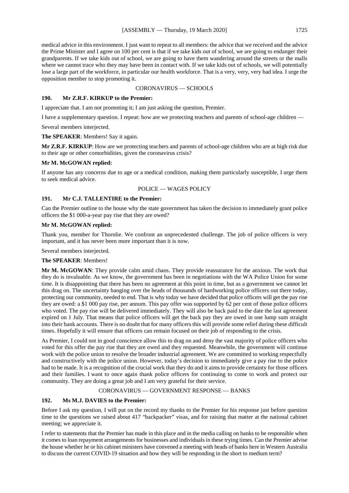medical advice in this environment. I just want to repeat to all members: the advice that we received and the advice the Prime Minister and I agree on 100 per cent is that if we take kids out of school, we are going to endanger their grandparents. If we take kids out of school, we are going to have them wandering around the streets or the malls where we cannot trace who they may have been in contact with. If we take kids out of schools, we will potentially lose a large part of the workforce, in particular our health workforce. That is a very, very, very bad idea. I urge the opposition member to stop promoting it.

# CORONAVIRUS — SCHOOLS

#### **190. Mr Z.R.F. KIRKUP to the Premier:**

I appreciate that. I am not promoting it; I am just asking the question, Premier.

I have a supplementary question. I repeat: how are we protecting teachers and parents of school-age children —

Several members interjected.

**The SPEAKER**: Members! Say it again.

**Mr Z.R.F. KIRKUP**: How are we protecting teachers and parents of school-age children who are at high risk due to their age or other comorbidities, given the coronavirus crisis?

# **Mr M. McGOWAN replied:**

If anyone has any concerns due to age or a medical condition, making them particularly susceptible, I urge them to seek medical advice.

# POLICE — WAGES POLICY

#### **191. Mr C.J. TALLENTIRE to the Premier:**

Can the Premier outline to the house why the state government has taken the decision to immediately grant police officers the \$1 000-a-year pay rise that they are owed?

#### **Mr M. McGOWAN replied:**

Thank you, member for Thornlie. We confront an unprecedented challenge. The job of police officers is very important, and it has never been more important than it is now.

Several members interjected.

# **The SPEAKER**: Members!

**Mr M. McGOWAN**: They provide calm amid chaos. They provide reassurance for the anxious. The work that they do is invaluable. As we know, the government has been in negotiations with the WA Police Union for some time. It is disappointing that there has been no agreement at this point in time, but as a government we cannot let this drag on. The uncertainty hanging over the heads of thousands of hardworking police officers out there today, protecting our community, needed to end. That is why today we have decided that police officers will get the pay rise they are owed: a \$1 000 pay rise, per annum. This pay offer was supported by 62 per cent of those police officers who voted. The pay rise will be delivered immediately. They will also be back paid to the date the last agreement expired on 1 July. That means that police officers will get the back pay they are owed in one lump sum straight into their bank accounts. There is no doubt that for many officers this will provide some relief during these difficult times. Hopefully it will ensure that officers can remain focused on their job of responding to the crisis.

As Premier, I could not in good conscience allow this to drag on and deny the vast majority of police officers who voted for this offer the pay rise that they are owed and they requested. Meanwhile, the government will continue work with the police union to resolve the broader industrial agreement. We are committed to working respectfully and constructively with the police union. However, today's decision to immediately give a pay rise to the police had to be made. It is a recognition of the crucial work that they do and it aims to provide certainty for those officers and their families. I want to once again thank police officers for continuing to come to work and protect our community. They are doing a great job and I am very grateful for their service.

# CORONAVIRUS — GOVERNMENT RESPONSE — BANKS

#### **192. Ms M.J. DAVIES to the Premier:**

Before I ask my question, I will put on the record my thanks to the Premier for his response just before question time to the questions we raised about 417 "backpacker" visas, and for raising that matter at the national cabinet meeting; we appreciate it.

I refer to statements that the Premier has made in this place and in the media calling on banks to be responsible when it comes to loan repayment arrangements for businesses and individuals in these trying times. Can the Premier advise the house whether he or his cabinet ministers have convened a meeting with heads of banks here in Western Australia to discuss the current COVID-19 situation and how they will be responding in the short to medium term?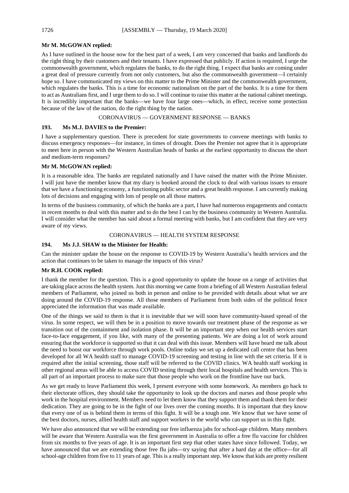# **Mr M. McGOWAN replied:**

As I have outlined in the house now for the best part of a week, I am very concerned that banks and landlords do the right thing by their customers and their tenants. I have expressed that publicly. If action is required, I urge the commonwealth government, which regulates the banks, to do the right thing. I expect that banks are coming under a great deal of pressure currently from not only customers, but also the commonwealth government—I certainly hope so. I have communicated my views on this matter to the Prime Minister and the commonwealth government, which regulates the banks. This is a time for economic nationalism on the part of the banks. It is a time for them to act as Australians first, and I urge them to do so. I will continue to raise this matter at the national cabinet meetings. It is incredibly important that the banks—we have four large ones—which, in effect, receive some protection because of the law of the nation, do the right thing by the nation.

CORONAVIRUS — GOVERNMENT RESPONSE — BANKS

# **193. Ms M.J. DAVIES to the Premier:**

I have a supplementary question. There is precedent for state governments to convene meetings with banks to discuss emergency responses—for instance, in times of drought. Does the Premier not agree that it is appropriate to meet here in person with the Western Australian heads of banks at the earliest opportunity to discuss the short and medium-term responses?

# **Mr M. McGOWAN replied:**

It is a reasonable idea. The banks are regulated nationally and I have raised the matter with the Prime Minister. I will just have the member know that my diary is booked around the clock to deal with various issues to ensure that we have a functioning economy, a functioning public sector and a great health response. I am currently making lots of decisions and engaging with lots of people on all those matters.

In terms of the business community, of which the banks are a part, I have had numerous engagements and contacts in recent months to deal with this matter and to do the best I can by the business community in Western Australia. I will consider what the member has said about a formal meeting with banks, but I am confident that they are very aware of my views.

# CORONAVIRUS — HEALTH SYSTEM RESPONSE

# **194. Ms J.J. SHAW to the Minister for Health:**

Can the minister update the house on the response to COVID-19 by Western Australia's health services and the action that continues to be taken to manage the impacts of this virus?

# **Mr R.H. COOK replied:**

I thank the member for the question. This is a good opportunity to update the house on a range of activities that are taking place across the health system. Just this morning we came from a briefing of all Western Australian federal members of Parliament, who joined us both in person and online to be provided with details about what we are doing around the COVID-19 response. All those members of Parliament from both sides of the political fence appreciated the information that was made available.

One of the things we said to them is that it is inevitable that we will soon have community-based spread of the virus. In some respect, we will then be in a position to move towards our treatment phase of the response as we transition out of the containment and isolation phase. It will be an important step when our health services start face-to-face engagement, if you like, with many of the presenting patients. We are doing a lot of work around ensuring that the workforce is supported so that it can deal with this issue. Members will have heard me talk about the need to boost our workforce through work pools. Online today we set up a dedicated call centre that has been developed for all WA health staff to manage COVID-19 screening and testing in line with the set criteria. If it is required after the initial screening, those staff will be referred to the COVID clinics. WA health staff working in other regional areas will be able to access COVID testing through their local hospitals and health services. This is all part of an important process to make sure that those people who work on the frontline have our back.

As we get ready to leave Parliament this week, I present everyone with some homework. As members go back to their electorate offices, they should take the opportunity to look up the doctors and nurses and those people who work in the hospital environment. Members need to let them know that they support them and thank them for their dedication. They are going to be in the fight of our lives over the coming months. It is important that they know that every one of us is behind them in terms of this fight. It will be a tough one. We know that we have some of the best doctors, nurses, allied health staff and support workers in the world who can support us in this fight.

We have also announced that we will be extending our free influenza jabs for school-age children. Many members will be aware that Western Australia was the first government in Australia to offer a free flu vaccine for children from six months to five years of age. It is an important first step that other states have since followed. Today, we have announced that we are extending those free flu jabs—try saying that after a hard day at the office—for all school-age children from five to 11 years of age. This is a really important step. We know that kids are pretty resilient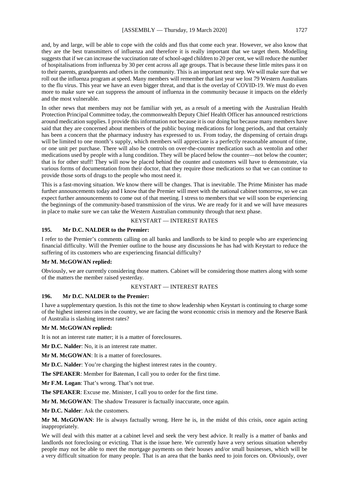and, by and large, will be able to cope with the colds and flus that come each year. However, we also know that they are the best transmitters of influenza and therefore it is really important that we target them. Modelling suggests that if we can increase the vaccination rate of school-aged children to 20 per cent, we will reduce the number of hospitalisations from influenza by 30 per cent across all age groups. That is because these little mites pass it on to their parents, grandparents and others in the community. This is an important next step. We will make sure that we roll out the influenza program at speed. Many members will remember that last year we lost 79 Western Australians to the flu virus. This year we have an even bigger threat, and that is the overlay of COVID-19. We must do even more to make sure we can suppress the amount of influenza in the community because it impacts on the elderly and the most vulnerable.

In other news that members may not be familiar with yet, as a result of a meeting with the Australian Health Protection Principal Committee today, the commonwealth Deputy Chief Health Officer has announced restrictions around medication supplies. I provide this information not because it is our doing but because many members have said that they are concerned about members of the public buying medications for long periods, and that certainly has been a concern that the pharmacy industry has expressed to us. From today, the dispensing of certain drugs will be limited to one month's supply, which members will appreciate is a perfectly reasonable amount of time, or one unit per purchase. There will also be controls on over-the-counter medication such as ventolin and other medications used by people with a lung condition. They will be placed below the counter—not below the counter; that is for other stuff! They will now be placed behind the counter and customers will have to demonstrate, via various forms of documentation from their doctor, that they require those medications so that we can continue to provide those sorts of drugs to the people who most need it.

This is a fast-moving situation. We know there will be changes. That is inevitable. The Prime Minister has made further announcements today and I know that the Premier will meet with the national cabinet tomorrow, so we can expect further announcements to come out of that meeting. I stress to members that we will soon be experiencing the beginnings of the community-based transmission of the virus. We are ready for it and we will have measures in place to make sure we can take the Western Australian community through that next phase.

# KEYSTART — INTEREST RATES

# **195. Mr D.C. NALDER to the Premier:**

I refer to the Premier's comments calling on all banks and landlords to be kind to people who are experiencing financial difficulty. Will the Premier outline to the house any discussions he has had with Keystart to reduce the suffering of its customers who are experiencing financial difficulty?

#### **Mr M. McGOWAN replied:**

Obviously, we are currently considering those matters. Cabinet will be considering those matters along with some of the matters the member raised yesterday.

# KEYSTART — INTEREST RATES

# **196. Mr D.C. NALDER to the Premier:**

I have a supplementary question. Is this not the time to show leadership when Keystart is continuing to charge some of the highest interest rates in the country, we are facing the worst economic crisis in memory and the Reserve Bank of Australia is slashing interest rates?

#### **Mr M. McGOWAN replied:**

It is not an interest rate matter; it is a matter of foreclosures.

**Mr D.C. Nalder**: No, it is an interest rate matter.

**Mr M. McGOWAN:** It is a matter of foreclosures.

**Mr D.C. Nalder**: You're charging the highest interest rates in the country.

**The SPEAKER**: Member for Bateman, I call you to order for the first time.

**Mr F.M. Logan**: That's wrong. That's not true.

**The SPEAKER**: Excuse me. Minister, I call you to order for the first time.

**Mr M. McGOWAN**: The shadow Treasurer is factually inaccurate, once again.

**Mr D.C. Nalder**: Ask the customers.

**Mr M. McGOWAN**: He is always factually wrong. Here he is, in the midst of this crisis, once again acting inappropriately.

We will deal with this matter at a cabinet level and seek the very best advice. It really is a matter of banks and landlords not foreclosing or evicting. That is the issue here. We currently have a very serious situation whereby people may not be able to meet the mortgage payments on their houses and/or small businesses, which will be a very difficult situation for many people. That is an area that the banks need to join forces on. Obviously, over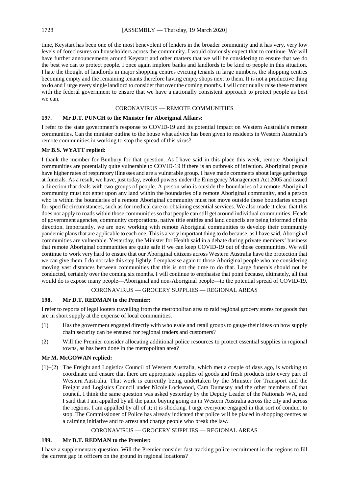time, Keystart has been one of the most benevolent of lenders in the broader community and it has very, very low levels of foreclosures on householders across the community. I would obviously expect that to continue. We will have further announcements around Keystart and other matters that we will be considering to ensure that we do the best we can to protect people. I once again implore banks and landlords to be kind to people in this situation. I hate the thought of landlords in major shopping centres evicting tenants in large numbers, the shopping centres becoming empty and the remaining tenants therefore having empty shops next to them. It is not a productive thing to do and I urge every single landlord to consider that over the coming months. I will continually raise these matters with the federal government to ensure that we have a nationally consistent approach to protect people as best we can.

# CORONAVIRUS — REMOTE COMMUNITIES

# **197. Mr D.T. PUNCH to the Minister for Aboriginal Affairs:**

I refer to the state government's response to COVID-19 and its potential impact on Western Australia's remote communities. Can the minister outline to the house what advice has been given to residents in Western Australia's remote communities in working to stop the spread of this virus?

# **Mr B.S. WYATT replied:**

I thank the member for Bunbury for that question. As I have said in this place this week, remote Aboriginal communities are potentially quite vulnerable to COVID-19 if there is an outbreak of infection. Aboriginal people have higher rates of respiratory illnesses and are a vulnerable group. I have made comments about large gatherings at funerals. As a result, we have, just today, evoked powers under the Emergency Management Act 2005 and issued a direction that deals with two groups of people. A person who is outside the boundaries of a remote Aboriginal community must not enter upon any land within the boundaries of a remote Aboriginal community, and a person who is within the boundaries of a remote Aboriginal community must not move outside those boundaries except for specific circumstances, such as for medical care or obtaining essential services. We also made it clear that this does not apply to roads within those communities so that people can still get around individual communities. Heads of government agencies, community corporations, native title entities and land councils are being informed of this direction. Importantly, we are now working with remote Aboriginal communities to develop their community pandemic plans that are applicable to each one. This is a very important thing to do because, as I have said, Aboriginal communities are vulnerable. Yesterday, the Minister for Health said in a debate during private members' business that remote Aboriginal communities are quite safe if we can keep COVID-19 out of those communities. We will continue to work very hard to ensure that our Aboriginal citizens across Western Australia have the protection that we can give them. I do not take this step lightly. I emphasise again to those Aboriginal people who are considering moving vast distances between communities that this is not the time to do that. Large funerals should not be conducted, certainly over the coming six months. I will continue to emphasise that point because, ultimately, all that would do is expose many people—Aboriginal and non-Aboriginal people—to the potential spread of COVID-19.

# CORONAVIRUS — GROCERY SUPPLIES — REGIONAL AREAS

# **198. Mr D.T. REDMAN to the Premier:**

I refer to reports of legal looters travelling from the metropolitan area to raid regional grocery stores for goods that are in short supply at the expense of local communities.

- (1) Has the government engaged directly with wholesale and retail groups to gauge their ideas on how supply chain security can be ensured for regional traders and customers?
- (2) Will the Premier consider allocating additional police resources to protect essential supplies in regional towns, as has been done in the metropolitan area?

# **Mr M. McGOWAN replied:**

(1)–(2) The Freight and Logistics Council of Western Australia, which met a couple of days ago, is working to coordinate and ensure that there are appropriate supplies of goods and fresh products into every part of Western Australia. That work is currently being undertaken by the Minister for Transport and the Freight and Logistics Council under Nicole Lockwood, Cam Dumesny and the other members of that council. I think the same question was asked yesterday by the Deputy Leader of the Nationals WA, and I said that I am appalled by all the panic buying going on in Western Australia across the city and across the regions. I am appalled by all of it; it is shocking. I urge everyone engaged in that sort of conduct to stop. The Commissioner of Police has already indicated that police will be placed in shopping centres as a calming initiative and to arrest and charge people who break the law.

# CORONAVIRUS — GROCERY SUPPLIES — REGIONAL AREAS

# **199. Mr D.T. REDMAN to the Premier:**

I have a supplementary question. Will the Premier consider fast-tracking police recruitment in the regions to fill the current gap in officers on the ground in regional locations?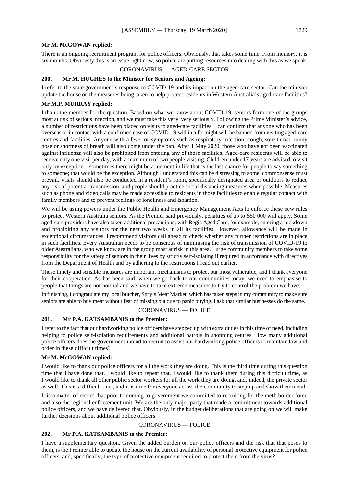#### **Mr M. McGOWAN replied:**

There is an ongoing recruitment program for police officers. Obviously, that takes some time. From memory, it is six months. Obviously this is an issue right now, so police are putting resources into dealing with this as we speak.

#### CORONAVIRUS — AGED-CARE SECTOR

# **200. Mr M. HUGHES to the Minister for Seniors and Ageing:**

I refer to the state government's response to COVID-19 and its impact on the aged-care sector. Can the minister update the house on the measures being taken to help protect residents in Western Australia's aged-care facilities?

# **Mr M.P. MURRAY replied:**

I thank the member for the question. Based on what we know about COVID-19, seniors form one of the groups most at risk of serious infection, and we must take this very, very seriously. Following the Prime Minister's advice, a number of restrictions have been placed on visits to aged-care facilities. I can confirm that anyone who has been overseas or in contact with a confirmed case of COVID-19 within a fortnight will be banned from visiting aged-care centres and facilities. Anyone with a fever or symptoms such as respiratory infection, cough, sore throat, runny nose or shortness of breath will also come under the ban. After 1 May 2020, those who have not been vaccinated against influenza will also be prohibited from entering any of those facilities. Aged-care residents will be able to receive only one visit per day, with a maximum of two people visiting. Children under 17 years are advised to visit only by exception—sometimes there might be a moment in life that is the last chance for people to say something to someone; that would be the exception. Although I understand this can be distressing to some, commonsense must prevail. Visits should also be conducted in a resident's room, specifically designated area or outdoors to reduce any risk of potential transmission, and people should practice social distancing measures when possible. Measures such as phone and video calls may be made accessible to residents in those facilities to enable regular contact with family members and to prevent feelings of loneliness and isolation.

We will be using powers under the Public Health and Emergency Management Acts to enforce these new rules to protect Western Australia seniors. As the Premier said previously, penalties of up to \$50 000 will apply. Some aged-care providers have also taken additional precautions, with Regis Aged Care, for example, entering a lockdown and prohibiting any visitors for the next two weeks in all its facilities. However, allowance will be made in exceptional circumstances. I recommend visitors call ahead to check whether any further restrictions are in place in such facilities. Every Australian needs to be conscious of minimising the risk of transmission of COVID-19 to older Australians, who we know are in the group most at risk in this area. I urge community members to take some responsibility for the safety of seniors in their lives by strictly self-isolating if required in accordance with directives from the Department of Health and by adhering to the restrictions I read out earlier.

These timely and sensible measures are important mechanisms to protect our most vulnerable, and I thank everyone for their cooperation. As has been said, when we go back to our communities today, we need to emphasise to people that things are not normal and we have to take extreme measures to try to control the problem we have.

In finishing, I congratulate my local butcher, Spry's Meat Market, which has taken steps in my community to make sure seniors are able to buy meat without fear of missing out due to panic buying. I ask that similar businesses do the same.

# CORONAVIRUS — POLICE

# **201. Mr P.A. KATSAMBANIS to the Premier:**

I refer to the fact that our hardworking police officers have stepped up with extra duties in this time of need, including helping to police self-isolation requirements and additional patrols in shopping centres. How many additional police officers does the government intend to recruit to assist our hardworking police officers to maintain law and order in these difficult times?

#### **Mr M. McGOWAN replied:**

I would like to thank our police officers for all the work they are doing. This is the third time during this question time that I have done that. I would like to repeat that. I would like to thank them during this difficult time, as I would like to thank all other public sector workers for all the work they are doing, and, indeed, the private sector as well. This is a difficult time, and it is time for everyone across the community to step up and show their metal.

It is a matter of record that prior to coming to government we committed to recruiting for the meth border force and also the regional enforcement unit. We are the only major party that made a commitment towards additional police officers, and we have delivered that. Obviously, in the budget deliberations that are going on we will make further decisions about additional police officers.

#### CORONAVIRUS — POLICE

# **202. Mr P.A. KATSAMBANIS to the Premier:**

I have a supplementary question. Given the added burden on our police officers and the risk that that poses to them, is the Premier able to update the house on the current availability of personal protective equipment for police officers, and, specifically, the type of protective equipment required to protect them from the virus?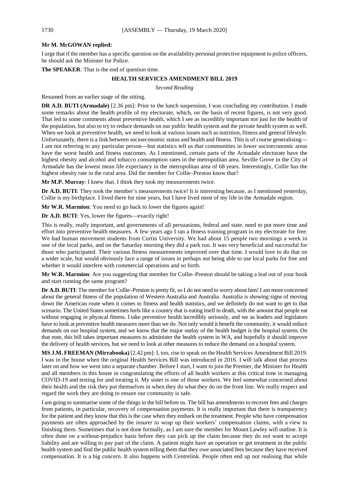#### **Mr M. McGOWAN replied:**

I urge that if the member has a specific question on the availability personal protective equipment to police officers, he should ask the Minister for Police.

**The SPEAKER**: That is the end of question time.

#### **HEALTH SERVICES AMENDMENT BILL 2019**

*Second Reading*

Resumed from an earlier stage of the sitting.

**DR A.D. BUTI (Armadale)** [2.36 pm]: Prior to the lunch suspension, I was concluding my contribution. I made some remarks about the health profile of my electorate, which, on the basis of recent figures, is not very good. That led to some comments about preventive health, which I see as incredibly important not just for the health of the population, but also to try to reduce demands on our public health system and the private health system as well. When we look at preventive health, we need to look at various issues such as nutrition, fitness and general lifestyle. Unfortunately, there is a link between socioeconomic status and health and fitness. This is of course generalising— I am not referring to any particular person—but statistics tell us that communities in lower socioeconomic areas have the worst health and fitness outcomes. As I mentioned, certain parts of the Armadale electorate have the highest obesity and alcohol and tobacco consumption rates in the metropolitan area. Seville Grove in the City of Armadale has the lowest mean life expectancy in the metropolitan area of 68 years. Interestingly, Collie has the highest obesity rate in the rural area. Did the member for Collie–Preston know that?

**Mr M.P. Murray**: I knew that. I think they took my measurements twice.

**Dr A.D. BUTI**: They took the member's measurements twice! It is interesting because, as I mentioned yesterday, Collie is my birthplace. I lived there for nine years, but I have lived most of my life in the Armadale region.

**Mr W.R. Marmion**: You need to go back to lower the figures again!

**Dr A.D. BUTI**: Yes, lower the figures—exactly right!

This is really, really important, and governments of all persuasions, federal and state, need to put more time and effort into preventive health measures. A few years ago I ran a fitness training program in my electorate for free. We had human movement students from Curtin University. We had about 15 people two mornings a week in one of the local parks, and on the Saturday morning they did a park run. It was very beneficial and successful for those who participated. Their various fitness measurements improved over that time. I would love to do that on a wider scale, but would obviously face a range of issues in perhaps not being able to use local parks for free and whether it would interfere with commercial operations and so forth.

**Mr W.R. Marmion**: Are you suggesting that member for Collie–Preston should be taking a leaf out of your book and start running the same program?

**Dr A.D. BUTI**: The member for Collie–Preston is pretty fit, so I do not need to worry about him! I am more concerned about the general fitness of the population of Western Australia and Australia. Australia is showing signs of moving down the American route when it comes to fitness and health statistics, and we definitely do not want to get to that scenario. The United States sometimes feels like a country that is eating itself to death, with the amount that people eat without engaging in physical fitness. I take preventive health incredibly seriously, and we as leaders and legislators have to look at preventive health measures more than we do. Not only would it benefit the community, it would reduce demands on our hospital system, and we know that the major outlay of the health budget is the hospital system. On that note, this bill takes important measures to administer the health system in WA, and hopefully it should improve the delivery of health services, but we need to look at other measures to reduce the demand on a hospital system.

**MS J.M. FREEMAN (Mirrabooka)** [2.42 pm]: I, too, rise to speak on the Health Services Amendment Bill 2019. I was in the house when the original Health Services Bill was introduced in 2016. I will talk about that process later on and how we went into a separate chamber. Before I start, I want to join the Premier, the Minister for Health and all members in this house in congratulating the efforts of all health workers at this critical time in managing COVID-19 and testing for and treating it. My sister is one of those workers. We feel somewhat concerned about their health and the risk they put themselves in when they do what they do on the front line. We really respect and regard the work they are doing to ensure our community is safe.

I am going to summarise some of the things in the bill before us. The bill has amendments to recover fees and charges from patients, in particular, recovery of compensation payments. It is really important that there is transparency for the patient and they know that this is the case when they embark on the treatment. People who have compensation payments are often approached by the insurer to wrap up their workers' compensation claims, with a view to finishing them. Sometimes that is not done formally, as I am sure the member for Mount Lawley will outline. It is often done on a without-prejudice basis before they can pick up the claim because they do not want to accept liability and are willing to pay part of the claim. A patient might have an operation or get treatment in the public health system and find the public health system telling them that they owe associated fees because they have received compensation. It is a big concern. It also happens with Centrelink. People often end up not realising that while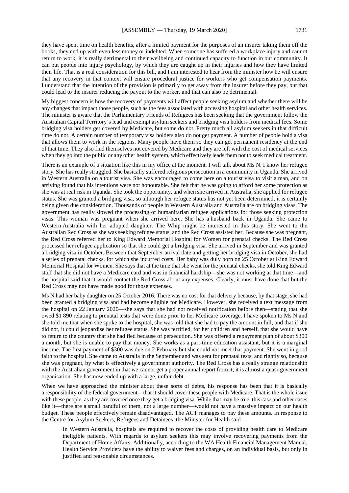they have spent time on health benefits, after a limited payment for the purposes of an insurer taking them off the books, they end up with even less money or indebted. When someone has suffered a workplace injury and cannot return to work, it is really detrimental to their wellbeing and continued capacity to function in our community. It can put people into injury psychology, by which they are caught up in their injuries and how they have limited their life. That is a real consideration for this bill, and I am interested to hear from the minister how he will ensure that any recovery in that context will ensure procedural justice for workers who get compensation payments. I understand that the intention of the provision is primarily to get away from the insurer before they pay, but that could lead to the insurer reducing the payout to the worker, and that can also be detrimental.

My biggest concern is how the recovery of payments will affect people seeking asylum and whether there will be any changes that impact those people, such as the fees associated with accessing hospital and other health services. The minister is aware that the Parliamentary Friends of Refugees has been seeking that the government follow the Australian Capital Territory's lead and exempt asylum seekers and bridging visa holders from medical fees. Some bridging visa holders get covered by Medicare, but some do not. Pretty much all asylum seekers in that difficult time do not. A certain number of temporary visa holders also do not get payment. A number of people hold a visa that allows them to work in the regions. Many people have them so they can get permanent residency at the end of that time. They also find themselves not covered by Medicare and they are left with the cost of medical services when they go into the public or any other health system, which effectively leads them not to seek medical treatment.

There is an example of a situation like this in my office at the moment. I will talk about Ms N. I know her refugee story. She has really struggled. She basically suffered religious persecution in a community in Uganda. She arrived in Western Australia on a tourist visa. She was encouraged to come here on a tourist visa to visit a man, and on arriving found that his intentions were not honourable. She felt that he was going to afford her some protection as she was at real risk in Uganda. She took the opportunity, and when she arrived in Australia, she applied for refugee status. She was granted a bridging visa, so although her refugee status has not yet been determined, it is certainly being given due consideration. Thousands of people in Western Australia and Australia are on bridging visas. The government has really slowed the processing of humanitarian refugee applications for those seeking protection visas. This woman was pregnant when she arrived here. She has a husband back in Uganda. She came to Western Australia with her adopted daughter. The Whip might be interested in this story. She went to the Australian Red Cross as she was seeking refugee status, and the Red Cross assisted her. Because she was pregnant, the Red Cross referred her to King Edward Memorial Hospital for Women for prenatal checks. The Red Cross processed her refugee application so that she could get a bridging visa. She arrived in September and was granted a bridging visa in October. Between that September arrival date and getting her bridging visa in October, she had a series of prenatal checks, for which she incurred costs. Her baby was duly born on 25 October at King Edward Memorial Hospital for Women. She says that at the time that she went for the prenatal checks, she told King Edward staff that she did not have a Medicare card and was in financial hardship—she was not working at that time—and the hospital said that it would contact the Red Cross about any expenses. Clearly, it must have done that but the Red Cross may not have made good for those expenses.

Ms N had her baby daughter on 25 October 2016. There was no cost for that delivery because, by that stage, she had been granted a bridging visa and had become eligible for Medicare. However, she received a text message from the hospital on 22 January 2020—she says that she had not received notification before then—stating that she owed \$1 890 relating to prenatal tests that were done prior to her Medicare coverage. I have spoken to Ms N and she told me that when she spoke to the hospital, she was told that she had to pay the amount in full, and that if she did not, it could jeopardise her refugee status. She was terrified, for her children and herself, that she would have to return to the country that she had fled because of persecution. She was offered a repayment plan of about \$300 a month, but she is unable to pay that money. She works as a part-time education assistant, but it is a marginal income. The first payment of \$300 was due on 2 February but she could not meet that payment. She went in good faith to the hospital. She came to Australia in the September and was sent for prenatal tests, and rightly so, because she was pregnant, by what is effectively a government authority. The Red Cross has a really strange relationship with the Australian government in that we cannot get a proper annual report from it; it is almost a quasi-government organisation. She has now ended up with a large, unfair debt.

When we have approached the minister about these sorts of debts, his response has been that it is basically a responsibility of the federal government—that it should cover these people with Medicare. That is the whole issue with these people, as they are covered once they get a bridging visa. While that may be true, this case and other cases like it—there are a small handful of them, not a large number—would not have a massive impact on our health budget. These people effectively remain disadvantaged. The ACT manages to pay these amounts. In response to the Centre for Asylum Seekers, Refugees and Detainees, the Minister for Health said —

In Western Australia, hospitals are required to recover the costs of providing health care to Medicare ineligible patients. With regards to asylum seekers this may involve recovering payments from the Department of Home Affairs. Additionally, according to the WA Health Financial Management Manual, Health Service Providers have the ability to waiver fees and charges, on an individual basis, but only in justified and reasonable circumstances.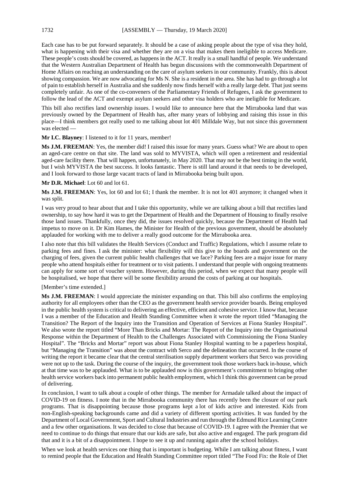Each case has to be put forward separately. It should be a case of asking people about the type of visa they hold, what is happening with their visa and whether they are on a visa that makes them ineligible to access Medicare. These people's costs should be covered, as happens in the ACT. It really is a small handful of people. We understand that the Western Australian Department of Health has begun discussions with the commonwealth Department of Home Affairs on reaching an understanding on the care of asylum seekers in our community. Frankly, this is about showing compassion. We are now advocating for Ms N. She is a resident in the area. She has had to go through a lot of pain to establish herself in Australia and she suddenly now finds herself with a really large debt. That just seems completely unfair. As one of the co-conveners of the Parliamentary Friends of Refugees, I ask the government to follow the lead of the ACT and exempt asylum seekers and other visa holders who are ineligible for Medicare.

This bill also rectifies land ownership issues. I would like to announce here that the Mirrabooka land that was previously owned by the Department of Health has, after many years of lobbying and raising this issue in this place—I think members got really used to me talking about lot 401 Milldale Way, but not since this government was elected —

#### **Mr I.C. Blayney**: I listened to it for 11 years, member!

**Ms J.M. FREEMAN**: Yes, the member did! I raised this issue for many years. Guess what? We are about to open an aged-care centre on that site. The land was sold to MYVISTA, which will open a retirement and residential aged-care facility there. That will happen, unfortunately, in May 2020. That may not be the best timing in the world, but I wish MYVISTA the best success. It looks fantastic. There is still land around it that needs to be developed, and I look forward to those large vacant tracts of land in Mirrabooka being built upon.

#### **Mr D.R. Michael**: Lot 60 and lot 61.

**Ms J.M. FREEMAN**: Yes, lot 60 and lot 61; I thank the member. It is not lot 401 anymore; it changed when it was split.

I was very proud to hear about that and I take this opportunity, while we are talking about a bill that rectifies land ownership, to say how hard it was to get the Department of Health and the Department of Housing to finally resolve those land issues. Thankfully, once they did, the issues resolved quickly, because the Department of Health had impetus to move on it. Dr Kim Hames, the Minister for Health of the previous government, should be absolutely applauded for working with me to deliver a really good outcome for the Mirrabooka area.

I also note that this bill validates the Health Services (Conduct and Traffic) Regulations, which I assume relate to parking fees and fines. I ask the minister: what flexibility will this give to the boards and government on the charging of fees, given the current public health challenges that we face? Parking fees are a major issue for many people who attend hospitals either for treatment or to visit patients. I understand that people with ongoing treatments can apply for some sort of voucher system. However, during this period, when we expect that many people will be hospitalised, we hope that there will be some flexibility around the costs of parking at our hospitals.

#### [Member's time extended.]

**Ms J.M. FREEMAN**: I would appreciate the minister expanding on that. This bill also confirms the employing authority for all employees other than the CEO as the government health service provider boards. Being employed in the public health system is critical to delivering an effective, efficient and cohesive service. I know that, because I was a member of the Education and Health Standing Committee when it wrote the report titled "Managing the Transition? The Report of the Inquiry into the Transition and Operation of Services at Fiona Stanley Hospital". We also wrote the report titled "More Than Bricks and Mortar: The Report of the Inquiry into the Organisational Response within the Department of Health to the Challenges Associated with Commissioning the Fiona Stanley Hospital". The "Bricks and Mortar" report was about Fiona Stanley Hospital wanting to be a paperless hospital, but "Managing the Transition" was about the contract with Serco and the delineation that occurred. In the course of writing the report it became clear that the central sterilisation supply department workers that Serco was providing were not up to the task. During the course of the inquiry, the government took those workers back in-house, which at that time was to be applauded. What is to be applauded now is this government's commitment to bringing other health service workers back into permanent public health employment, which I think this government can be proud of delivering.

In conclusion, I want to talk about a couple of other things. The member for Armadale talked about the impact of COVID-19 on fitness. I note that in the Mirrabooka community there has recently been the closure of our park programs. That is disappointing because those programs kept a lot of kids active and interested. Kids from non-English-speaking backgrounds came and did a variety of different sporting activities. It was funded by the Department of Local Government, Sport and Cultural Industries and run through the Edmund Rice Learning Centre and a few other organisations. It was decided to close that because of COVID-19. I agree with the Premier that we need to continue to do things that ensure that our kids are safe, but also active and engaged. The park program did that and it is a bit of a disappointment. I hope to see it up and running again after the school holidays.

When we look at health services one thing that is important is budgeting. While I am talking about fitness, I want to remind people that the Education and Health Standing Committee report titled "The Food Fix: the Role of Diet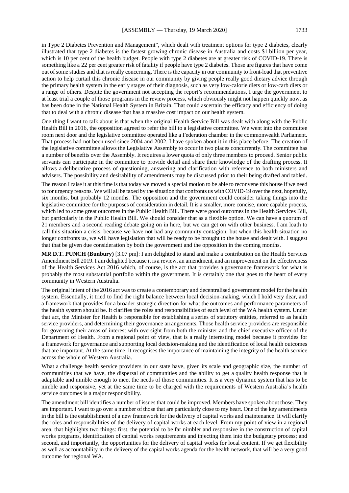in Type 2 Diabetes Prevention and Management", which dealt with treatment options for type 2 diabetes, clearly illustrated that type 2 diabetes is the fastest growing chronic disease in Australia and costs \$1 billion per year, which is 10 per cent of the health budget. People with type 2 diabetes are at greater risk of COVID-19. There is something like a 22 per cent greater risk of fatality if people have type 2 diabetes. Those are figures that have come out of some studies and that is really concerning. There is the capacity in our community to front-load that preventive action to help curtail this chronic disease in our community by giving people really good dietary advice through the primary health system in the early stages of their diagnosis, such as very low-calorie diets or low-carb diets or a range of others. Despite the government not accepting the report's recommendations, I urge the government to at least trial a couple of those programs in the review process, which obviously might not happen quickly now, as has been done in the National Health System in Britain. That could ascertain the efficacy and efficiency of doing that to deal with a chronic disease that has a massive cost impact on our health system.

One thing I want to talk about is that when the original Health Service Bill was dealt with along with the Public Health Bill in 2016, the opposition agreed to refer the bill to a legislative committee. We went into the committee room next door and the legislative committee operated like a Federation chamber in the commonwealth Parliament. That process had not been used since 2004 and 2002. I have spoken about it in this place before. The creation of the legislative committee allows the Legislative Assembly to occur in two places concurrently. The committee has a number of benefits over the Assembly. It requires a lower quota of only three members to proceed. Senior public servants can participate in the committee to provide detail and share their knowledge of the drafting process. It allows a deliberative process of questioning, answering and clarification with reference to both ministers and advisers. The possibility and desirability of amendments may be discussed prior to their being drafted and tabled.

The reason I raise it at this time is that today we moved a special motion to be able to reconvene this house if we need to for urgency reasons. We will all be taxed by the situation that confronts us with COVID-19 over the next, hopefully, six months, but probably 12 months. The opposition and the government could consider taking things into the legislative committee for the purposes of consideration in detail. It is a smaller, more concise, more capable process, which led to some great outcomes in the Public Health Bill. There were good outcomes in the Health Services Bill, but particularly in the Public Health Bill. We should consider that as a flexible option. We can have a quorum of 21 members and a second reading debate going on in here, but we can get on with other business. I am loath to call this situation a crisis, because we have not had any community contagion, but when this health situation no longer confronts us, we will have legislation that will be ready to be brought to the house and dealt with. I suggest that that be given due consideration by both the government and the opposition in the coming months.

**MR D.T. PUNCH (Bunbury)** [3.07 pm]: I am delighted to stand and make a contribution on the Health Services Amendment Bill 2019. I am delighted because it is a review, an amendment, and an improvement on the effectiveness of the Health Services Act 2016 which, of course, is the act that provides a governance framework for what is probably the most substantial portfolio within the government. It is certainly one that goes to the heart of every community in Western Australia.

The original intent of the 2016 act was to create a contemporary and decentralised government model for the health system. Essentially, it tried to find the right balance between local decision-making, which I hold very dear, and a framework that provides for a broader strategic direction for what the outcomes and performance parameters of the health system should be. It clarifies the roles and responsibilities of each level of the WA health system. Under that act, the Minister for Health is responsible for establishing a series of statutory entities, referred to as health service providers, and determining their governance arrangements. Those health service providers are responsible for governing their areas of interest with oversight from both the minister and the chief executive officer of the Department of Health. From a regional point of view, that is a really interesting model because it provides for a framework for governance and supporting local decision-making and the identification of local health outcomes that are important. At the same time, it recognises the importance of maintaining the integrity of the health service across the whole of Western Australia.

What a challenge health service providers in our state have, given its scale and geographic size, the number of communities that we have, the dispersal of communities and the ability to get a quality health response that is adaptable and nimble enough to meet the needs of those communities. It is a very dynamic system that has to be nimble and responsive, yet at the same time to be charged with the requirements of Western Australia's health service outcomes is a major responsibility.

The amendment bill identifies a number of issues that could be improved. Members have spoken about those. They are important. I want to go over a number of those that are particularly close to my heart. One of the key amendments in the bill is the establishment of a new framework for the delivery of capital works and maintenance. It will clarify the roles and responsibilities of the delivery of capital works at each level. From my point of view in a regional area, that highlights two things: first, the potential to be far nimbler and responsive in the construction of capital works programs, identification of capital works requirements and injecting them into the budgetary process; and second, and importantly, the opportunities for the delivery of capital works for local content. If we get flexibility as well as accountability in the delivery of the capital works agenda for the health network, that will be a very good outcome for regional WA.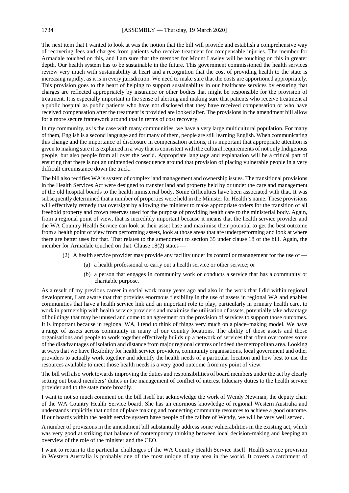The next item that I wanted to look at was the notion that the bill will provide and establish a comprehensive way of recovering fees and charges from patients who receive treatment for compensable injuries. The member for Armadale touched on this, and I am sure that the member for Mount Lawley will be touching on this in greater depth. Our health system has to be sustainable in the future. This government commissioned the health services review very much with sustainability at heart and a recognition that the cost of providing health to the state is increasing rapidly, as it is in every jurisdiction. We need to make sure that the costs are apportioned appropriately. This provision goes to the heart of helping to support sustainability in our healthcare services by ensuring that charges are reflected appropriately by insurance or other bodies that might be responsible for the provision of treatment. It is especially important in the sense of alerting and making sure that patients who receive treatment at a public hospital as public patients who have not disclosed that they have received compensation or who have received compensation after the treatment is provided are looked after. The provisions in the amendment bill allow for a more secure framework around that in terms of cost recovery.

In my community, as is the case with many communities, we have a very large multicultural population. For many of them, English is a second language and for many of them, people are still learning English. When communicating this change and the importance of disclosure in compensation actions, it is important that appropriate attention is given to making sure it is explained in a way that is consistent with the cultural requirements of not only Indigenous people, but also people from all over the world. Appropriate language and explanation will be a critical part of ensuring that there is not an unintended consequence around that provision of placing vulnerable people in a very difficult circumstance down the track.

The bill also rectifies WA's system of complex land management and ownership issues. The transitional provisions in the Health Services Act were designed to transfer land and property held by or under the care and management of the old hospital boards to the health ministerial body. Some difficulties have been associated with that. It was subsequently determined that a number of properties were held in the Minister for Health's name. These provisions will effectively remedy that oversight by allowing the minister to make appropriate orders for the transition of all freehold property and crown reserves used for the purpose of providing health care to the ministerial body. Again, from a regional point of view, that is incredibly important because it means that the health service provider and the WA Country Health Service can look at their asset base and maximise their potential to get the best outcome from a health point of view from performing assets, look at those areas that are underperforming and look at where there are better uses for that. That relates to the amendment to section 35 under clause 18 of the bill. Again, the member for Armadale touched on that. Clause 18(2) states —

- (2) A health service provider may provide any facility under its control or management for the use of
	- (a) a health professional to carry out a health service or other service; or
	- (b) a person that engages in community work or conducts a service that has a community or charitable purpose.

As a result of my previous career in social work many years ago and also in the work that I did within regional development, I am aware that that provides enormous flexibility in the use of assets in regional WA and enables communities that have a health service link and an important role to play, particularly in primary health care, to work in partnership with health service providers and maximise the utilisation of assets, potentially take advantage of buildings that may be unused and come to an agreement on the provision of services to support those outcomes. It is important because in regional WA, I tend to think of things very much on a place–making model. We have a range of assets across community in many of our country locations. The ability of those assets and those organisations and people to work together effectively builds up a network of services that often overcomes some of the disadvantages of isolation and distance from major regional centres or indeed the metropolitan area. Looking at ways that we have flexibility for health service providers, community organisations, local government and other providers to actually work together and identify the health needs of a particular location and how best to use the resources available to meet those health needs is a very good outcome from my point of view.

The bill will also work towards improving the duties and responsibilities of board members under the act by clearly setting out board members' duties in the management of conflict of interest fiduciary duties to the health service provider and to the state more broadly.

I want to not so much comment on the bill itself but acknowledge the work of Wendy Newman, the deputy chair of the WA Country Health Service board. She has an enormous knowledge of regional Western Australia and understands implicitly that notion of place making and connecting community resources to achieve a good outcome. If our boards within the health service system have people of the calibre of Wendy, we will be very well served.

A number of provisions in the amendment bill substantially address some vulnerabilities in the existing act, which was very good at striking that balance of contemporary thinking between local decision-making and keeping an overview of the role of the minister and the CEO.

I want to return to the particular challenges of the WA Country Health Service itself. Health service provision in Western Australia is probably one of the most unique of any area in the world. It covers a catchment of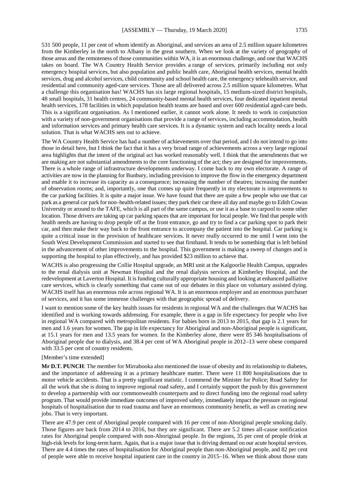531 500 people, 11 per cent of whom identify as Aboriginal, and services an area of 2.5 million square kilometres from the Kimberley in the north to Albany in the great southern. When we look at the variety of geography of those areas and the remoteness of those communities within WA, it is an enormous challenge, and one that WACHS takes on board. The WA Country Health Service provides a range of services, primarily including not only emergency hospital services, but also population and public health care, Aboriginal health services, mental health services, drug and alcohol services, child community and school health care, the emergency telehealth service, and residential and community aged-care services. Those are all delivered across 2.5 million square kilometres. What a challenge this organisation has! WACHS has six large regional hospitals, 15 medium-sized district hospitals, 48 small hospitals, 31 health centres, 24 community-based mental health services, four dedicated inpatient mental health services, 178 facilities in which population health teams are based and over 600 residential aged-care beds. This is a significant organisation. As I mentioned earlier, it cannot work alone. It needs to work in conjunction with a variety of non-government organisations that provide a range of services, including accommodation, health and information services and primary health care services. It is a dynamic system and each locality needs a local solution. That is what WACHS sets out to achieve.

The WA Country Health Service has had a number of achievements over that period, and I do not intend to go into those in detail here, but I think the fact that it has a very broad range of achievements across a very large regional area highlights that the intent of the original act has worked reasonably well. I think that the amendments that we are making are not substantial amendments to the core functioning of the act; they are designed for improvements. There is a whole range of infrastructure developments underway. I come back to my own electorate. A range of activities are now in the planning for Bunbury, including provision to improve the flow in the emergency department and enable it to increase its capacity as a consequence; increasing the number of theatres; increasing the number of observation rooms; and, importantly, one that comes up quite frequently in my electorate is improvements to the car parking facilities. It is quite a major issue. We have found that there are quite a few people who use that car park as a general car park for non–health-related issues; they park their car there all day and maybe go to Edith Cowan University or around to the TAFE, which is all part of the same campus, or use it as a base to carpool to some other location. Those drivers are taking up car parking spaces that are important for local people. We find that people with health needs are having to drop people off at the front entrance, go and try to find a car parking spot to park their car, and then make their way back to the front entrance to accompany the patient into the hospital. Car parking is quite a critical issue in the provision of healthcare services. It never really occurred to me until I went into the South West Development Commission and started to see that firsthand. It tends to be something that is left behind in the advancement of other improvements to the hospital. This government is making a sweep of changes and is supporting the hospital to plan effectively, and has provided \$23 million to achieve that.

WACHS is also progressing the Collie Hospital upgrade, an MRI unit at the Kalgoorlie Health Campus, upgrades to the renal dialysis unit at Newman Hospital and the renal dialysis services at Kimberley Hospital, and the redevelopment at Laverton Hospital. It is funding culturally appropriate housing and looking at enhanced palliative care services, which is clearly something that came out of our debates in this place on voluntary assisted dying. WACHS itself has an enormous role across regional WA. It is an enormous employer and an enormous purchaser of services, and it has some immense challenges with that geographic spread of delivery.

I want to mention some of the key health issues for residents in regional WA and the challenges that WACHS has identified and is working towards addressing. For example, there is a gap in life expectancy for people who live in regional WA compared with metropolitan residents. For babies born in 2013 to 2015, that gap is 2.1 years for men and 1.6 years for women. The gap in life expectancy for Aboriginal and non-Aboriginal people is significant, at 15.1 years for men and 13.5 years for women. In the Kimberley alone, there were 85 346 hospitalisations of Aboriginal people due to dialysis, and 38.4 per cent of WA Aboriginal people in 2012–13 were obese compared with 33.5 per cent of country residents.

[Member's time extended]

**Mr D.T. PUNCH**: The member for Mirrabooka also mentioned the issue of obesity and its relationship to diabetes, and the importance of addressing it as a primary healthcare matter. There were 11 800 hospitalisations due to motor vehicle accidents. That is a pretty significant statistic. I commend the Minister for Police; Road Safety for all the work that she is doing to improve regional road safety, and I certainly support the push by this government to develop a partnership with our commonwealth counterparts and to direct funding into the regional road safety program. That would provide immediate outcomes of improved safety, immediately impact the pressure on regional hospitals of hospitalisation due to road trauma and have an enormous community benefit, as well as creating new jobs. That is very important.

There are 47.9 per cent of Aboriginal people compared with 16 per cent of non-Aboriginal people smoking daily. Those figures are back from 2014 to 2016, but they are significant. There are 5.2 times all-cause notification rates for Aboriginal people compared with non-Aboriginal people. In the regions, 35 per cent of people drink at high-risk levels for long-term harm. Again, that is a major issue that is driving demand on our acute hospital services. There are 4.4 times the rates of hospitalisation for Aboriginal people than non-Aboriginal people, and 82 per cent of people were able to receive hospital inpatient care in the country in 2015–16. When we think about those stats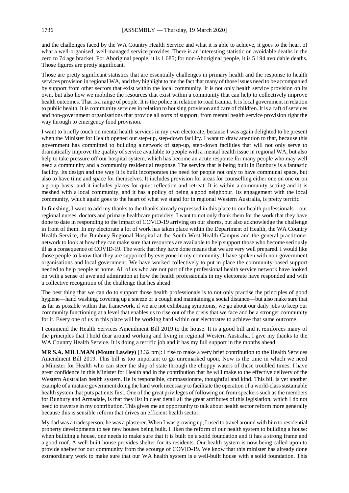and the challenges faced by the WA Country Health Service and what it is able to achieve, it goes to the heart of what a well-organised, well-managed service provides. There is an interesting statistic on avoidable deaths in the zero to 74 age bracket. For Aboriginal people, it is 1 685; for non-Aboriginal people, it is 5 194 avoidable deaths. Those figures are pretty significant.

Those are pretty significant statistics that are essentially challenges in primary health and the response to health services provision in regional WA, and they highlight to me the fact that many of those issues need to be accompanied by support from other sectors that exist within the local community. It is not only health service provision on its own, but also how we mobilise the resources that exist within a community that can help to collectively improve health outcomes. That is a range of people. It is the police in relation to road trauma. It is local government in relation to public health. It is community services in relation to housing provision and care of children. It is a raft of services and non-government organisations that provide all sorts of support, from mental health service provision right the way through to emergency food provision.

I want to briefly touch on mental health services in my own electorate, because I was again delighted to be present when the Minister for Health opened our step-up, step-down facility. I want to draw attention to that, because this government has committed to building a network of step-up, step-down facilities that will not only serve to dramatically improve the quality of service available to people with a mental health issue in regional WA, but also help to take pressure off our hospital system, which has become an acute response for many people who may well need a community and a community residential response. The service that is being built in Bunbury is a fantastic facility. Its design and the way it is built incorporates the need for people not only to have communal space, but also to have time and space for themselves. It includes provision for areas for counselling either one on one or on a group basis, and it includes places for quiet reflection and retreat. It is within a community setting and it is meshed with a local community, and it has a policy of being a good neighbour. Its engagement with the local community, which again goes to the heart of what we stand for in regional Western Australia, is pretty terrific.

In finishing, I want to add my thanks to the thanks already expressed in this place to our health professionals—our regional nurses, doctors and primary healthcare providers. I want to not only thank them for the work that they have done to date in responding to the impact of COVID-19 arriving on our shores, but also acknowledge the challenge in front of them. In my electorate a lot of work has taken place within the Department of Health, the WA Country Health Service, the Bunbury Regional Hospital at the South West Health Campus and the general practitioner network to look at how they can make sure that resources are available to help support those who become seriously ill as a consequence of COVID-19. The work that they have done means that we are very well prepared. I would like those people to know that they are supported by everyone in my community. I have spoken with non-government organisations and local government. We have worked collectively to put in place the community-based support needed to help people at home. All of us who are not part of the professional health service network have looked on with a sense of awe and admiration at how the health professionals in my electorate have responded and with a collective recognition of the challenge that lies ahead.

The best thing that we can do to support those health professionals is to not only practise the principles of good hygiene—hand washing, covering up a sneeze or a cough and maintaining a social distance—but also make sure that as far as possible within that framework, if we are not exhibiting symptoms, we go about our daily jobs to keep our community functioning at a level that enables us to rise out of the crisis that we face and be a stronger community for it. Every one of us in this place will be working hard within our electorates to achieve that same outcome.

I commend the Health Services Amendment Bill 2019 to the house. It is a good bill and it reinforces many of the principles that I hold dear around working and living in regional Western Australia. I give my thanks to the WA Country Health Service. It is doing a terrific job and it has my full support in the months ahead.

**MR S.A. MILLMAN (Mount Lawley)** [3.32 pm]: I rise to make a very brief contribution to the Health Services Amendment Bill 2019. This bill is too important to go unremarked upon. Now is the time in which we need a Minister for Health who can steer the ship of state through the choppy waters of these troubled times. I have great confidence in this Minister for Health and in the contribution that he will make to the effective delivery of the Western Australian health system. He is responsible, compassionate, thoughtful and kind. This bill is yet another example of a mature government doing the hard work necessary to facilitate the operation of a world-class sustainable health system that puts patients first. One of the great privileges of following on from speakers such as the members for Bunbury and Armadale, is that they list in clear detail all the great attributes of this legislation, which I do not need to traverse in my contribution. This gives me an opportunity to talk about health sector reform more generally because this is sensible reform that drives an efficient health sector.

My dad was a tradesperson; he was a plasterer. When I was growing up, I used to travel around with him to residential property developments to see new houses being built. I liken the reform of our health system to building a house: when building a house, one needs to make sure that it is built on a solid foundation and it has a strong frame and a good roof. A well-built house provides shelter for its residents. Our health system is now being called upon to provide shelter for our community from the scourge of COVID-19. We know that this minister has already done extraordinary work to make sure that our WA health system is a well-built house with a solid foundation. This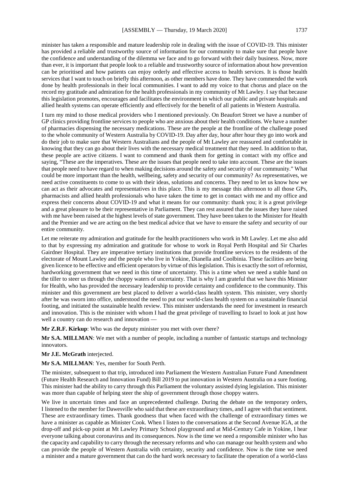minister has taken a responsible and mature leadership role in dealing with the issue of COVID-19. This minister has provided a reliable and trustworthy source of information for our community to make sure that people have the confidence and understanding of the dilemma we face and to go forward with their daily business. Now, more than ever, it is important that people look to a reliable and trustworthy source of information about how prevention can be prioritised and how patients can enjoy orderly and effective access to health services. It is those health services that I want to touch on briefly this afternoon, as other members have done. They have commended the work done by health professionals in their local communities. I want to add my voice to that chorus and place on the record my gratitude and admiration for the health professionals in my community of Mt Lawley. I say that because this legislation promotes, encourages and facilitates the environment in which our public and private hospitals and allied health systems can operate efficiently and effectively for the benefit of all patients in Western Australia.

I turn my mind to those medical providers who I mentioned previously. On Beaufort Street we have a number of GP clinics providing frontline services to people who are anxious about their health conditions. We have a number of pharmacies dispensing the necessary medications. These are the people at the frontline of the challenge posed to the whole community of Western Australia by COVID-19. Day after day, hour after hour they go into work and do their job to make sure that Western Australians and the people of Mt Lawley are reassured and comfortable in knowing that they can go about their lives with the necessary medical treatment that they need. In addition to that, these people are active citizens. I want to commend and thank them for getting in contact with my office and saying, "These are the imperatives. These are the issues that people need to take into account. These are the issues that people need to have regard to when making decisions around the safety and security of our community." What could be more important than the health, wellbeing, safety and security of our community? As representatives, we need active constituents to come to us with their ideas, solutions and concerns. They need to let us know how we can act as their advocates and representatives in this place. This is my message this afternoon to all those GPs, pharmacists and allied health professionals who have taken the time to get in contact with me and my office and express their concerns about COVID-19 and what it means for our community: thank you; it is a great privilege and a great pleasure to be their representative in Parliament. They can rest assured that the issues they have raised with me have been raised at the highest levels of state government. They have been taken to the Minister for Health and the Premier and we are acting on the best medical advice that we have to ensure the safety and security of our entire community.

Let me reiterate my admiration and gratitude for the health practitioners who work in Mt Lawley. Let me also add to that by expressing my admiration and gratitude for whose to work in Royal Perth Hospital and Sir Charles Gairdner Hospital. They are imperative tertiary institutions that provide frontline services to the residents of the electorate of Mount Lawley and the people who live in Yokine, Dianella and Coolbinia. These facilities are being given licence to be effective and efficient operators by virtue of this legislation. This is exactly the sort of reformist, hardworking government that we need in this time of uncertainty. This is a time when we need a stable hand on the tiller to steer us through the choppy waters of uncertainty. That is why I am grateful that we have this Minister for Health, who has provided the necessary leadership to provide certainty and confidence to the community. This minister and this government are best placed to deliver a world-class health system. This minister, very shortly after he was sworn into office, understood the need to put our world-class health system on a sustainable financial footing, and initiated the sustainable health review. This minister understands the need for investment in research and innovation. This is the minister with whom I had the great privilege of travelling to Israel to look at just how well a country can do research and innovation —

**Mr Z.R.F. Kirkup**: Who was the deputy minister you met with over there?

**Mr S.A. MILLMAN:** We met with a number of people, including a number of fantastic startups and technology innovators.

#### **Mr J.E. McGrath** interjected.

**Mr S.A. MILLMAN**: Yes, member for South Perth.

The minister, subsequent to that trip, introduced into Parliament the Western Australian Future Fund Amendment (Future Health Research and Innovation Fund) Bill 2019 to put innovation in Western Australia on a sure footing. This minister had the ability to carry through this Parliament the voluntary assisted dying legislation. This minister was more than capable of helping steer the ship of government through those choppy waters.

We live in uncertain times and face an unprecedented challenge. During the debate on the temporary orders, I listened to the member for Dawesville who said that these are extraordinary times, and I agree with that sentiment. These are extraordinary times. Thank goodness that when faced with the challenge of extraordinary times we have a minister as capable as Minister Cook. When I listen to the conversations at the Second Avenue IGA, at the drop-off and pick-up point at Mt Lawley Primary School playground and at Mid-Century Cafe in Yokine, I hear everyone talking about coronavirus and its consequences. Now is the time we need a responsible minister who has the capacity and capability to carry through the necessary reforms and who can manage our health system and who can provide the people of Western Australia with certainty, security and confidence. Now is the time we need a minister and a mature government that can do the hard work necessary to facilitate the operation of a world-class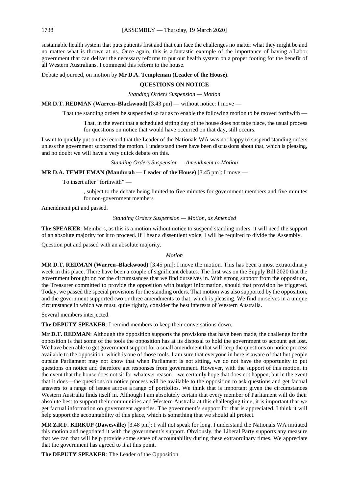sustainable health system that puts patients first and that can face the challenges no matter what they might be and no matter what is thrown at us. Once again, this is a fantastic example of the importance of having a Labor government that can deliver the necessary reforms to put our health system on a proper footing for the benefit of all Western Australians. I commend this reform to the house.

Debate adjourned, on motion by **Mr D.A. Templeman (Leader of the House)**.

#### **QUESTIONS ON NOTICE**

*Standing Orders Suspension — Motion*

**MR D.T. REDMAN (Warren–Blackwood)** [3.43 pm] — without notice: I move —

That the standing orders be suspended so far as to enable the following motion to be moved forthwith —

That, in the event that a scheduled sitting day of the house does not take place, the usual process for questions on notice that would have occurred on that day, still occurs.

I want to quickly put on the record that the Leader of the Nationals WA was not happy to suspend standing orders unless the government supported the motion. I understand there have been discussions about that, which is pleasing, and no doubt we will have a very quick debate on this.

*Standing Orders Suspension — Amendment to Motion*

**MR D.A. TEMPLEMAN (Mandurah — Leader of the House)** [3.45 pm]: I move —

To insert after "forthwith" —

, subject to the debate being limited to five minutes for government members and five minutes for non-government members

Amendment put and passed.

*Standing Orders Suspension — Motion, as Amended*

**The SPEAKER**: Members, as this is a motion without notice to suspend standing orders, it will need the support of an absolute majority for it to proceed. If I hear a dissentient voice, I will be required to divide the Assembly.

Question put and passed with an absolute majority.

#### *Motion*

**MR D.T. REDMAN (Warren–Blackwood)** [3.45 pm]: I move the motion. This has been a most extraordinary week in this place. There have been a couple of significant debates. The first was on the Supply Bill 2020 that the government brought on for the circumstances that we find ourselves in. With strong support from the opposition, the Treasurer committed to provide the opposition with budget information, should that provision be triggered. Today, we passed the special provisions for the standing orders. That motion was also supported by the opposition, and the government supported two or three amendments to that, which is pleasing. We find ourselves in a unique circumstance in which we must, quite rightly, consider the best interests of Western Australia.

Several members interjected.

**The DEPUTY SPEAKER**: I remind members to keep their conversations down.

**Mr D.T. REDMAN**: Although the opposition supports the provisions that have been made, the challenge for the opposition is that some of the tools the opposition has at its disposal to hold the government to account get lost. We have been able to get government support for a small amendment that will keep the questions on notice process available to the opposition, which is one of those tools. I am sure that everyone in here is aware of that but people outside Parliament may not know that when Parliament is not sitting, we do not have the opportunity to put questions on notice and therefore get responses from government. However, with the support of this motion, in the event that the house does not sit for whatever reason—we certainly hope that does not happen, but in the event that it does—the questions on notice process will be available to the opposition to ask questions and get factual answers to a range of issues across a range of portfolios. We think that is important given the circumstances Western Australia finds itself in. Although I am absolutely certain that every member of Parliament will do their absolute best to support their communities and Western Australia at this challenging time, it is important that we get factual information on government agencies. The government's support for that is appreciated. I think it will help support the accountability of this place, which is something that we should all protect.

**MR Z.R.F. KIRKUP (Dawesville)** [3.48 pm]: I will not speak for long. I understand the Nationals WA initiated this motion and negotiated it with the government's support. Obviously, the Liberal Party supports any measure that we can that will help provide some sense of accountability during these extraordinary times. We appreciate that the government has agreed to it at this point.

**The DEPUTY SPEAKER**: The Leader of the Opposition.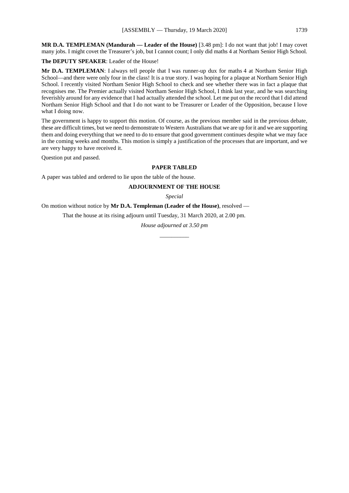**MR D.A. TEMPLEMAN (Mandurah — Leader of the House)** [3.48 pm]: I do not want that job! I may covet many jobs. I might covet the Treasurer's job, but I cannot count; I only did maths 4 at Northam Senior High School.

**The DEPUTY SPEAKER**: Leader of the House!

**Mr D.A. TEMPLEMAN**: I always tell people that I was runner-up dux for maths 4 at Northam Senior High School—and there were only four in the class! It is a true story. I was hoping for a plaque at Northam Senior High School. I recently visited Northam Senior High School to check and see whether there was in fact a plaque that recognises me. The Premier actually visited Northam Senior High School, I think last year, and he was searching feverishly around for any evidence that I had actually attended the school. Let me put on the record that I did attend Northam Senior High School and that I do not want to be Treasurer or Leader of the Opposition, because I love what I doing now.

The government is happy to support this motion. Of course, as the previous member said in the previous debate, these are difficult times, but we need to demonstrate to Western Australians that we are up for it and we are supporting them and doing everything that we need to do to ensure that good government continues despite what we may face in the coming weeks and months. This motion is simply a justification of the processes that are important, and we are very happy to have received it.

Question put and passed.

#### **PAPER TABLED**

A paper was tabled and ordered to lie upon the table of the house.

#### **ADJOURNMENT OF THE HOUSE**

*Special*

On motion without notice by **Mr D.A. Templeman (Leader of the House)**, resolved —

That the house at its rising adjourn until Tuesday, 31 March 2020, at 2.00 pm.

*House adjourned at 3.50 pm \_\_\_\_\_\_\_\_\_\_*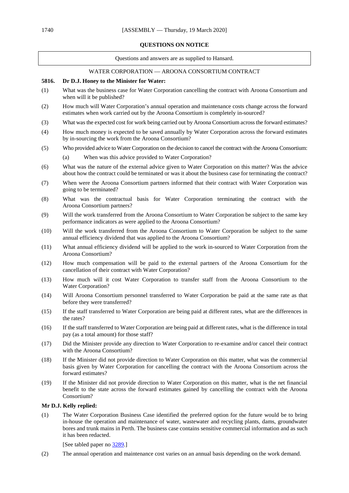#### **QUESTIONS ON NOTICE**

Questions and answers are as supplied to Hansard.

# WATER CORPORATION — AROONA CONSORTIUM CONTRACT

# **5816. Dr D.J. Honey to the Minister for Water:**

- (1) What was the business case for Water Corporation cancelling the contract with Aroona Consortium and when will it be published?
- (2) How much will Water Corporation's annual operation and maintenance costs change across the forward estimates when work carried out by the Aroona Consortium is completely in-sourced?
- (3) What was the expected cost for work being carried out by Aroona Consortium across the forward estimates?
- (4) How much money is expected to be saved annually by Water Corporation across the forward estimates by in-sourcing the work from the Aroona Consortium?
- (5) Who provided advice to Water Corporation on the decision to cancel the contract with the Aroona Consortium:
	- (a) When was this advice provided to Water Corporation?
- (6) What was the nature of the external advice given to Water Corporation on this matter? Was the advice about how the contract could be terminated or was it about the business case for terminating the contract?
- (7) When were the Aroona Consortium partners informed that their contract with Water Corporation was going to be terminated?
- (8) What was the contractual basis for Water Corporation terminating the contract with the Aroona Consortium partners?
- (9) Will the work transferred from the Aroona Consortium to Water Corporation be subject to the same key performance indicators as were applied to the Aroona Consortium?
- (10) Will the work transferred from the Aroona Consortium to Water Corporation be subject to the same annual efficiency dividend that was applied to the Aroona Consortium?
- (11) What annual efficiency dividend will be applied to the work in-sourced to Water Corporation from the Aroona Consortium?
- (12) How much compensation will be paid to the external partners of the Aroona Consortium for the cancellation of their contract with Water Corporation?
- (13) How much will it cost Water Corporation to transfer staff from the Aroona Consortium to the Water Corporation?
- (14) Will Aroona Consortium personnel transferred to Water Corporation be paid at the same rate as that before they were transferred?
- (15) If the staff transferred to Water Corporation are being paid at different rates, what are the differences in the rates?
- (16) If the staff transferred to Water Corporation are being paid at different rates, what is the difference in total pay (as a total amount) for those staff?
- (17) Did the Minister provide any direction to Water Corporation to re-examine and/or cancel their contract with the Aroona Consortium?
- (18) If the Minister did not provide direction to Water Corporation on this matter, what was the commercial basis given by Water Corporation for cancelling the contract with the Aroona Consortium across the forward estimates?
- (19) If the Minister did not provide direction to Water Corporation on this matter, what is the net financial benefit to the state across the forward estimates gained by cancelling the contract with the Aroona Consortium?

# **Mr D.J. Kelly replied:**

(1) The Water Corporation Business Case identified the preferred option for the future would be to bring in-house the operation and maintenance of water, wastewater and recycling plants, dams, groundwater bores and trunk mains in Perth. The business case contains sensitive commercial information and as such it has been redacted.

[See tabled paper no  $\frac{3289}{.}$ ]

(2) The annual operation and maintenance cost varies on an annual basis depending on the work demand.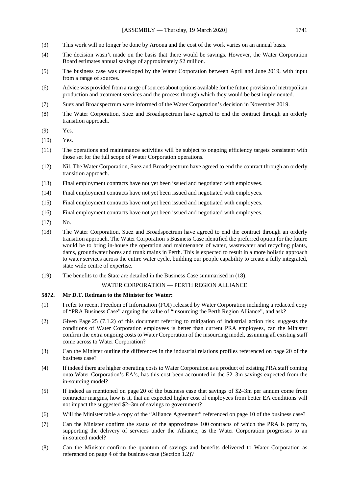- (3) This work will no longer be done by Aroona and the cost of the work varies on an annual basis.
- (4) The decision wasn't made on the basis that there would be savings. However, the Water Corporation Board estimates annual savings of approximately \$2 million.
- (5) The business case was developed by the Water Corporation between April and June 2019, with input from a range of sources.
- (6) Advice was provided from a range of sources about options available for the future provision of metropolitan production and treatment services and the process through which they would be best implemented.
- (7) Suez and Broadspectrum were informed of the Water Corporation's decision in November 2019.
- (8) The Water Corporation, Suez and Broadspectrum have agreed to end the contract through an orderly transition approach.
- (9) Yes.
- (10) Yes.
- (11) The operations and maintenance activities will be subject to ongoing efficiency targets consistent with those set for the full scope of Water Corporation operations.
- (12) Nil. The Water Corporation, Suez and Broadspectrum have agreed to end the contract through an orderly transition approach.
- (13) Final employment contracts have not yet been issued and negotiated with employees.
- (14) Final employment contracts have not yet been issued and negotiated with employees.
- (15) Final employment contracts have not yet been issued and negotiated with employees.
- (16) Final employment contracts have not yet been issued and negotiated with employees.
- (17) No.
- (18) The Water Corporation, Suez and Broadspectrum have agreed to end the contract through an orderly transition approach. The Water Corporation's Business Case identified the preferred option for the future would be to bring in-house the operation and maintenance of water, wastewater and recycling plants, dams, groundwater bores and trunk mains in Perth. This is expected to result in a more holistic approach to water services across the entire water cycle, building our people capability to create a fully integrated, state wide centre of expertise.
- (19) The benefits to the State are detailed in the Business Case summarised in (18).

# WATER CORPORATION — PERTH REGION ALLIANCE

# **5872. Mr D.T. Redman to the Minister for Water:**

- (1) I refer to recent Freedom of Information (FOI) released by Water Corporation including a redacted copy of "PRA Business Case" arguing the value of "insourcing the Perth Region Alliance", and ask?
- (2) Given Page 25 (7.1.2) of this document referring to mitigation of industrial action risk, suggests the conditions of Water Corporation employees is better than current PRA employees, can the Minister confirm the extra ongoing costs to Water Corporation of the insourcing model, assuming all existing staff come across to Water Corporation?
- (3) Can the Minister outline the differences in the industrial relations profiles referenced on page 20 of the business case?
- (4) If indeed there are higher operating costs to Water Corporation as a product of existing PRA staff coming onto Water Corporation's EA's, has this cost been accounted in the \$2–3m savings expected from the in-sourcing model?
- (5) If indeed as mentioned on page 20 of the business case that savings of \$2–3m per annum come from contractor margins, how is it, that an expected higher cost of employees from better EA conditions will not impact the suggested \$2–3m of savings to government?
- (6) Will the Minister table a copy of the "Alliance Agreement" referenced on page 10 of the business case?
- (7) Can the Minister confirm the status of the approximate 100 contracts of which the PRA is party to, supporting the delivery of services under the Alliance, as the Water Corporation progresses to an in-sourced model?
- (8) Can the Minister confirm the quantum of savings and benefits delivered to Water Corporation as referenced on page 4 of the business case (Section 1.2)?